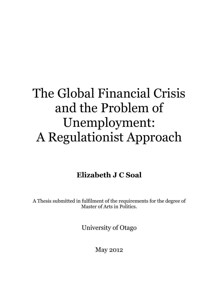# The Global Financial Crisis and the Problem of Unemployment: A Regulationist Approach

## **Elizabeth J C Soal**

A Thesis submitted in fulfilment of the requirements for the degree of Master of Arts in Politics.

University of Otago

May 2012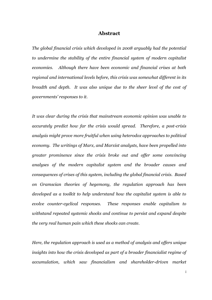#### **Abstract**

<span id="page-2-0"></span>*The global financial crisis which developed in 2008 arguably had the potential to undermine the stability of the entire financial system of modern capitalist economies. Although there have been economic and financial crises at both regional and international levels before, this crisis was somewhat different in its breadth and depth. It was also unique due to the sheer level of the cost of governments' responses to it.*

*It was clear during the crisis that mainstream economic opinion was unable to accurately predict how far the crisis would spread. Therefore, a post-crisis analysis might prove more fruitful when using heterodox approaches to political economy. The writings of Marx, and Marxist analysts, have been propelled into greater prominence since the crisis broke out and offer some convincing analyses of the modern capitalist system and the broader causes and consequences of crises of this system, including the global financial crisis. Based on Gramscian theories of hegemony, the regulation approach has been developed as a toolkit to help understand how the capitalist system is able to evolve counter-cyclical responses. These responses enable capitalism to withstand repeated systemic shocks and continue to persist and expand despite the very real human pain which these shocks can create.* 

*Here, the regulation approach is used as a method of analysis and offers unique insights into how the crisis developed as part of a broader financialist regime of accumulation, which saw financialism and shareholder-driven market*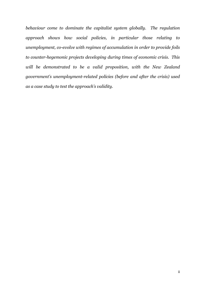*behaviour come to dominate the capitalist system globally. The regulation approach shows how social policies, in particular those relating to unemployment, co-evolve with regimes of accumulation in order to provide foils to counter-hegemonic projects developing during times of economic crisis. This will be demonstrated to be a valid proposition, with the New Zealand government's unemployment-related policies (before and after the crisis) used as a case study to test the approach's validity.*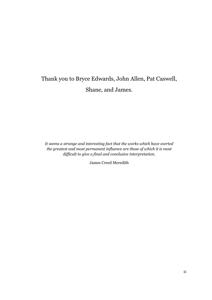# Thank you to Bryce Edwards, John Allen, Pat Caswell, Shane, and James.

*It seems a strange and interesting fact that the works which have exerted the greatest and most permanent influence are those of which it is most difficult to give a final and conclusive interpretation.*

James Creed Meredith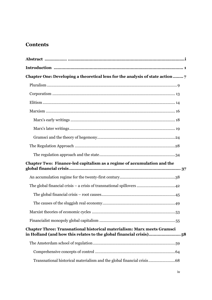## **Contents**

| Chapter One: Developing a theoretical lens for the analysis of state action  7                                                                       |  |
|------------------------------------------------------------------------------------------------------------------------------------------------------|--|
|                                                                                                                                                      |  |
|                                                                                                                                                      |  |
|                                                                                                                                                      |  |
|                                                                                                                                                      |  |
|                                                                                                                                                      |  |
|                                                                                                                                                      |  |
|                                                                                                                                                      |  |
|                                                                                                                                                      |  |
|                                                                                                                                                      |  |
|                                                                                                                                                      |  |
| Chapter Two: Finance-led capitalism as a regime of accumulation and the                                                                              |  |
|                                                                                                                                                      |  |
|                                                                                                                                                      |  |
|                                                                                                                                                      |  |
|                                                                                                                                                      |  |
|                                                                                                                                                      |  |
|                                                                                                                                                      |  |
| <b>Chapter Three: Transnational historical materialism: Marx meets Gramsci</b><br>in Holland (and how this relates to the global financial crisis)58 |  |
|                                                                                                                                                      |  |
|                                                                                                                                                      |  |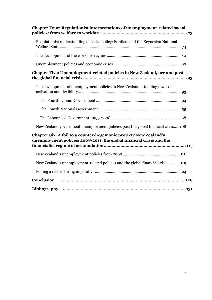| <b>Chapter Four: Regulationist interpretations of unemployment-related social</b>                                                         |
|-------------------------------------------------------------------------------------------------------------------------------------------|
| Regulationist understanding of social policy: Fordism and the Keynesian National                                                          |
|                                                                                                                                           |
|                                                                                                                                           |
| Chapter Five: Unemployment-related policies in New Zealand, pre and post                                                                  |
| The development of unemployment policies in New Zealand – tending towards                                                                 |
|                                                                                                                                           |
|                                                                                                                                           |
|                                                                                                                                           |
| New Zealand government unemployment policies post the global financial crisis108                                                          |
| Chapter Six: A foil to a counter-hegemonic project? New Zealand's<br>unemployment policies 2008-2011, the global financial crisis and the |
|                                                                                                                                           |
| New Zealand's unemployment-related policies and the global financial crisis119                                                            |
|                                                                                                                                           |
| Conclusion                                                                                                                                |
|                                                                                                                                           |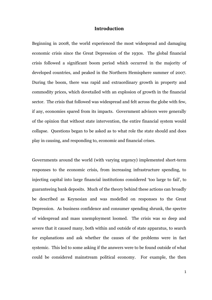#### **Introduction**

<span id="page-7-0"></span>Beginning in 2008, the world experienced the most widespread and damaging economic crisis since the Great Depression of the 1930s. The global financial crisis followed a significant boom period which occurred in the majority of developed countries, and peaked in the Northern Hemisphere summer of 2007. During the boom, there was rapid and extraordinary growth in property and commodity prices, which dovetailed with an explosion of growth in the financial sector. The crisis that followed was widespread and felt across the globe with few, if any, economies spared from its impacts. Government advisors were generally of the opinion that without state intervention, the entire financial system would collapse. Questions began to be asked as to what role the state should and does play in causing, and responding to, economic and financial crises.

Governments around the world (with varying urgency) implemented short-term responses to the economic crisis, from increasing infrastructure spending, to injecting capital into large financial institutions considered "too large to fail", to guaranteeing bank deposits. Much of the theory behind these actions can broadly be described as Keynesian and was modelled on responses to the Great Depression. As business confidence and consumer spending shrunk, the spectre of widespread and mass unemployment loomed. The crisis was so deep and severe that it caused many, both within and outside of state apparatus, to search for explanations and ask whether the causes of the problems were in fact systemic. This led to some asking if the answers were to be found outside of what could be considered mainstream political economy. For example, the then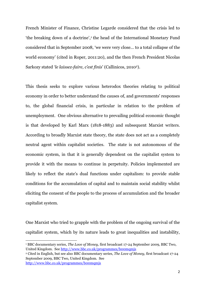French Minister of Finance, Christine Legarde considered that the crisis led to 'the breaking down of a doctrine',<sup>1</sup> the head of the International Monetary Fund considered that in September 2008, "we were very close… to a total collapse of the world economy' (cited in Roper, 2011:20), and the then French President Nicolas Sarkozy stated "*le laissez-faire, c'est finis*" (Callinicos, 20102).

This thesis seeks to explore various heterodox theories relating to political economy in order to better understand the causes of, and governments' responses to, the global financial crisis, in particular in relation to the problem of unemployment. One obvious alternative to prevailing political economic thought is that developed by Karl Marx (1818-1883) and subsequent Marxist writers. According to broadly Marxist state theory, the state does not act as a completely neutral agent within capitalist societies. The state is not autonomous of the economic system, in that it is generally dependent on the capitalist system to provide it with the means to continue in perpetuity. Policies implemented are likely to reflect the state's dual functions under capitalism: to provide stable conditions for the accumulation of capital and to maintain social stability whilst eliciting the consent of the people to the process of accumulation and the broader capitalist system.

One Marxist who tried to grapple with the problem of the ongoing survival of the capitalist system, which by its nature leads to great inequalities and instability,

1

<sup>1</sup> BBC documentary series, *The Love of Money,* first broadcast 17-24 September 2009, BBC Two, United Kingdom. See <http://www.bbc.co.uk/programmes/b00mqmjs>

<sup>2</sup> Cited in English, but see also BBC documentary series, *The Love of Money,* first broadcast 17-24 September 2009, BBC Two, United Kingdom. See <http://www.bbc.co.uk/programmes/b00mqmjs>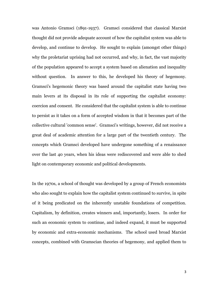was Antonio Gramsci (1891-1937). Gramsci considered that classical Marxist thought did not provide adequate account of how the capitalist system was able to develop, and continue to develop. He sought to explain (amongst other things) why the proletariat uprising had not occurred, and why, in fact, the vast majority of the population appeared to accept a system based on alienation and inequality without question. In answer to this, he developed his theory of hegemony. Gramsci's hegemonic theory was based around the capitalist state having two main levers at its disposal in its role of supporting the capitalist economy: coercion and consent. He considered that the capitalist system is able to continue to persist as it takes on a form of accepted wisdom in that it becomes part of the collective cultural 'common sense'. Gramsci's writings, however, did not receive a great deal of academic attention for a large part of the twentieth century. The concepts which Gramsci developed have undergone something of a renaissance over the last 40 years, when his ideas were rediscovered and were able to shed light on contemporary economic and political developments.

In the 1970s, a school of thought was developed by a group of French economists who also sought to explain how the capitalist system continued to survive, in spite of it being predicated on the inherently unstable foundations of competition. Capitalism, by definition, creates winners and, importantly, losers. In order for such an economic system to continue, and indeed expand, it must be supported by economic and extra-economic mechanisms. The school used broad Marxist concepts, combined with Gramscian theories of hegemony, and applied them to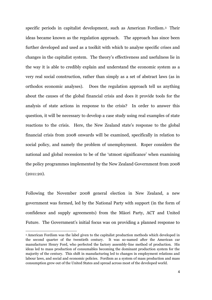specific periods in capitalist development, such as American Fordism.3 Their ideas became known as the regulation approach. The approach has since been further developed and used as a toolkit with which to analyse specific crises and changes in the capitalist system. The theory"s effectiveness and usefulness lie in the way it is able to credibly explain and understand the economic system as a very real social construction, rather than simply as a set of abstract laws (as in orthodox economic analyses). Does the regulation approach tell us anything about the causes of the global financial crisis and does it provide tools for the analysis of state actions in response to the crisis? In order to answer this question, it will be necessary to develop a case study using real examples of state reactions to the crisis. Here, the New Zealand state's response to the global financial crisis from 2008 onwards will be examined, specifically in relation to social policy, and namely the problem of unemployment. Roper considers the national and global recession to be of the "utmost significance" when examining the policy programmes implemented by the New Zealand Government from 2008 (2011:20).

Following the November 2008 general election in New Zealand, a new government was formed, led by the National Party with support (in the form of confidence and supply agreements) from the Māori Party, ACT and United Future. The Government's initial focus was on providing a planned response to

1

<sup>3</sup> American Fordism was the label given to the capitalist production methods which developed in the second quarter of the twentieth century. It was so-named after the American car manufacturer Henry Ford, who perfected the factory assembly-line method of production. His ideas led to mass production of consumables becoming the dominant production system for the majority of the century. This shift in manufacturing led to changes in employment relations and labour laws, and social and economic policies. Fordism as a system of mass production and mass consumption grew out of the United States and spread across most of the developed world.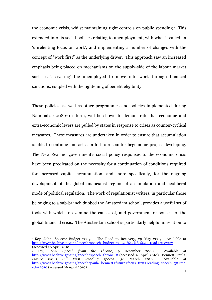the economic crisis, whilst maintaining tight controls on public spending.4 This extended into its social policies relating to unemployment, with what it called an "unrelenting focus on work", and implementing a number of changes with the concept of "work first" as the underlying driver. This approach saw an increased emphasis being placed on mechanisms on the supply-side of the labour market such as "activating" the unemployed to move into work through financial sanctions, coupled with the tightening of benefit eligibility.<sup>5</sup>

These policies, as well as other programmes and policies implemented during National"s 2008-2011 term, will be shown to demonstrate that economic and extra-economic levers are pulled by states in response to crises as counter-cyclical measures. These measures are undertaken in order to ensure that accumulation is able to continue and act as a foil to a counter-hegemonic project developing. The New Zealand government's social policy responses to the economic crisis have been predicated on the necessity for a continuation of conditions required for increased capital accumulation, and more specifically, for the ongoing development of the global financialist regime of accumulation and neoliberal mode of political regulation. The work of regulationist writers, in particular those belonging to a sub-branch dubbed the Amsterdam school, provides a useful set of tools with which to examine the causes of, and government responses to, the global financial crisis. The Amsterdam school is particularly helpful in relation to

**.** 

<sup>4</sup> Key, John. Speech: Budget 2009 – The Road to Recovery, 29 May 2009. Available at [http://www.beehive.govt.nz/speech/speech+budget+2009+%e2%80%93+road+recovery](http://www.beehive.govt.nz/speech/speech+budget+2009+–+road+recovery) (accessed 26 April 2010

<sup>5</sup> Key, John. *Speech from the Throne*, 9 December 2008. Available at <http://www.beehive.govt.nz/speech/speech+throne+0> (accessed 26 April 2010). Bennett, Paula. *Future Focus Bill First Reading speech*, 30 March 2010. Available at [http://www.beehive.govt.nz/speech/paula+bennett+future+focus+first+reading+speech+30+ma](http://www.beehive.govt.nz/speech/paula+bennett+future+focus+first+reading+speech+30+march+2010) [rch+2010](http://www.beehive.govt.nz/speech/paula+bennett+future+focus+first+reading+speech+30+march+2010) (accessed 26 April 2010)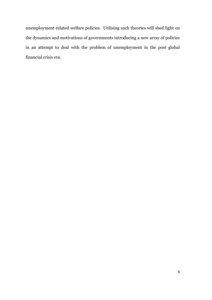unemployment-related welfare policies. Utilising such theories will shed light on the dynamics and motivations of governments introducing a new array of policies in an attempt to deal with the problem of unemployment in the post global financial crisis era.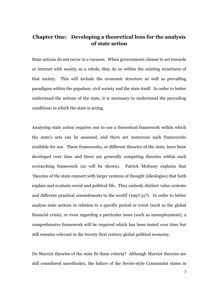### <span id="page-13-0"></span>**Chapter One: Developing a theoretical lens for the analysis of state action**

State actions do not occur in a vacuum. When governments choose to act towards or interact with society as a whole, they do so within the existing structures of that society. This will include the economic structure as well as prevailing paradigms within the populace, civil society and the state itself. In order to better understand the actions of the state, it is necessary to understand the prevailing conditions in which the state is acting.

Analysing state action requires one to use a theoretical framework within which the state"s acts can be assessed, and there are numerous such frameworks available for use. These frameworks, or different theories of the state, have been developed over time and there are generally competing theories within each overarching framework (as will be shown). Patrick Moloney explains that "theories of the state connect with larger systems of thought (ideologies) that both explain and evaluate social and political life. They embody distinct value systems and different practical commitments to the world" (1997:317). In order to better analyse state actions in relation to a specific period or event (such as the global financial crisis), or even regarding a particular issue (such as unemployment), a comprehensive framework will be required which has been tested over time but still remains relevant in the twenty-first century global political economy.

Do Marxist theories of the state fit these criteria? Although Marxist theories are still considered unorthodox, the failure of the Soviet-style Communist states in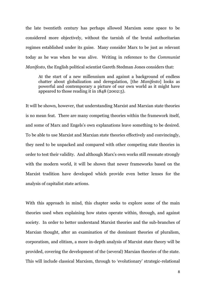the late twentieth century has perhaps allowed Marxism some space to be considered more objectively, without the tarnish of the brutal authoritarian regimes established under its guise. Many consider Marx to be just as relevant today as he was when he was alive. Writing in reference to the *Communist Manifesto*, the English political scientist Gareth Stedman Jones considers that:

At the start of a new millennium and against a background of endless chatter about globalization and deregulation, [the *Manifesto*] looks as powerful and contemporary a picture of our own world as it might have appeared to those reading it in 1848 (2002:5).

It will be shown, however, that understanding Marxist and Marxian state theories is no mean feat. There are many competing theories within the framework itself, and some of Marx and Engels"s own explanations leave something to be desired. To be able to use Marxist and Marxian state theories effectively and convincingly, they need to be unpacked and compared with other competing state theories in order to test their validity. And although Marx"s own works still resonate strongly with the modern world, it will be shown that newer frameworks based on the Marxist tradition have developed which provide even better lenses for the analysis of capitalist state actions.

With this approach in mind, this chapter seeks to explore some of the main theories used when explaining how states operate within, through, and against society. In order to better understand Marxist theories and the sub-branches of Marxian thought, after an examination of the dominant theories of pluralism, corporatism, and elitism, a more in-depth analysis of Marxist state theory will be provided, covering the development of the (several) Marxian theories of the state. This will include classical Marxism, through to "evolutionary" strategic-relational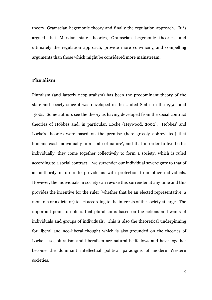theory, Gramscian hegemonic theory and finally the regulation approach. It is argued that Marxian state theories, Gramscian hegemonic theories, and ultimately the regulation approach, provide more convincing and compelling arguments than those which might be considered more mainstream.

#### <span id="page-15-0"></span>**Pluralism**

Pluralism (and latterly neopluralism) has been the predominant theory of the state and society since it was developed in the United States in the 1950s and 1960s. Some authors see the theory as having developed from the social contract theories of Hobbes and, in particular, Locke (Heywood, 2002). Hobbes" and Locke's theories were based on the premise (here grossly abbreviated) that humans exist individually in a 'state of nature', and that in order to live better individually, they come together collectively to form a society, which is ruled according to a social contract – we surrender our individual sovereignty to that of an authority in order to provide us with protection from other individuals. However, the individuals in society can revoke this surrender at any time and this provides the incentive for the ruler (whether that be an elected representative, a monarch or a dictator) to act according to the interests of the society at large. The important point to note is that pluralism is based on the actions and wants of individuals and groups of individuals. This is also the theoretical underpinning for liberal and neo-liberal thought which is also grounded on the theories of Locke – so, pluralism and liberalism are natural bedfellows and have together become the dominant intellectual political paradigms of modern Western societies.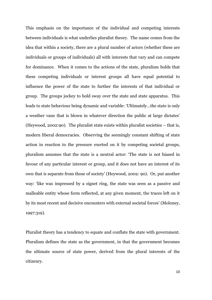This emphasis on the importance of the individual and competing interests between individuals is what underlies pluralist theory. The name comes from the idea that within a society, there are a plural number of actors (whether these are individuals or groups of individuals) all with interests that vary and can compete for dominance. When it comes to the actions of the state, pluralism holds that these competing individuals or interest groups all have equal potential to influence the power of the state to further the interests of that individual or group. The groups jockey to hold sway over the state and state apparatus. This leads to state behaviour being dynamic and variable: "Ultimately…the state is only a weather vane that is blown in whatever direction the public at large dictates' (Heywood, 2002:90). The pluralist state exists within pluralist societies – that is, modern liberal democracies. Observing the seemingly constant shifting of state action in reaction to the pressure exerted on it by competing societal groups, pluralism assumes that the state is a neutral actor: "The state is not biased in favour of any particular interest or group, and it does not have an interest of its own that is separate from those of society" (Heywood, 2002: 90). Or, put another way: "like wax impressed by a signet ring, the state was seen as a passive and malleable entity whose form reflected, at any given moment, the traces left on it by its most recent and decisive encounters with external societal forces" (Moloney, 1997:319).

Pluralist theory has a tendency to equate and conflate the state with government. Pluralism defines the state as the government, in that the government becomes the ultimate source of state power, derived from the plural interests of the citizenry.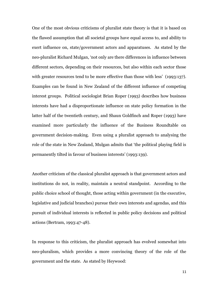One of the most obvious criticisms of pluralist state theory is that it is based on the flawed assumption that all societal groups have equal access to, and ability to exert influence on, state/government actors and apparatuses. As stated by the neo-pluralist Richard Mulgan, "not only are there differences in influence between different sectors, depending on their resources, but also within each sector those with greater resources tend to be more effective than those with less' (1993:137). Examples can be found in New Zealand of the different influence of competing interest groups. Political sociologist Brian Roper (1993) describes how business interests have had a disproportionate influence on state policy formation in the latter half of the twentieth century, and Shaun Goldfinch and Roper (1993) have examined more particularly the influence of the Business Roundtable on government decision-making. Even using a pluralist approach to analysing the role of the state in New Zealand, Mulgan admits that "the political playing field is permanently tilted in favour of business interests" (1993:139).

Another criticism of the classical pluralist approach is that government actors and institutions do not, in reality, maintain a neutral standpoint. According to the public choice school of thought, those acting within government (in the executive, legislative and judicial branches) pursue their own interests and agendas, and this pursuit of individual interests is reflected in public policy decisions and political actions (Bertram, 1993:47-48).

In response to this criticism, the pluralist approach has evolved somewhat into neo-pluralism, which provides a more convincing theory of the role of the government and the state. As stated by Heywood: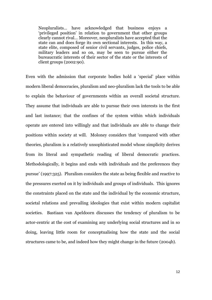Neopluralists… have acknowledged that business enjoys a "privileged position" in relation to government that other groups clearly cannot rival… Moreover, neopluralists have accepted that the state can and does forge its own sectional interests. In this way, a state elite, composed of senior civil servants, judges, police chiefs, military leaders and so on, may be seen to pursue either the bureaucratic interests of their sector of the state or the interests of client groups (2002:90).

Even with the admission that corporate bodies hold a "special" place within modern liberal democracies, pluralism and neo-pluralism lack the tools to be able to explain the behaviour of governments within an overall societal structure. They assume that individuals are able to pursue their own interests in the first and last instance; that the confines of the system within which individuals operate are entered into willingly and that individuals are able to change their positions within society at will. Moloney considers that "compared with other theories, pluralism is a relatively unsophisticated model whose simplicity derives from its literal and sympathetic reading of liberal democratic practices. Methodologically, it begins and ends with individuals and the preferences they pursue" (1997:325). Pluralism considers the state as being flexible and reactive to the pressures exerted on it by individuals and groups of individuals. This ignores the constraints placed on the state and the individual by the economic structure, societal relations and prevailing ideologies that exist within modern capitalist societies. Bastiaan van Apeldoorn discusses the tendency of pluralism to be actor-centric at the cost of examining any underlying social structures and in so doing, leaving little room for conceptualising how the state and the social structures came to be, and indeed how they might change in the future (2004b).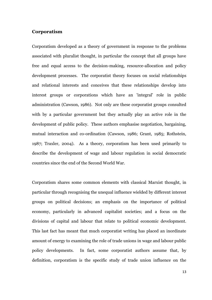#### <span id="page-19-0"></span>**Corporatism**

Corporatism developed as a theory of government in response to the problems associated with pluralist thought, in particular the concept that all groups have free and equal access to the decision-making, resource-allocation and policy development processes. The corporatist theory focuses on social relationships and relational interests and conceives that these relationships develop into interest groups or corporations which have an 'integral' role in public administration (Cawson, 1986). Not only are these corporatist groups consulted with by a particular government but they actually play an active role in the development of public policy. These authors emphasise negotiation, bargaining, mutual interaction and co-ordination (Cawson, 1986; Grant, 1985; Rothstein, 1987; Traxler, 2004). As a theory, corporatism has been used primarily to describe the development of wage and labour regulation in social democratic countries since the end of the Second World War.

Corporatism shares some common elements with classical Marxist thought, in particular through recognising the unequal influence wielded by different interest groups on political decisions; an emphasis on the importance of political economy, particularly in advanced capitalist societies; and a focus on the divisions of capital and labour that relate to political economic development. This last fact has meant that much corporatist writing has placed an inordinate amount of energy to examining the role of trade unions in wage and labour public policy developments. In fact, some corporatist authors assume that, by definition, corporatism is the specific study of trade union influence on the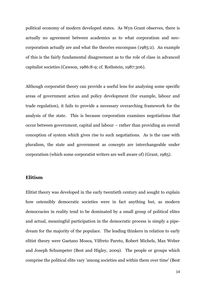political economy of modern developed states. As Wyn Grant observes, there is actually no agreement between academics as to what corporatism and neocorporatism actually are and what the theories encompass (1985:2). An example of this is the fairly fundamental disagreement as to the role of class in advanced capitalist societies (Cawson, 1986:8-9; cf. Rothstein, 1987:306).

Although corporatist theory can provide a useful lens for analysing some specific areas of government action and policy development (for example, labour and trade regulation), it fails to provide a necessary overarching framework for the analysis of the state. This is because corporatism examines negotiations that occur between government, capital and labour – rather than providing an overall conception of system which gives rise to such negotiations. As is the case with pluralism, the state and government as concepts are interchangeable under corporatism (which some corporatist writers are well aware of) (Grant, 1985).

#### <span id="page-20-0"></span>**Elitism**

Elitist theory was developed in the early twentieth century and sought to explain how ostensibly democratic societies were in fact anything but, as modern democracies in reality tend to be dominated by a small group of political elites and actual, meaningful participation in the democratic process is simply a pipedream for the majority of the populace. The leading thinkers in relation to early elitist theory were Gaetano Mosca, Vilfreto Pareto, Robert Michels, Max Weber and Joseph Schumpeter (Best and Higley, 2009). The people or groups which comprise the political elite vary 'among societies and within them over time' (Best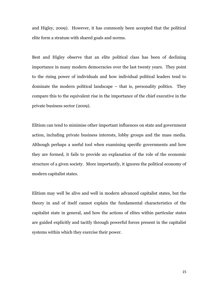and Higley, 2009). However, it has commonly been accepted that the political elite form a stratum with shared goals and norms.

Best and Higley observe that an elite political class has been of declining importance in many modern democracies over the last twenty years. They point to the rising power of individuals and how individual political leaders tend to dominate the modern political landscape – that is, personality politics. They compare this to the equivalent rise in the importance of the chief executive in the private business sector (2009).

Elitism can tend to minimise other important influences on state and government action, including private business interests, lobby groups and the mass media. Although perhaps a useful tool when examining specific governments and how they are formed, it fails to provide an explanation of the role of the economic structure of a given society. More importantly, it ignores the political economy of modern capitalist states.

Elitism may well be alive and well in modern advanced capitalist states, but the theory in and of itself cannot explain the fundamental characteristics of the capitalist state in general, and how the actions of elites within particular states are guided explicitly and tacitly through powerful forces present in the capitalist systems within which they exercise their power.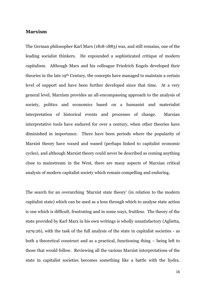#### <span id="page-22-0"></span>**Marxism**

The German philosopher Karl Marx (1818-1883) was, and still remains, one of the leading socialist thinkers. He expounded a sophisticated critique of modern capitalism. Although Marx and his colleague Friedrich Engels developed their theories in the late 19th Century, the concepts have managed to maintain a certain level of support and have been further developed since that time. At a very general level, Marxism provides an all-encompassing approach to the analysis of society, politics and economics based on a humanist and materialist interpretation of historical events and processes of change. Marxian interpretative tools have endured for over a century, when other theories have diminished in importance. There have been periods where the popularity of Marxist theory have waxed and waned (perhaps linked to capitalist economic cycles), and although Marxist theory could never be described as coming anything close to mainstream in the West, there are many aspects of Marxian critical analysis of modern capitalist society which remain compelling and enduring.

The search for an overarching "Marxist state theory" (in relation to the modern capitalist state) which can be used as a lens through which to analyse state action is one which is difficult, frustrating and in some ways, fruitless. The theory of the state provided by Karl Marx in his own writings is wholly unsatisfactory (Aglietta, 1979:26), with the task of the full analysis of the state in capitalist societies - as both a theoretical construct and as a practical, functioning thing – being left to those that would follow. Reviewing all the various Marxist interpretations of the state in capitalist societies becomes something like a battle with the hydra.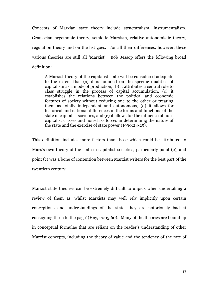Concepts of Marxian state theory include structuralism, instrumentalism, Gramscian hegemonic theory, semiotic Marxism, relative autonomistic theory, regulation theory and on the list goes. For all their differences, however, these various theories are still all 'Marxist'. Bob Jessop offers the following broad definition:

A Marxist theory of the capitalist state will be considered adequate to the extent that (a) it is founded on the specific qualities of capitalism as a mode of production, (b) it attributes a central role to class struggle in the process of capital accumulation, (c) it establishes the relations between the political and economic features of society without reducing one to the other or treating them as totally independent and autonomous, (d) it allows for historical and national differences in the forms and functions of the state in capitalist societies, and (e) it allows for the influence of noncapitalist classes and non-class forces in determining the nature of the state and the exercise of state power (1990:24-25).

This definition includes more factors than those which could be attributed to Marx"s own theory of the state in capitalist societies, particularly point (e), and point (c) was a bone of contention between Marxist writers for the best part of the twentieth century.

Marxist state theories can be extremely difficult to unpick when undertaking a review of them as "whilst Marxists may well rely implicitly upon certain conceptions and understandings of the state, they are notoriously bad at consigning these to the page" (Hay, 2005:60). Many of the theories are bound up in conceptual formulae that are reliant on the reader"s understanding of other Marxist concepts, including the theory of value and the tendency of the rate of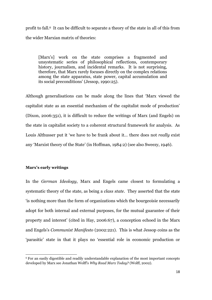profit to fall.6 It can be difficult to separate a theory of the state in all of this from the wider Marxian matrix of theories:

[Marx's] work on the state comprises a fragmented and unsystematic series of philosophical reflections, contemporary history, journalism, and incidental remarks. It is not surprising, therefore, that Marx rarely focuses directly on the complex relations among the state apparatus, state power, capital accumulation and its social preconditions" (Jessop, 1990:25).

Although generalisations can be made along the lines that "Marx viewed the capitalist state as an essential mechanism of the capitalist mode of production" (Dixon, 2006:351), it is difficult to reduce the writings of Marx (and Engels) on the state in capitalist society to a coherent structural framework for analysis. As Louis Althusser put it "we have to be frank about it… there does not *really* exist any "Marxist theory of the State" (in Hoffman, 1984:2) (see also Sweezy, 1946).

#### <span id="page-24-0"></span>**Marx's early writings**

**.** 

In the *German Ideology*, Marx and Engels came closest to formulating a systematic theory of the state, as being a *class state*. They asserted that the state "is nothing more than the form of organizations which the bourgeoisie necessarily adopt for both internal and external purposes, for the mutual guarantee of their property and interest" (cited in Hay, 2006:67), a conception echoed in the Marx and Engels"s *Communist Manifesto* (2002:221). This is what Jessop coins as the "parasitic" state in that it plays no "essential role in economic production or

<sup>6</sup> For an easily digestible and readily understandable explanation of the most important concepts developed by Marx see Jonathan Wolff's *Why Read Marx Today?* (Wolff, 2002).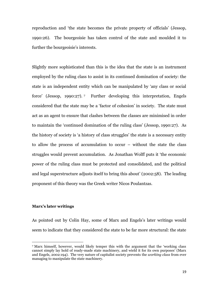reproduction and "the state becomes the private property of officials" (Jessop, 1990:26). The bourgeoisie has taken control of the state and moulded it to further the bourgeoisie's interests.

Slightly more sophisticated than this is the idea that the state is an instrument employed by the ruling class to assist in its continued domination of society: the state is an independent entity which can be manipulated by "any class or social force" (Jessop, 1990:27). <sup>7</sup> Further developing this interpretation, Engels considered that the state may be a "factor of cohesion" in society. The state must act as an agent to ensure that clashes between the classes are minimised in order to maintain the "continued domination of the ruling class" (Jessop, 1990:27). As the history of society is "a history of class struggles" the state is a necessary entity to allow the process of accumulation to occur – without the state the class struggles would prevent accumulation. As Jonathan Wolff puts it "the economic power of the ruling class must be protected and consolidated, and the political and legal superstructure adjusts itself to bring this about" (2002:58). The leading proponent of this theory was the Greek writer Nicos Poulantzas.

#### <span id="page-25-0"></span>**Marx's later writings**

**.** 

As pointed out by Colin Hay, some of Marx and Engels's later writings would seem to indicate that they considered the state to be far more structural: the state

<sup>7</sup> Marx himself, however, would likely temper this with the argument that the "working class cannot simply lay hold of ready-made state machinery, and wield it for its own purposes" (Marx and Engels, 2002:194). The very nature of capitalist society prevents the *working class* from ever managing to manipulate the state machinery.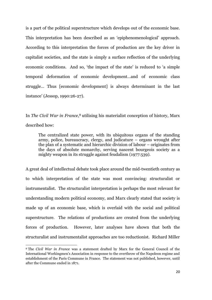is a part of the political superstructure which develops out of the economic base. This interpretation has been described as an "epiphenomenological" approach. According to this interpretation the forces of production are the key driver in capitalist societies, and the state is simply a surface reflection of the underlying economic conditions. And so, 'the impact of the state' is reduced to 'a simple temporal deformation of economic development…and of economic class struggle… Thus [economic development] is always determinant in the last instance" (Jessop, 1990:26-27).

In *The Civil War in France*, <sup>8</sup> utilising his materialist conception of history, Marx described how:

The centralized state power, with its ubiquitous organs of the standing army, police, bureaucracy, clergy, and judicature – organs wrought after the plan of a systematic and hierarchic division of labour – originates from the days of absolute monarchy, serving nascent bourgeois society as a mighty weapon in its struggle against feudalism (1977:539).

A great deal of intellectual debate took place around the mid-twentieth century as to which interpretation of the state was most convincing: structuralist or instrumentalist. The structuralist interpretation is perhaps the most relevant for understanding modern political economy, and Marx clearly stated that society is made up of an economic base, which is overlaid with the social and political superstructure. The relations of productions are created from the underlying forces of production. However, later analyses have shown that both the structuralist and instrumentalist approaches are too reductionist. Richard Miller

1

<sup>8</sup> The *Civil War in France* was a statement drafted by Marx for the General Council of the International Workingmen"s Association in response to the overthrow of the Napoleon regime and establishment of the Paris Commune in France. The statement was not published, however, until after the Commune ended in 1871.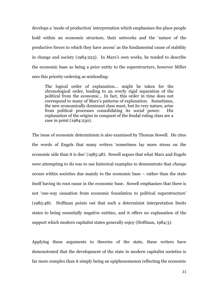develops a "mode of production" interpretation which emphasises the place people hold within an economic structure, their networks and the "nature of the productive forces to which they have access" as the fundamental cause of stability in change and society (1984:223). In Marx"s own works, he tended to describe the economic base as being a prior entity to the superstructure, however Miller sees this priority ordering as misleading:

The logical order of explanation… might be taken for the chronological order, leading to an overly rigid separation of the political from the economic… In fact, this order in time does not correspond to many of Marx"s patterns of explanation. Sometimes, the new economically dominant class must, but its very nature, arise from political processes consolidating its social power. His explanation of the origins in conquest of the feudal ruling class are a case in point (1984:230).

The issue of economic determinism is also examined by Thomas Sowell. He cites the words of Engels that many writers "sometimes lay more stress on the economic side than it is due" (1985:48). Sowell argues that what Marx and Engels were attempting to do was to use historical examples to demonstrate that *change* occurs within societies due mainly to the economic base – rather than the state itself having its root cause in the economic base. Sowell emphasises that there is not 'one-way causation from economic foundation to political superstructure' (1985:48). Hoffman points out that such a determinist interpretation limits states to being essentially negative entities, and it offers no explanation of the support which modern capitalist states generally enjoy (Hoffman, 1984:3).

Applying these arguments to theories of the state, these writers have demonstrated that the development of the state in modern capitalist societies is far more complex than it simply being an epiphenomenon reflecting the economic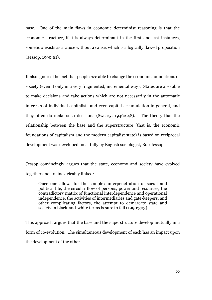base. One of the main flaws in economic determinist reasoning is that the economic structure, if it is always determinant in the first and last instances, somehow exists as a cause without a cause, which is a logically flawed proposition (Jessop, 1990:81).

It also ignores the fact that people *are* able to change the economic foundations of society (even if only in a very fragmented, incremental way). States are also able to make decisions and take actions which are not necessarily in the automatic interests of individual capitalists and even capital accumulation in general, and they often do make such decisions (Sweezy, 1946:248). The theory that the relationship between the base and the superstructure (that is, the economic foundations of capitalism and the modern capitalist state) is based on reciprocal development was developed most fully by English sociologist, Bob Jessop.

Jessop convincingly argues that the state, economy and society have evolved together and are inextricably linked:

Once one allows for the complex interpenetration of social and political life, the circular flow of persons, power and resources, the contradictory matrix of functional interdependence and operational independence, the activities of intermediaries and gate-keepers, and other complicating factors, the attempt to demarcate state and society in black-and-white terms is sure to fail (1990:303).

This approach argues that the base and the superstructure develop mutually in a form of co-evolution. The simultaneous development of each has an impact upon the development of the other.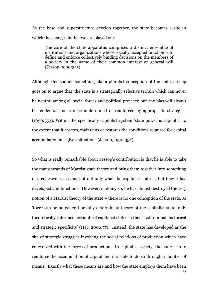As the base and superstructure develop together, the state becomes a site in which the changes in the two are played out:

The core of the state apparatus comprises a distinct ensemble of institutions and organizations whose socially accepted function is to define and enforce collectively binding decisions on the members of a society in the name of their common interest or general will (Jessop, 1990:341).

Although this sounds something like a pluralist conception of the state, Jessop goes on to argue that "the state is a strategically selective terrain which can never be neutral among all social forces and political projects; but any bias will always be tendential and can be undermined or reinforced by appropriate strategies' (1990:353). Within the specifically capitalist system 'state power is capitalist to the extent that it creates, maintains or restores the conditions required for capital accumulation in a given situation" (Jessop, 1990:354).

So what is really remarkable about Jessop"s contribution is that he is able to take the many strands of Marxist state theory and bring them together into something of a cohesive assessment of not only what the capitalist state is, but how it has developed and functions. However, in doing so, he has almost destroyed the very notion of a Marxist theory of the state – there is no one conception of the state, as 'there can be no general or fully determinate theory of the capitalist state, only theoretically-informed accounts of capitalist states in their institutional, historical and strategic specificity" (Hay, 2006:77). Instead, the state has developed as the site of strategic struggles involving the social relations of production which have co-evolved with the forces of production. In capitalist society, the state acts to reinforce the accumulation of capital and it is able to do so through a number of means. Exactly what these means are and how the state employs them have been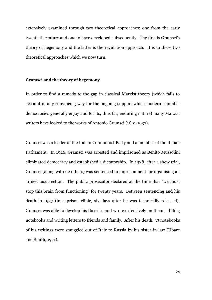extensively examined through two theoretical approaches: one from the early twentieth century and one to have developed subsequently. The first is Gramsci's theory of hegemony and the latter is the regulation approach. It is to these two theoretical approaches which we now turn.

#### <span id="page-30-0"></span>**Gramsci and the theory of hegemony**

In order to find a remedy to the gap in classical Marxist theory (which fails to account in any convincing way for the ongoing support which modern capitalist democracies generally enjoy and for its, thus far, enduring nature) many Marxist writers have looked to the works of Antonio Gramsci (1891-1937).

Gramsci was a leader of the Italian Communist Party and a member of the Italian Parliament. In 1926, Gramsci was arrested and imprisoned as Benito Mussolini eliminated democracy and established a dictatorship. In 1928, after a show trial, Gramsci (along with 22 others) was sentenced to imprisonment for organising an armed insurrection. The public prosecutor declared at the time that "we must stop this brain from functioning" for twenty years. Between sentencing and his death in 1937 (in a prison clinic, six days after he was technically released), Gramsci was able to develop his theories and wrote extensively on them – filling notebooks and writing letters to friends and family. After his death, 33 notebooks of his writings were smuggled out of Italy to Russia by his sister-in-law (Hoare and Smith, 1971).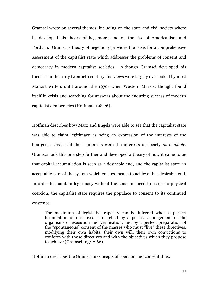Gramsci wrote on several themes, including on the state and civil society where he developed his theory of hegemony, and on the rise of Americanism and Fordism. Gramsci's theory of hegemony provides the basis for a comprehensive assessment of the capitalist state which addresses the problems of consent and democracy in modern capitalist societies. Although Gramsci developed his theories in the early twentieth century, his views were largely overlooked by most Marxist writers until around the 1970s when Western Marxist thought found itself in crisis and searching for answers about the enduring success of modern capitalist democracies (Hoffman, 1984:6).

Hoffman describes how Marx and Engels were able to see that the capitalist state was able to claim legitimacy as being an expression of the interests of the bourgeois class as if those interests were the interests of society *as a whole*. Gramsci took this one step further and developed a theory of how it came to be that capital accumulation is seen as a desirable end, and the capitalist state an acceptable part of the system which creates means to achieve that desirable end. In order to maintain legitimacy without the constant need to resort to physical coercion, the capitalist state requires the populace to consent to its continued existence:

The maximum of legislative capacity can be inferred when a perfect formulation of directives is matched by a perfect arrangement of the organisms of execution and verification, and by a perfect preparation of the "spontaneous" consent of the masses who must "live" these directives, modifying their own habits, their own will, their own convictions to conform with those directives and with the objectives which they propose to achieve (Gramsci, 1971:266).

Hoffman describes the Gramscian concepts of coercion and consent thus: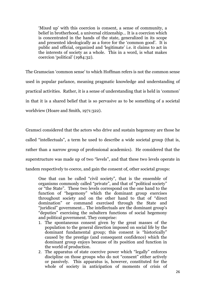'Mixed up' with this coercion is consent, a sense of community, a belief in brotherhood, a universal citizenship… It is a coercion which is concentrated in the hands of the state, generalized in its scope and presented ideologically as a force for the "common good". It is public and official, organized and "legitimate" i.e. it claims to act in the interests of society as a whole. This in a word, is what makes coercion "political" (1984:32).

The Gramscian "common sense" to which Hoffman refers is not the common sense used in popular parlance, meaning pragmatic knowledge and understanding of practical activities. Rather, it is a sense of understanding that is held in "common" in that it is a shared belief that is so pervasive as to be something of a societal worldview (Hoare and Smith, 1971:322).

Gramsci considered that the actors who drive and sustain hegemony are those he called "intellectuals", a term he used to describe a wide societal group (that is, rather than a narrow group of professional academics). He considered that the superstructure was made up of two "levels", and that these two levels operate in tandem respectively to coerce, and gain the consent of, other societal groups:

One that can be called "civil society", that is the ensemble of organisms commonly called "private", and that of "political society" or "the State". These two levels correspond on the one hand to the function of "hegemony" which the dominant group exercises throughout society and on the other hand to that of "direct domination" or command exercised through the State and "juridical" government... The intellectuals are the dominant group's "deputies" exercising the subaltern functions of social hegemony and political government. They comprise:

- 1. The spontaneous consent given by the great masses of the population to the general direction imposed on social life by the dominant fundamental group; this consent is "historically" caused by the prestige (and consequent confidence) which the dominant group enjoys because of its position and function in the world of production.
- 2. The apparatus of state coercive power which "legally" enforces discipline on those groups who do not "consent" either actively or passively. This apparatus is, however, constituted for the whole of society in anticipation of moments of crisis of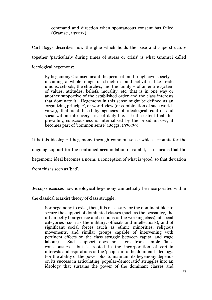command and direction when spontaneous consent has failed (Gramsci, 1971:12).

Carl Boggs describes how the glue which holds the base and superstructure together "particularly during times of stress or crisis" is what Gramsci called ideological hegemony:

By hegemony Gramsci meant the permeation through civil society – including a whole range of structures and activities like trade unions, schools, the churches, and the family  $-$  of an entire system of values, attitudes, beliefs, morality, etc. that is in one way or another supportive of the established order and the class interests that dominate it. Hegemony in this sense might be defined as an "organizing principle", or world-view (or combination of such worldviews), that is diffused by agencies of ideological control and socialization into every area of daily life. To the extent that this prevailing consciousness is internalized by the broad masses, it becomes part of "common sense" (Boggs, 1976:39).

It is this ideological hegemony through common sense which accounts for the ongoing support for the continued accumulation of capital, as it means that the hegemonic ideal becomes a norm, a conception of what is "good" so that deviation from this is seen as "bad".

Jessop discusses how ideological hegemony can actually be incorporated within

the classical Marxist theory of class struggle:

For hegemony to exist, then, it is necessary for the dominant bloc to secure the support of dominated classes (such as the peasantry, the urban petty bourgeoisie and sections of the working class), of social categories (such as the military, officials and intellectuals), and of significant social forces (such as ethnic minorities, religious movements, and similar groups capable of intervening with pertinent effects on the class struggle between capital and wage labour). Such support does not stem from simple 'false consciousness', but is rooted in the incorporation of certain interests and aspirations of the 'people' into the dominant ideology. For the ability of the power bloc to maintain its hegemony depends on its success in articulating 'popular-democratic' struggles into an ideology that sustains the power of the dominant classes and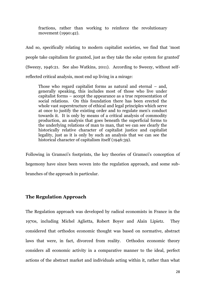fractions, rather than working to reinforce the revolutionary movement (1990:42).

And so, specifically relating to modern capitalist societies, we find that "most people take capitalism for granted, just as they take the solar system for granted" (Sweezy, 1946:21. See also Watkins, 2011). According to Sweezy, without selfreflected critical analysis, most end up living in a mirage:

Those who regard capitalist forms as natural and eternal – and, generally speaking, this includes most of those who live under capitalist forms – accept the appearance as a true representation of social relations. On this foundation there has been erected the whole vast superstructure of ethical and legal principles which serve at once to justify the existing order and to regulate men's conduct towards it. It is only by means of a critical analysis of commodity production, an analysis that goes beneath the superficial forms to the underlying relations of man to man, that we can see clearly the historically relative character of capitalist justice and capitalist legality, just as it is only by such an analysis that we can see the historical character of capitalism itself (1946:39).

Following in Gramsci's footprints, the key theories of Gramsci's conception of hegemony have since been woven into the regulation approach, and some subbranches of the approach in particular.

#### <span id="page-34-0"></span>**The Regulation Approach**

The Regulation approach was developed by radical economists in France in the 1970s, including Michel Aglietta, Robert Boyer and Alain Lipietz. They considered that orthodox economic thought was based on normative, abstract laws that were, in fact, divorced from reality. Orthodox economic theory considers all economic activity in a comparative manner to the ideal, perfect actions of the abstract market and individuals acting within it, rather than what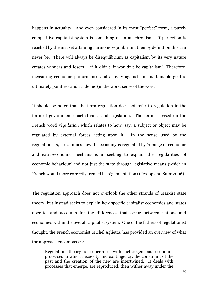happens in actuality. And even considered in its most "perfect" form, a purely competitive capitalist system is something of an anachronism. If perfection is reached by the market attaining harmonic equilibrium, then by definition this can never be. There will always be disequilibrium as capitalism by its very nature creates winners and losers – if it didn't, it wouldn't be capitalism! Therefore, measuring economic performance and activity against an unattainable goal is ultimately pointless and academic (in the worst sense of the word).

It should be noted that the term regulation does not refer to regulation in the form of government-enacted rules and legislation. The term is based on the French word *règulation* which relates to how, say, a subject or object may be regulated by external forces acting upon it. In the sense used by the regulationists, it examines how the economy is regulated by 'a range of economic and extra-economic mechanisms in seeking to explain the 'regularities' of economic behaviour' and not just the state through legislative means (which in French would more correctly termed be réglementation) (Jessop and Sum:2006).

The regulation approach does not overlook the other strands of Marxist state theory, but instead seeks to explain how specific capitalist economies and states operate, and accounts for the differences that occur between nations and economies within the overall capitalist system. One of the fathers of regulationist thought, the French economist Michel Aglietta, has provided an overview of what the approach encompasses:

Regulation theory is concerned with heterogeneous economic processes in which necessity and contingency, the constraint of the past and the creation of the new are intertwined. It deals with processes that emerge, are reproduced, then wither away under the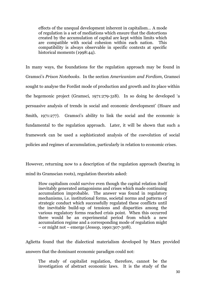effects of the unequal development inherent in capitalism… A mode of regulation is a set of mediations which ensure that the distortions created by the accumulation of capital are kept within limits which are compatible with social cohesion within each nation. This compatibility is always observable in specific contexts at specific historical moments (1998:44).

In many ways, the foundations for the regulation approach may be found in Gramsci"s *Prison Notebooks*. In the section *Americanism and Fordism*, Gramsci sought to analyse the Fordist mode of production and growth and its place within the hegemonic project (Gramsci, 1971:279-318). In so doing he developed "a persuasive analysis of trends in social and economic development" (Hoare and Smith, 1971:277). Gramsci's ability to link the social and the economic is fundamental to the regulation approach. Later, it will be shown that such a framework can be used a sophisticated analysis of the coevolution of social policies and regimes of accumulation, particularly in relation to economic crises.

However, returning now to a description of the regulation approach (bearing in mind its Gramscian roots), regulation theorists asked:

How capitalism could survive even though the capital relation itself inevitably generated antagonisms and crises which made continuing accumulation improbable. The answer was found in regulatory mechanisms, i.e. institutional forms, societal norms and patterns of strategic conduct which successfully regulated these conflicts until the inevitable build-up of tensions and disparities among the various regulatory forms reached crisis point. When this occurred there would be an experimental period from which a new accumulation regime and a corresponding mode of regulation might – or might not – emerge (Jessop, 1990:307-308).

Aglietta found that the dialectical materialism developed by Marx provided answers that the dominant economic paradigm could not:

The study of capitalist regulation, therefore, cannot be the investigation of abstract economic laws. It is the study of the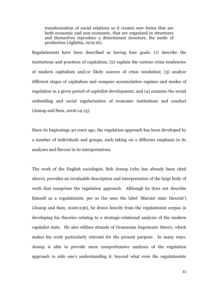transformation of social relations as it creates new forms that are both economic and non-economic, that are organized in structures and themselves reproduce a determinant structure, the mode of production (Aglietta, 1979:16).

Regulationists have been described as having four goals: (1) describe the institutions and practices of capitalism; (2) explain the various crisis tendencies of modern capitalism and/or likely sources of crisis resolution; (3) analyse different stages of capitalism and compare accumulation regimes and modes of regulation in a given period of capitalist development; and (4) examine the social embedding and social regularization of economic institutions and conduct (Jessop and Sum, 2006:14-15).

Since its beginnings 30 years ago, the regulation approach has been developed by a number of individuals and groups, each taking on a different emphasis in its analyses and flavour in its interpretations.

The work of the English sociologist, Bob Jessop (who has already been cited above), provides an invaluable description and interpretation of the large body of work that comprises the regulation approach. Although he does not describe himself as a regulationist, per se (he uses the label 'Marxist state theorist') (Jessop and Sum, 2006:236), he draws heavily from the regulationist corpus in developing his theories relating to a strategic-relational analysis of the modern capitalist state. He also utilises strands of Gramscian hegemonic theory, which makes his work particularly relevant for the present purpose. In many ways, Jessop is able to provide more comprehensive analyses of the regulation approach to aide one"s understanding it, beyond what even the regulationists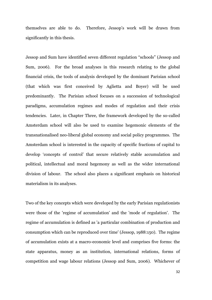themselves are able to do. Therefore, Jessop"s work will be drawn from significantly in this thesis.

Jessop and Sum have identified seven different regulation "schools" (Jessop and Sum, 2006). For the broad analyses in this research relating to the global financial crisis, the tools of analysis developed by the dominant Parisian school (that which was first conceived by Aglietta and Boyer) will be used predominantly. The Parisian school focuses on a succession of technological paradigms, accumulation regimes and modes of regulation and their crisis tendencies. Later, in Chapter Three, the framework developed by the so-called Amsterdam school will also be used to examine hegemonic elements of the transnationalised neo-liberal global economy and social policy programmes. The Amsterdam school is interested in the capacity of specific fractions of capital to develop "concepts of control" that secure relatively stable accumulation and political, intellectual and moral hegemony as well as the wider international division of labour. The school also places a significant emphasis on historical materialism in its analyses.

Two of the key concepts which were developed by the early Parisian regulationists were those of the 'regime of accumulation' and the 'mode of regulation'. The regime of accumulation is defined as 'a particular combination of production and consumption which can be reproduced over time' (Jessop, 1988:150). The regime of accumulation exists at a macro-economic level and comprises five forms: the state apparatus, money as an institution, international relations, forms of competition and wage labour relations (Jessop and Sum, 2006). Whichever of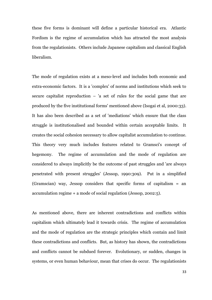these five forms is dominant will define a particular historical era. Atlantic Fordism is the regime of accumulation which has attracted the most analysis from the regulationists. Others include Japanese capitalism and classical English liberalism.

The mode of regulation exists at a meso-level and includes both economic and extra-economic factors. It is a 'complex' of norms and institutions which seek to secure capitalist reproduction  $-$  'a set of rules for the social game that are produced by the five institutional forms' mentioned above (Isogai et al, 2000:33). It has also been described as a set of 'mediations' which ensure that the class struggle is institutionalised and bounded within certain acceptable limits. It creates the social cohesion necessary to allow capitalist accumulation to continue. This theory very much includes features related to Gramsci's concept of hegemony. The regime of accumulation and the mode of regulation are considered to always implicitly be the outcome of past struggles and 'are always penetrated with present struggles' (Jessop, 1990:309). Put in a simplified (Gramscian) way, Jessop considers that specific forms of capitalism = an accumulation regime + a mode of social regulation (Jessop, 2002:5).

As mentioned above, there are inherent contradictions and conflicts within capitalism which ultimately lead it towards crisis. The regime of accumulation and the mode of regulation are the strategic principles which contain and limit these contradictions and conflicts. But, as history has shown, the contradictions and conflicts cannot be subdued forever. Evolutionary, or sudden, changes in systems, or even human behaviour, mean that crises do occur. The regulationists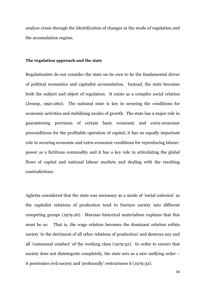analyse crises through the identification of changes in the mode of regulation and the accumulation regime.

#### **The regulation approach and the state**

Regulationists do not consider the state on its own to be the fundamental driver of political economics and capitalist accumulation. Instead, the state becomes both the subject and object of regulation. It exists as a complex social relation (Jessop, 1990:260). The national state is key in securing the conditions for economic activities and stabilising modes of growth. The state has a major role in guaranteeing provision of certain basic economic and extra-economic preconditions for the profitable operation of capital; it has an equally important role in securing economic and extra-economic conditions for reproducing labourpower as a fictitious commodity and it has a key role in articulating the global flows of capital and national labour markets and dealing with the resulting contradictions.

Aglietta considered that the state was necessary as a mode of "social cohesion" as the capitalist relations of production tend to fracture society into different competing groups (1979:26). Marxian historical materialism explains that this must be so. That is, the wage relation becomes the dominant relation within society "to the detriment of all other relations of production" and destroys any and all "communal conduct" of the working class (1979:32). In order to ensure that society does not disintegrate completely, the state acts as a new unifying order – it penetrates civil society and "profoundly" restructures it (1979:32).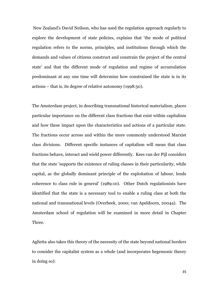New Zealand"s David Neilson, who has used the regulation approach regularly to explore the development of state policies, explains that "the mode of political regulation refers to the norms, principles, and institutions through which the demands and values of citizens construct and constrain the project of the central state" and that the different mode of regulation and regime of accumulation predominant at any one time will determine how constrained the state is in its actions – that is, its degree of relative autonomy (1998:50).

The Amsterdam project, in describing transnational historical materialism, places particular importance on the different class fractions that exist within capitalism and how these impact upon the characteristics and actions of a particular state. The fractions occur across and within the more commonly understood Marxist class divisions. Different specific instances of capitalism will mean that class fractions behave, interact and wield power differently. Kees van der Pijl considers that the state 'supports the existence of ruling classes in their particularity, while capital, as the globally dominant principle of the exploitation of labour, lends coherence to class rule in general' (1989:10). Other Dutch regulationists have identified that the state is a necessary tool to enable a ruling class at both the national and transnational levels (Overbeek, 2000; van Apeldoorn, 2004a). The Amsterdam school of regulation will be examined in more detail in Chapter Three.

Aglietta also takes this theory of the necessity of the state beyond national borders to consider the capitalist system as a whole (and incorporates hegemonic theory in doing so):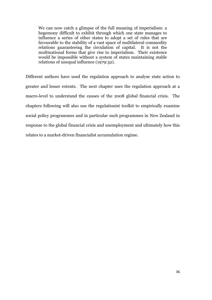We can now catch a glimpse of the full meaning of imperialism: a hegemony difficult to exhibit through which one state manages to influence a series of other states to adopt a set of rules that are favourable to the stability of a vast space of multilateral commodity relations guaranteeing the circulation of capital. It is not the multinational forms that give rise to imperialism. Their existence would be impossible without a system of states maintaining stable relations of unequal influence (1979:32).

Different authors have used the regulation approach to analyse state action to greater and lesser extents. The next chapter uses the regulation approach at a macro-level to understand the causes of the 2008 global financial crisis. The chapters following will also use the regulationist toolkit to empirically examine social policy programmes and in particular such programmes in New Zealand in response to the global financial crisis and unemployment and ultimately how this relates to a market-driven financialist accumulation regime.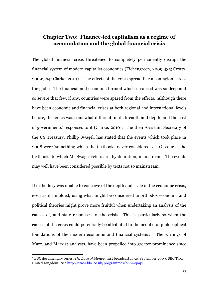# **Chapter Two: Finance-led capitalism as a regime of accumulation and the global financial crisis**

The global financial crisis threatened to completely permanently disrupt the financial system of modern capitalist economies (Eichengreen, 2009:435; Crotty, 2009:564; Clarke, 2010). The effects of the crisis spread like a contagion across the globe. The financial and economic turmoil which it caused was so deep and so severe that few, if any, countries were spared from the effects. Although there have been economic and financial crises at both regional and international levels before, this crisis was somewhat different, in its breadth and depth, and the cost of governments" responses to it (Clarke, 2010). The then Assistant Secretary of the US Treasury, Phillip Swagel, has stated that the events which took place in 2008 were 'something which the textbooks never considered'.9 Of course, the textbooks to which Mr Swagel refers are, by definition, mainstream. The events may well have been considered possible by texts not so mainstream.

If orthodoxy was unable to conceive of the depth and scale of the economic crisis, even as it unfolded, using what might be considered unorthodox economic and political theories might prove more fruitful when undertaking an analysis of the causes of, and state responses to, the crisis. This is particularly so when the causes of the crisis could potentially be attributed to the neoliberal philosophical foundations of the modern economic and financial systems. The writings of Marx, and Marxist analysts, have been propelled into greater prominence since

**.** 

<sup>9</sup> BBC documentary series, *The Love of Money,* first broadcast 17-24 September 2009, BBC Two, United Kingdom. See <http://www.bbc.co.uk/programmes/b00mqmjs>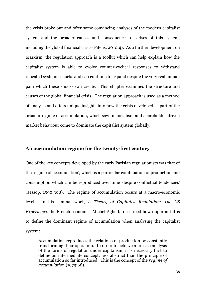the crisis broke out and offer some convincing analyses of the modern capitalist system and the broader causes and consequences of crises of this system, including the global financial crisis (Pitelis, 2010:4). As a further development on Marxism, the regulation approach is a toolkit which can help explain how the capitalist system is able to evolve counter-cyclical responses to withstand repeated systemic shocks and can continue to expand despite the very real human pain which these shocks can create. This chapter examines the structure and causes of the global financial crisis. The regulation approach is used as a method of analysis and offers unique insights into how the crisis developed as part of the broader regime of accumulation, which saw financialism and shareholder-driven market behaviour come to dominate the capitalist system globally.

### **An accumulation regime for the twenty-first century**

One of the key concepts developed by the early Parisian regulationists was that of the 'regime of accumulation', which is a particular combination of production and consumption which can be reproduced over time 'despite conflictual tendencies' (Jessop, 1990:308). The regime of accumulation occurs at a macro-economic level. In his seminal work, *A Theory of Capitalist Regulation: The US Experience*, the French economist Michel Aglietta described how important it is to define the dominant regime of accumulation when analysing the capitalist system:

Accumulation reproduces the relations of production by constantly transforming their operation. In order to achieve a precise analysis of the forms of regulation under capitalism, it is necessary first to define an intermediate concept, less abstract than the principle of accumulation so far introduced. This is the concept of the *regime of accumulation* (1979:68).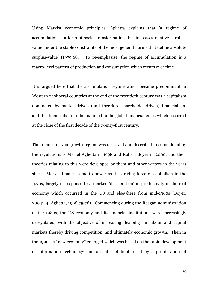Using Marxist economic principles, Aglietta explains that 'a regime of accumulation is a form of social transformation that increases relative surplusvalue under the stable constraints of the most general norms that define absolute surplus-value' (1979:68). To re-emphasise, the regime of accumulation is a macro-level pattern of production and consumption which recurs over time.

It is argued here that the accumulation regime which became predominant in Western neoliberal countries at the end of the twentieth century was a capitalism dominated by market-driven (and therefore shareholder-driven) financialism, and this financialism in the main led to the global financial crisis which occurred at the close of the first decade of the twenty-first century.

The finance-driven growth regime was observed and described in some detail by the regulationists Michel Aglietta in 1998 and Robert Boyer in 2000, and their theories relating to this were developed by them and other writers in the years since. Market finance came to power as the driving force of capitalism in the 1970s, largely in response to a marked 'deceleration' in productivity in the real economy which occurred in the US and elsewhere from mid-1960s (Boyer, 2004:44; Aglietta, 1998:75-76). Commencing during the Reagan administration of the 1980s, the US economy and its financial institutions were increasingly deregulated, with the objective of increasing flexibility in labour and capital markets thereby driving competition, and ultimately economic growth. Then in the 1990s, a "new economy" emerged which was based on the rapid development of information technology and an internet bubble led by a proliferation of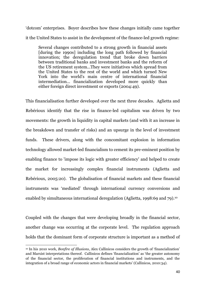"dotcom" enterprises. Boyer describes how these changes initially came together it the United States to assist in the development of the finance-led growth regime:

Several changes contributed to a strong growth in financial assets [during the 1990s] including the long path followed by financial innovation; the deregulation trend that broke down barriers between traditional banks and investment banks and the reform of the US retirement system...They were initiatives which spread from the United States to the rest of the world and which turned New York into the world's main centre of international financial intermediation... financialization developed more quickly than either foreign direct investment or exports (2004:49).

This financialisation further developed over the next three decades. Aglietta and Rebérioux identify that the rise in finance-led capitalism was driven by two movements: the growth in liquidity in capital markets (and with it an increase in the breakdown and transfer of risks) and an upsurge in the level of investment funds. These drivers, along with the concomitant explosion in information technology allowed market-led financialism to cement its pre-eminent position by enabling finance to 'impose its logic with greater efficiency' and helped to create the market for increasingly complex financial instruments (Aglietta and Rebérioux, 2005:20). The globalisation of financial markets and these financial instruments was "mediated" through international currency conversions and enabled by simultaneous international deregulation (Aglietta, 1998:69 and 79).<sup>10</sup>

Coupled with the changes that were developing broadly in the financial sector, another change was occurring at the corporate level. The regulation approach holds that the dominant form of corporate structure is important as a method of

<sup>1</sup> <sup>10</sup> In his 2010 work, *Bonfire of Illusions*, Alex Callinicos considers the growth of "financialization" and Marxist interpretations thereof. Callinicos defines "financialization" as "the greater autonomy of the financial sector, the proliferation of financial institutions and instruments, and the integration of a broad range of economic actors in financial markets' (Callinicos, 2010:34).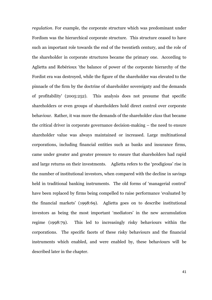*regulation*. For example, the corporate structure which was predominant under Fordism was the hierarchical corporate structure. This structure ceased to have such an important role towards the end of the twentieth century, and the role of the shareholder in corporate structures became the primary one. According to Aglietta and Rebérioux 'the balance of power of the corporate hierarchy of the Fordist era was destroyed, while the figure of the shareholder was elevated to the pinnacle of the firm by the doctrine of shareholder sovereignty and the demands of profitability' (2005:252). This analysis does not presume that specific shareholders or even groups of shareholders hold direct control over corporate behaviour. Rather, it was more the demands of the shareholder *class* that became the critical driver in corporate governance decision-making – the need to ensure shareholder value was always maintained or increased. Large multinational corporations, including financial entities such as banks and insurance firms, came under greater and greater pressure to ensure that shareholders had rapid and large returns on their investments. Aglietta refers to the "prodigious" rise in the number of institutional investors, when compared with the decline in savings held in traditional banking instruments. The old forms of 'managerial control' have been replaced by firms being compelled to raise performance "evaluated by the financial markets" (1998:69). Aglietta goes on to describe institutional investors as being the most important "mediators" in the new accumulation regime (1998:79). This led to increasingly risky behaviours within the corporations. The specific facets of these risky behaviours and the financial instruments which enabled, and were enabled by, these behaviours will be described later in the chapter.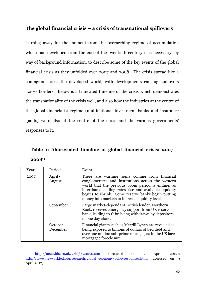## **The global financial crisis – a crisis of transnational spillovers**

Turning away for the moment from the overarching regime of accumulation which had developed from the end of the twentieth century it is necessary, by way of background information, to describe some of the key events of the global financial crisis as they unfolded over 2007 and 2008. The crisis spread like a contagion across the developed world, with developments causing spillovers across borders. Below is a truncated timeline of the crisis which demonstrates the transnationality of the crisis well, and also how the industries at the centre of the global financialist regime (multinational investment banks and insurance giants) were also at the centre of the crisis and the various governments" responses to it.

**Table 1: Abbreviated timeline of global financial crisis: 2007- 2008<sup>11</sup>**

| Year | Period                | Event                                                                                                                                                                                                                                                                                                                      |
|------|-----------------------|----------------------------------------------------------------------------------------------------------------------------------------------------------------------------------------------------------------------------------------------------------------------------------------------------------------------------|
| 2007 | April -<br>August     | There are warning signs coming from financial<br>conglomerates and institutions across the western<br>world that the previous boom period is ending, as<br>inter-bank lending rates rise and available liquidity<br>begins to shrink. Some reserve banks begin putting<br>money into markets to increase liquidity levels. |
|      | September             | Large market-dependant British lender, Northern<br>Rock, receives emergency support from UK reserve<br>bank, leading to £1bn being withdrawn by depositors<br>in one day alone.                                                                                                                                            |
|      | October -<br>December | Financial giants such as Merrill Lynch are revealed as<br>being exposed to billions of dollars of bed debt and<br>over one million sub-prime mortgagors in the US face<br>mortgagee foreclosure.                                                                                                                           |

<sup>&</sup>lt;sup>11</sup> <http://news.bbc.co.uk/2/hi/7521250.stm> (accessed on 9 April 2012); [http://www.newyorkfed.org/research/global\\_economy/policyresponses.html](http://www.newyorkfed.org/research/global_economy/policyresponses.html) (accessed on 9 April 2012).

**.**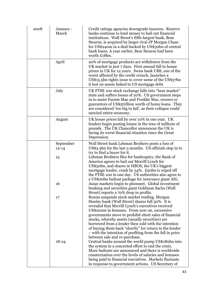| 2008 | January -<br>March           | Credit ratings agencies downgrade insurers. Reserve<br>banks continue to lend money to bail out financial<br>institutions. Wall Street's fifth-largest bank, Bear<br>Stearns, is acquired by larger rival JP Morgan Chase<br>for US\$240m in a deal backed by US\$30bn of central<br>bank loans. A year earlier, Bear Stearns had been<br>worth £18bn.                                                                                                                  |
|------|------------------------------|-------------------------------------------------------------------------------------------------------------------------------------------------------------------------------------------------------------------------------------------------------------------------------------------------------------------------------------------------------------------------------------------------------------------------------------------------------------------------|
|      | April                        | 20% of mortgage products are withdrawn from the<br>UK market in just 7 days. First annual fall in house<br>prices in UK for 12 years. Swiss bank UBS, one of the<br>worst affected by the credit crunch, launches a<br>US\$15.5bn rights issue to cover some of the US\$37bn<br>it lost on assets linked to US mortgage debt.                                                                                                                                           |
|      | July                         | UK FTSE 100 stock exchange falls into "bear market"<br>state and suffers losses of 20%. US government steps<br>in to assist Fannie Mae and Freddie Mac, owners or<br>guarantors of US\$5trillion worth of home loans. They<br>are considered 'too big to fail', as their collapse could<br>unwind entire economy.                                                                                                                                                       |
|      | August                       | UK house prices fall by over 10% in one year. UK<br>lenders begin posting losses in the tens of millions of<br>pounds. The UK Chancellor announces the UK is<br>facing its worst financial situation since the Great<br>Depression.                                                                                                                                                                                                                                     |
|      | September<br>$12 - 14$<br>15 | Wall Street bank Lehman Brothers posts a loss of<br>US\$3.9bn for the last 3 months. US officials step in to<br>try to find a buyer for it.<br>Lehman Brothers files for bankruptcy, the Bank of<br>America agrees to bail out Merrill Lynch for<br>US\$50bn, and shares in HBOS, the UK's biggest<br>mortgage lender, crash by 34%. £50bn is wiped off<br>the FTSE 100 in one day. US authorities also agree to<br>a US\$20bn bailout package for insurance giant AIG. |
|      | 16<br>17                     | Asian markets begin to plummet. Global investment<br>banking and securities giant Goldman Sachs (Wall<br>Street) reports a 70% drop in profits.<br>Russia suspends stock market trading. Morgan<br>Stanley bank (Wall Street) shares fall 30%. It is                                                                                                                                                                                                                    |
|      |                              | revealed that Merrill Lynch's executives received<br>US\$200m in bonuses. From now on, successive<br>governments move to prohibit short sales of financial<br>stocks, whereby assets (usually securities) are<br>borrowed from a lender then sold with the intention<br>of buying them back "shortly" for return to the lender<br>- with the intention of profiting from the fall in price<br>between sale and re-purchase.                                             |
|      | $18 - 24$                    | Central banks around the world pump US\$180bn into<br>the system in a concerted effort to end the crisis.<br>More bailouts are announced and there is worldwide<br>consternation over the levels of salaries and bonuses<br>being paid to financial executives. Markets fluctuate<br>in response to government actions. US Secretary of                                                                                                                                 |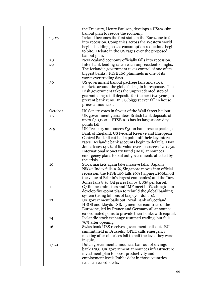| $25 - 27$<br>28<br>29<br>30 | the Treasury, Henry Paulson, develops a US\$700bn<br>bailout plan to rescue the economy.<br>Ireland becomes the first state in the Eurozone to fall<br>into recession. Companies across the Western world<br>begin shedding jobs as consumption reductions begin<br>to bite. Debate in the US rages over the proposed<br>bailout plan.<br>New Zealand economy officially falls into recession.<br>Inter-bank lending rates reach unprecedented highs.<br>The Icelandic government takes control of one of its<br>biggest banks. FTSE 100 plummets in one of its<br>worst-ever trading days.<br>US government bailout package fails and stock<br>markets around the globe fall again in response. The<br>Irish government takes the unprecedented step of<br>guaranteeing retail deposits for the next two years, to<br>prevent bank runs. In US, biggest ever fall in house<br>prices announced. |
|-----------------------------|--------------------------------------------------------------------------------------------------------------------------------------------------------------------------------------------------------------------------------------------------------------------------------------------------------------------------------------------------------------------------------------------------------------------------------------------------------------------------------------------------------------------------------------------------------------------------------------------------------------------------------------------------------------------------------------------------------------------------------------------------------------------------------------------------------------------------------------------------------------------------------------------------|
| October                     | US Senate votes in favour of the Wall Street bailout.                                                                                                                                                                                                                                                                                                                                                                                                                                                                                                                                                                                                                                                                                                                                                                                                                                            |
| $1 - 7$                     | UK government guarantees British bank deposits of<br>up to $£50,000$ . FTSE 100 has its largest one-day<br>points fall.                                                                                                                                                                                                                                                                                                                                                                                                                                                                                                                                                                                                                                                                                                                                                                          |
| $8 - 9$                     | UK Treasury announces £50bn bank rescue package.<br>Bank of England, US Federal Reserve and European<br>Central Bank all cut half a point off their key interest<br>rates. Icelandic bank accounts begin to default. Dow<br>Jones loses 14.7% of its value over six successive days.<br>International Monetary Fund (IMF) announces<br>emergency plans to bail out governments affected by                                                                                                                                                                                                                                                                                                                                                                                                                                                                                                       |
| 10                          | the crisis.<br>Stock markets again take massive falls. Japan's<br>Nikkei Index falls 10%, Singapore moves into official<br>recession, the FTSE 100 falls 10% (wiping £100bn off<br>the value of Britain's largest companies) and the Dow<br>Jones falls 8%. Oil prices fall by US\$5 per barrel.                                                                                                                                                                                                                                                                                                                                                                                                                                                                                                                                                                                                 |
| 11                          | G7 finance ministers and IMF meet in Washington to<br>develop five-point plan to rebuild the global banking<br>system (using billions of taxpayer dollars).                                                                                                                                                                                                                                                                                                                                                                                                                                                                                                                                                                                                                                                                                                                                      |
| 12                          | UK government bails out Royal Bank of Scotland,<br>HBOS and Lloyds TSB. 15 member countries of the<br>Eurozone, led by France and Germany all announce<br>co-ordinated plans to provide their banks with capital.                                                                                                                                                                                                                                                                                                                                                                                                                                                                                                                                                                                                                                                                                |
| 14                          | Icelandic stock exchange resumed trading, but falls<br>76% after opening.                                                                                                                                                                                                                                                                                                                                                                                                                                                                                                                                                                                                                                                                                                                                                                                                                        |
| 16                          | Swiss bank UBS receives government bail-out. EU<br>summit held in Brussels. OPEC calls emergency<br>meeting after oil prices fall to half the level they were<br>in July.                                                                                                                                                                                                                                                                                                                                                                                                                                                                                                                                                                                                                                                                                                                        |
| $17 - 21$                   | Dutch government announces bail-out of savings<br>bank ING. UK government announces infrastructure<br>investment plan to boost productivity and<br>employment levels Public debt in those countries<br>reaches record levels.                                                                                                                                                                                                                                                                                                                                                                                                                                                                                                                                                                                                                                                                    |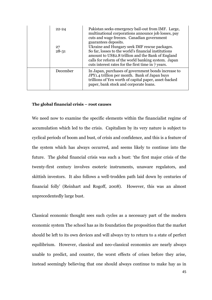| $22 - 24$<br>27<br>$28 - 31$ | Pakistan seeks emergency bail-out from IMF. Large,<br>multinational corporations announce job losses, pay<br>cuts and wage freezes. Canadian government<br>guarantees deposits.<br>Ukraine and Hungary seek IMF rescue packages.<br>So far, losses to the world's financial institutions<br>amount to US\$2.8 trillion and the Bank of England<br>calls for reform of the world banking system. Japan<br>cuts interest rates for the first time in 7 years. |
|------------------------------|-------------------------------------------------------------------------------------------------------------------------------------------------------------------------------------------------------------------------------------------------------------------------------------------------------------------------------------------------------------------------------------------------------------------------------------------------------------|
| December                     | In Japan, purchases of government bonds increase to<br>JPY1.4 trillion per month. Bank of Japan buys<br>trillions of Yen worth of capital paper, asset-backed<br>paper, bank stock and corporate loans.                                                                                                                                                                                                                                                     |

### **The global financial crisis – root causes**

We need now to examine the specific elements within the financialist regime of accumulation which led to the crisis. Capitalism by its very nature is subject to cyclical periods of boom and bust, of crisis and confidence, and this is a feature of the system which has always occurred, and seems likely to continue into the future. The global financial crisis was such a bust: "the first major crisis of the twenty-first century involves esoteric instruments, unaware regulators, and skittish investors. It also follows a well-trodden path laid down by centuries of financial folly" (Reinhart and Rogoff, 2008). However, this was an almost unprecedentedly large bust.

Classical economic thought sees such cycles as a necessary part of the modern economic system The school has as its foundation the proposition that the market should be left to its own devices and will always try to return to a state of perfect equilibrium. However, classical and neo-classical economics are nearly always unable to predict, and counter, the worst effects of crises before they arise, instead seemingly believing that one should always continue to make hay as in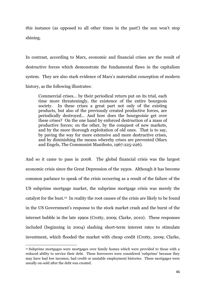*this* instance (as opposed to all other times in the past!) the sun won't stop shining.

In contrast, according to Marx, economic and financial crises are the result of destructive forces which demonstrate the fundamental flaws in the capitalism system. They are also stark evidence of Marx"s materialist conception of modern history, as the following illustrates:

Commercial crises… by their periodical return put on its trial, each time more threateningly, the existence of the entire bourgeois society. In these crises a great part not only of the existing products, but also of the previously created productive forces, are periodically destroyed… And how does the bourgeoisie get over these crises? On the one hand by enforced destruction of a mass of productive forces; on the other, by the conquest of new markets, and by the more thorough exploitation of old ones. That is to say, by paving the way for more extensive and more destructive crises, and by diminishing the means whereby crises are prevented (Marx and Engels, The Communist Manifesto, 1967:225-226).

And so it came to pass in 2008. The global financial crisis was the largest economic crisis since the Great Depression of the 1930s. Although it has become common parlance to speak of the crisis occurring as a result of the failure of the US subprime mortgage market, the subprime mortgage crisis was merely the catalyst for the bust.12 In reality the root causes of the crisis are likely to be found in the US Government"s response to the stock market crash and the burst of the internet bubble in the late 1990s (Crotty, 2009; Clarke, 2010). These responses included (beginning in 2004) slashing short-term interest rates to stimulate investment, which flooded the market with cheap credit (Crotty, 2009; Clarke,

1

<sup>12</sup> Subprime mortgages were mortgages over family homes which were provided to those with a reduced ability to service their debt. These borrowers were considered "subprime" because they may have had low incomes, bad credit or unstable employment histories. These mortgages were usually on-sold after the debt was created.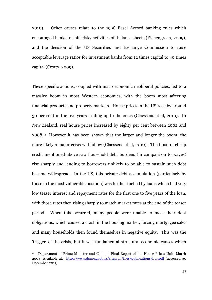2010). Other causes relate to the 1998 Basel Accord banking rules which encouraged banks to shift risky activities off balance sheets (Eichengreen, 2009), and the decision of the US Securities and Exchange Commission to raise acceptable leverage ratios for investment banks from 12 times capital to 40 times capital (Crotty, 2009).

These specific actions, coupled with macroeconomic neoliberal policies, led to a massive boom in most Western economies, with the boom most affecting financial products and property markets. House prices in the US rose by around 30 per cent in the five years leading up to the crisis (Claessens et al, 2010). In New Zealand, real house prices increased by eighty per cent between 2002 and 2008.13 However it has been shown that the larger and longer the boom, the more likely a major crisis will follow (Claessens et al, 2010). The flood of cheap credit mentioned above saw household debt burdens (in comparison to wages) rise sharply and lending to borrowers unlikely to be able to sustain such debt became widespread. In the US, this private debt accumulation (particularly by those in the most vulnerable position) was further fuelled by loans which had very low teaser interest and repayment rates for the first one to five years of the loan, with those rates then rising sharply to match market rates at the end of the teaser period. When this occurred, many people were unable to meet their debt obligations, which caused a crash in the housing market, forcing mortgagee sales and many households then found themselves in negative equity. This was the 'trigger' of the crisis, but it was fundamental structural economic causes which

**.** 

<sup>13</sup> Department of Prime Minister and Cabinet, Final Report of the House Prices Unit, March 2008. Available at: <http://www.dpmc.govt.nz/sites/all/files/publications/hpr.pdf> (accessed 30 December 2011).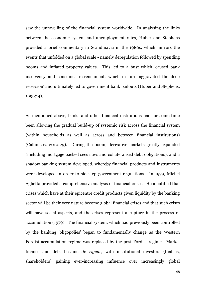saw the unravelling of the financial system worldwide. In analysing the links between the economic system and unemployment rates, Huber and Stephens provided a brief commentary in Scandinavia in the 1980s, which mirrors the events that unfolded on a global scale - namely deregulation followed by spending booms and inflated property values. This led to a bust which "caused bank insolvency and consumer retrenchment, which in turn aggravated the deep recession" and ultimately led to government bank bailouts (Huber and Stephens, 1999:14).

As mentioned above, banks and other financial institutions had for some time been allowing the gradual build-up of systemic risk across the financial system (within households as well as across and between financial institutions) (Callinicos, 2010:29). During the boom, derivative markets greatly expanded (including mortgage backed securities and collateralised debt obligations), and a shadow banking system developed, whereby financial products and instruments were developed in order to sidestep government regulations. In 1979, Michel Aglietta provided a comprehensive analysis of financial crises. He identified that crises which have at their epicentre credit products given liquidity by the banking sector will be their very nature become global financial crises and that such crises will have social aspects, and the crises represent a rupture in the process of accumulation (1979). The financial system, which had previously been controlled by the banking 'oligopolies' began to fundamentally change as the Western Fordist accumulation regime was replaced by the post-Fordist regime. Market finance and debt became *de rigeur*, with institutional investors (that is, shareholders) gaining ever-increasing influence over increasingly global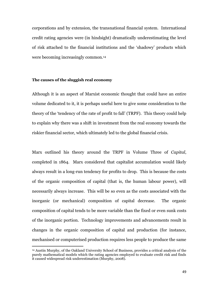corporations and by extension, the transnational financial system. International credit rating agencies were (in hindsight) dramatically underestimating the level of risk attached to the financial institutions and the "shadowy" products which were becoming increasingly common.<sup>14</sup>

#### **The causes of the sluggish real economy**

1

Although it is an aspect of Marxist economic thought that could have an entire volume dedicated to it, it is perhaps useful here to give some consideration to the theory of the "tendency of the rate of profit to fall" (TRPF). This theory could help to explain why there was a shift in investment from the real economy towards the riskier financial sector, which ultimately led to the global financial crisis.

Marx outlined his theory around the TRPF in Volume Three of *Capital*, completed in 1864. Marx considered that capitalist accumulation would likely always result in a long-run tendency for profits to drop. This is because the costs of the organic composition of capital (that is, the human labour power), will necessarily always increase. This will be so even as the costs associated with the inorganic (or mechanical) composition of capital decrease. The organic composition of capital tends to be more variable than the fixed or even sunk costs of the inorganic portion. Technology improvements and advancements result in changes in the organic composition of capital and production (for instance, mechanised or computerised production requires less people to produce the same

<sup>14</sup> Austin Murphy, of the Oakland University School of Business, provides a critical analysis of the purely mathematical models which the rating agencies employed to evaluate credit risk and finds it caused widespread risk underestimation (Murphy, 2008).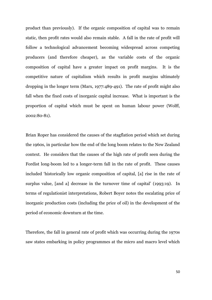product than previously). If the organic composition of capital was to remain static, then profit rates would also remain stable. A fall in the rate of profit will follow a technological advancement becoming widespread across competing producers (and therefore cheaper), as the variable costs of the organic composition of capital have a greater impact on profit margins. It is the competitive nature of capitalism which results in profit margins ultimately dropping in the longer term (Marx, 1977:489-491). The rate of profit might also fall when the fixed costs of inorganic capital increase. What is important is the proportion of capital which must be spent on human labour power (Wolff, 2002:80-81).

Brian Roper has considered the causes of the stagflation period which set during the 1960s, in particular how the end of the long boom relates to the New Zealand context. He considers that the causes of the high rate of profit seen during the Fordist long-boom led to a longer-term fall in the rate of profit. These causes included "historically low organic composition of capital, [a] rise in the rate of surplus value, [and a] decrease in the turnover time of capital" (1993:19). In terms of regulationist interpretations, Robert Boyer notes the escalating price of inorganic production costs (including the price of oil) in the development of the period of economic downturn at the time.

Therefore, the fall in general rate of profit which was occurring during the 1970s saw states embarking in policy programmes at the micro and macro level which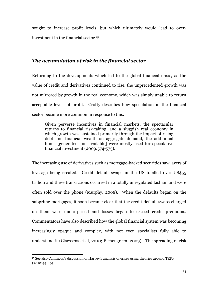sought to increase profit levels, but which ultimately would lead to overinvestment in the financial sector.<sup>15</sup>

### *The accumulation of risk in the financial sector*

Returning to the developments which led to the global financial crisis, as the value of credit and derivatives continued to rise, the unprecedented growth was not mirrored by growth in the real economy, which was simply unable to return acceptable levels of profit. Crotty describes how speculation in the financial sector became more common in response to this:

Given perverse incentives in financial markets, the spectacular returns to financial risk-taking, and a sluggish real economy in which growth was sustained primarily through the impact of rising debt and financial wealth on aggregate demand, the additional funds [generated and available] were mostly used for speculative financial investment (2009:574-575).

The increasing use of derivatives such as mortgage-backed securities saw layers of leverage being created. Credit default swaps in the US totalled over US\$55 trillion and these transactions occurred in a totally unregulated fashion and were often sold over the phone (Murphy, 2008). When the defaults began on the subprime mortgages, it soon became clear that the credit default swaps charged on them were under-priced and losses began to exceed credit premiums. Commentators have also described how the global financial system was becoming increasingly opaque and complex, with not even specialists fully able to understand it (Claessens et al, 2010; Eichengreen, 2009). The spreading of risk

**.** 

<sup>15</sup> See also Callinicos"s discussion of Harvey"s analysis of crises using theories around TRPF (2010:44-49).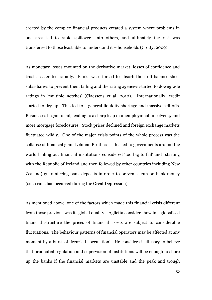created by the complex financial products created a system where problems in one area led to rapid spillovers into others, and ultimately the risk was transferred to those least able to understand it – households (Crotty, 2009).

As monetary losses mounted on the derivative market, losses of confidence and trust accelerated rapidly. Banks were forced to absorb their off-balance-sheet subsidiaries to prevent them failing and the rating agencies started to downgrade ratings in "multiple notches" (Claessens et al, 2010). Internationally, credit started to dry up. This led to a general liquidity shortage and massive sell-offs. Businesses began to fail, leading to a sharp leap in unemployment, insolvency and more mortgage foreclosures. Stock prices declined and foreign exchange markets fluctuated wildly. One of the major crisis points of the whole process was the collapse of financial giant Lehman Brothers – this led to governments around the world bailing out financial institutions considered "too big to fail" and (starting with the Republic of Ireland and then followed by other countries including New Zealand) guaranteeing bank deposits in order to prevent a run on bank money (such runs had occurred during the Great Depression).

As mentioned above, one of the factors which made this financial crisis different from those previous was its global quality. Aglietta considers how in a globalised financial structure the prices of financial assets are subject to considerable fluctuations. The behaviour patterns of financial operators may be affected at any moment by a burst of 'frenzied speculation'. He considers it illusory to believe that prudential regulation and supervision of institutions will be enough to shore up the banks if the financial markets are unstable and the peak and trough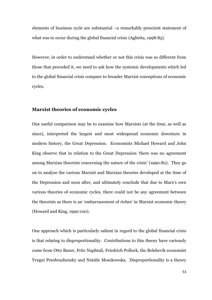elements of business cycle are substantial –a remarkably prescient statement of what was to occur during the global financial crisis (Aglietta, 1998:85).

However, in order to understand whether or not this crisis was so different from those that preceded it, we need to ask how the systemic developments which led to the global financial crisis compare to broader Marxist conceptions of economic cycles.

#### **Marxist theories of economic cycles**

One useful comparison may be to examine how Marxists (at the time, as well as since), interpreted the largest and most widespread economic downturn in modern history, the Great Depression. Economists Michael Howard and John King observe that in relation to the Great Depression "there was no agreement among Marxian theorists concerning the nature of the crisis" (1990:82). They go on to analyse the various Marxist and Marxian theories developed at the time of the Depression and soon after, and ultimately conclude that due to Marx"s own various theories of economic cycles, there could not be any agreement between the theorists as there is an "embarrassment of riches" in Marxist economic theory (Howard and King, 1990:100).

One approach which is particularly salient in regard to the global financial crisis is that relating to disproportionality. Contributions to this theory have variously come from Otto Bauer, Fritz Naphtali, Friedrich Pollock, the Bolshevik economist Yvegni Preobrazhensky and Natalie Moszkowska. Disproportionality is a theory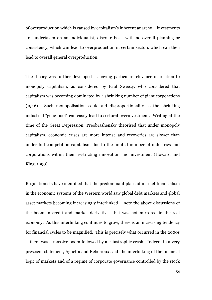of overproduction which is caused by capitalism"s inherent anarchy – investments are undertaken on an individualist, discrete basis with no overall planning or consistency, which can lead to overproduction in certain sectors which can then lead to overall general overproduction.

The theory was further developed as having particular relevance in relation to monopoly capitalism, as considered by Paul Sweezy, who considered that capitalism was becoming dominated by a shrinking number of giant corporations (1946). Such monopolisation could aid disproportionality as the shrinking industrial "gene-pool" can easily lead to sectoral overinvestment. Writing at the time of the Great Depression, Preobrashensky theorised that under monopoly capitalism, economic crises are more intense and recoveries are slower than under full competition capitalism due to the limited number of industries and corporations within them restricting innovation and investment (Howard and King, 1990).

Regulationists have identified that the predominant place of market financialism in the economic systems of the Western world saw global debt markets and global asset markets becoming increasingly interlinked – note the above discussions of the boom in credit and market derivatives that was not mirrored in the real economy. As this interlinking continues to grow, there is an increasing tendency for financial cycles to be magnified. This is precisely what occurred in the 2000s – there was a massive boom followed by a catastrophic crash. Indeed, in a very prescient statement, Aglietta and Rebérioux said 'the interlinking of the financial logic of markets and of a regime of corporate governance controlled by the stock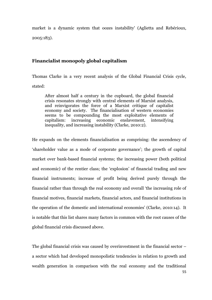market is a dynamic system that oozes instability' (Aglietta and Rebérioux, 2005:183).

## **Financialist monopoly global capitalism**

Thomas Clarke in a very recent analysis of the Global Financial Crisis cycle, stated:

After almost half a century in the cupboard, the global financial crisis resonates strongly with central elements of Marxist analysis, and reinvigorates the force of a Marxist critique of capitalist economy and society. The financialisation of western economies seems to be compounding the most exploitative elements of capitalism: increasing economic enslavement, intensifying inequality, and increasing instability (Clarke, 2010:2).

He expands on the elements financialisation as comprising: the ascendency of 'shareholder value as a mode of corporate governance'; the growth of capital market over bank-based financial systems; the increasing power (both political and economic) of the rentier class; the "explosion" of financial trading and new financial instruments; increase of profit being derived purely through the financial rather than through the real economy and overall "the increasing role of financial motives, financial markets, financial actors, and financial institutions in the operation of the domestic and international economies' (Clarke, 2010:14). It is notable that this list shares many factors in common with the root causes of the global financial crisis discussed above.

55 The global financial crisis was caused by overinvestment in the financial sector – a sector which had developed monopolistic tendencies in relation to growth and wealth generation in comparison with the real economy and the traditional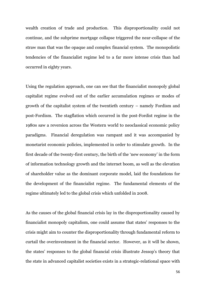wealth creation of trade and production. This disproportionality could not continue, and the subprime mortgage collapse triggered the near-collapse of the straw man that was the opaque and complex financial system. The monopolistic tendencies of the financialist regime led to a far more intense crisis than had occurred in eighty years.

Using the regulation approach, one can see that the financialist monopoly global capitalist regime evolved out of the earlier accumulation regimes or modes of growth of the capitalist system of the twentieth century – namely Fordism and post-Fordism. The stagflation which occurred in the post-Fordist regime in the 1980s saw a reversion across the Western world to neoclassical economic policy paradigms. Financial deregulation was rampant and it was accompanied by monetarist economic policies, implemented in order to stimulate growth. In the first decade of the twenty-first century, the birth of the "new economy" in the form of information technology growth and the internet boom, as well as the elevation of shareholder value as the dominant corporate model, laid the foundations for the development of the financialist regime. The fundamental elements of the regime ultimately led to the global crisis which unfolded in 2008.

As the causes of the global financial crisis lay in the disproportionality caused by financialist monopoly capitalism, one could assume that states' responses to the crisis might aim to counter the disproportionality through fundamental reform to curtail the overinvestment in the financial sector. However, as it will be shown, the states' responses to the global financial crisis illustrate Jessop's theory that the state in advanced capitalist societies exists in a strategic-relational space with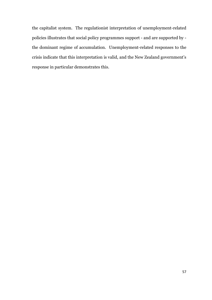the capitalist system. The regulationist interpretation of unemployment-related policies illustrates that social policy programmes support - and are supported by the dominant regime of accumulation. Unemployment-related responses to the crisis indicate that this interpretation is valid, and the New Zealand government"s response in particular demonstrates this.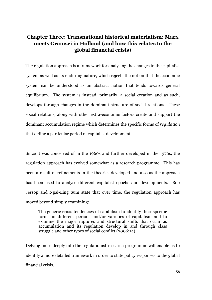# **Chapter Three: Transnational historical materialism: Marx meets Gramsci in Holland (and how this relates to the global financial crisis)**

The regulation approach is a framework for analysing the changes in the capitalist system as well as its enduring nature, which rejects the notion that the economic system can be understood as an abstract notion that tends towards general equilibrium. The system is instead, primarily, a social creation and as such, develops through changes in the dominant structure of social relations. These social relations, along with other extra-economic factors create and support the dominant accumulation regime which determines the specific forms of *règulation* that define a particular period of capitalist development.

Since it was conceived of in the 1960s and further developed in the 1970s, the regulation approach has evolved somewhat as a research programme. This has been a result of refinements in the theories developed and also as the approach has been used to analyse different capitalist epochs and developments. Bob Jessop and Ngai-Ling Sum state that over time, the regulation approach has moved beyond simply examining:

The generic crisis tendencies of capitalism to identify their specific forms in different periods and/or varieties of capitalism and to examine the major ruptures and structural shifts that occur as accumulation and its regulation develop in and through class struggle and other types of social conflict (2006:14).

Delving more deeply into the regulationist research programme will enable us to identify a more detailed framework in order to state policy responses to the global financial crisis.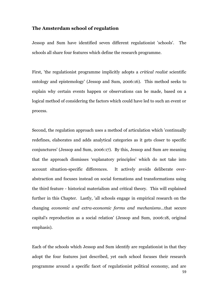## **The Amsterdam school of regulation**

Jessop and Sum have identified seven different regulationist 'schools'. The schools all share four features which define the research programme.

First, 'the regulationist programme implicitly adopts a *critical realist* scientific ontology and epistemology' (Jessop and Sum, 2006:16). This method seeks to explain why certain events happen or observations can be made, based on a logical method of considering the factors which could have led to such an event or process.

Second, the regulation approach uses a method of articulation which 'continually redefines, elaborates and adds analytical categories as it gets closer to specific conjunctures' (Jessop and Sum, 2006:17). By this, Jessop and Sum are meaning that the approach dismisses "explanatory principles" which do not take into account situation-specific differences. It actively avoids deliberate overabstraction and focuses instead on social formations and transformations using the third feature - historical materialism and critical theory. This will explained further in this Chapter. Lastly, 'all schools engage in empirical research on the changing *economic and extra-economic forms and mechanisms*...that secure capital's reproduction as a social relation' (Jessop and Sum, 2006:18, original emphasis).

59 Each of the schools which Jessop and Sum identify are regulationist in that they adopt the four features just described, yet each school focuses their research programme around a specific facet of regulationist political economy, and are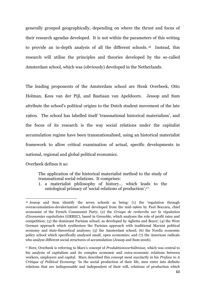generally grouped geographically, depending on where the thrust and focus of their research agendas developed. It is not within the parameters of this writing to provide an in-depth analysis of all the different schools. <sup>16</sup> Instead, this research will utilise the principles and theories developed by the so-called Amsterdam school, which was (obviously) developed in the Netherlands.

The leading proponents of the Amsterdam school are Henk Overbeek, Otto Holman, Kees van der Pijl, and Bastiaan van Apeldoorn. Jessop and Sum attribute the school's political origins to the Dutch student movement of the late 1960s. The school has labelled itself 'transnational historical materialism', and the focus of its research is the way social relations under the capitalist accumulation regime have been transnationalised, using an historical materialist framework to allow critical examination of actual, specific developments in national, regional and global political economics.

Overbeek defines it as:

 $\overline{a}$ 

The application of the historical materialist method to the study of transnational social relations. It comprises:

1. a materialist philosophy of history... which leads to the ontological primacy of 'social relations of production';<sup>17</sup>

<sup>16</sup> Jessop and Sum identify the seven schools as being: (1) the 'regulation through overaccumulation-devalorization' school developed from the mid-1960s by Paul Boccara, chief economist of the French Communist Party; (2) the *Groupe de recherche sur la règulation d'économies capitalistes* (GRREC), based in Grenoble, which analyses the role of profit rates and competition; (3) the dominant Parisian school, as developed by Aglietta and Boyer; (4) the West German approach which synthesises the Parisian approach with traditional Marxist political economy and state-theoretical analyses; (5) the Amsterdam school; (6) the Nordic economic policy school which specifically analysed small, open economies; and (7) the American radicals who analyse different social structures of accumulation (Jessop and Sum:2006).

<sup>17</sup> Here, Overbeek is referring to Marx"s concept of *Produktionsverhältnisse,* which was central to his analysis of capitalism and its complex economic and extra-economic relations between workers, employers and capital. Marx described this concept most succinctly in his *Preface to A Critique of Political Economy*: "In the social production of their life, men enter into definite relations that are indispensable and independent of their will, relations of production which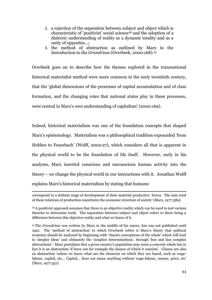- 2. a rejection of the separation between subject and object which is characteristic of 'positivist' social science<sup>18</sup> and the adoption of a dialectic understanding of reality as a dynamic totality and as a unity of opposites...;
- 3. the method of abstraction as outlined by Marx in the Introduction to the *Grundrisse* (Overbeek, 2000:168).<sup>19</sup>

Overbeek goes on to describe how the themes explored in the transnational historical materialist method were more common in the early twentieth century, that the "global dimensions of the processes of capital accumulation and of class formation, and the changing roles that national states play in these processes, were central in Marx's own understanding of capitalism' (2000:169).

Indeed, historical materialism was one of the foundation concepts that shaped Marx"s epistemology. Materialism was a philosophical tradition expounded "from Hobbes to Feuerbach" (Wolff, 2002:27), which considers all that is apparent in the physical world to be the foundation of life itself. However, early in his analyses, Marx inserted conscious and unconscious human activity into the theory – we change the physical world in our interactions with it. Jonathan Wolff explains Marx"s historical materialism by stating that humans:

**<sup>.</sup>** correspond to a definite stage of development of their material productive forces. The sum total of these relations of production constitutes the economic structure of society" (Marx, 1977:389).

<sup>&</sup>lt;sup>18</sup> A positivist approach assumes that there is an objective reality which can be used to test various theories to determine truth. The separation between subject and object refers to there being a difference between this objective reality and what we know of it.

<sup>19</sup> The *Grundrisse* was written by Marx in the middle of his career, but was not published until 1941. The "method of abstraction" to which Overbeek refers is Marx"s theory that political economy should be analysed by beginning with "chaotic conceptions of the whole" which will lead to 'simpler ideas' and ultimately the 'simplest determinations', through 'less and less complex abstractions". Marx postulates that a given country"s population may seem a concrete whole but in fact it is an abstraction 'if leave out for example the classes of which it consists'. Classes are also an abstraction "unless we know what are the elements on which they are based, such as wagelabour, capital, etc... Capital... does not mean anything without wage-labour, money, price, etc' (Marx, 1977:351).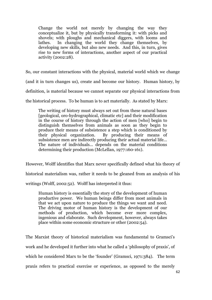Change the world not merely by changing the way they conceptualize it, but by physically transforming it: with picks and shovels; with ploughs and mechanical diggers, with looms and lathes. In changing the world they change themselves, by developing new skills, but also new needs. And this, in turn, gives rise to new forms of interactions, another aspect of our practical activity (2002:28).

So, our constant interactions with the physical, material world which we change

(and it in turn changes us), create and become our history. Human history, by

definition, is material because we cannot separate our physical interactions from

the historical process. To be human is to act materially. As stated by Marx:

The writing of history must always set out from these natural bases [geological, oro-hydrographical, climatic etc] and their modification in the course of history through the action of men [who] begin to distinguish themselves from animals as soon as they begin to produce their means of subsistence a step which is conditioned by their physical organization. By producing their means of subsistence men are indirectly producing their actual material life... The nature of individuals... depends on the material conditions determining their production (McLellan, 1977:160-161).

However, Wolff identifies that Marx never specifically defined what his theory of

historical materialism was, rather it needs to be gleaned from an analysis of his

writings (Wolff, 2002:52). Wolff has interpreted it thus:

Human history is essentially the story of the development of human productive power. We human beings differ from most animals in that we act upon nature to produce the things we want and need. The driving motor of human history is the development of our methods of production, which become ever more complex, ingenious and elaborate. Such development, however, always takes place within some economic structure or other (2002:54).

The Marxist theory of historical materialism was fundamental to Gramsci"s work and he developed it further into what he called a 'philosophy of praxis', of which he considered Marx to be the 'founder' (Gramsci, 1971:384). The term praxis refers to practical exercise or experience, as opposed to the merely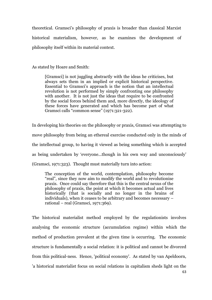theoretical. Gramsci"s philosophy of praxis is broader than classical Marxist historical materialism, however, as he examines the development of philosophy itself within its material context.

As stated by Hoare and Smith:

[Gramsci] is not juggling abstractly with the ideas he criticises, but always sets them in an implied or explicit historical perspective. Essential to Gramsci"s approach is the notion that an intellectual revolution is not performed by simply confronting one philosophy with another. It is not just the ideas that require to be confronted by the social forces behind them and, more directly, the ideology of these forces have generated and which has become part of what Gramsci calls "common sense" (1971:321-322).

In developing his theories on the philosophy or praxis, Gramsci was attempting to move philosophy from being an ethereal exercise conducted only in the minds of the intellectual group, to having it viewed as being something which is accepted as being undertaken by "everyone...though in his own way and unconsciously" (Gramsci, 1971:323). Thought must materially turn into action:

The conception of the world, contemplation, philosophy become "real", since they now aim to modify the world and to revolutionise praxis. Once could say therefore that this is the central nexus of the philosophy of praxis, the point at which it becomes actual and lives historically (that is socially and no longer in the brains of individuals), when it ceases to be arbitrary and becomes necessary – rational – real (Gramsci, 1971:369).

The historical materialist method employed by the regulationists involves analysing the economic structure (accumulation regime) within which the method of production prevalent at the given time is occurring. The economic structure is fundamentally a social relation: it is political and cannot be divorced from this political-ness. Hence, 'political economy'. As stated by van Apeldoorn, 'a historical materialist focus on social relations in capitalism sheds light on the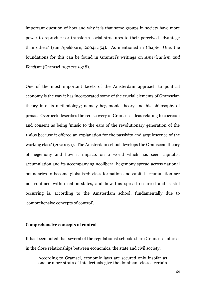important question of how and why it is that some groups in society have more power to reproduce or transform social structures to their perceived advantage than others' (van Apeldoorn, 2004a:154). As mentioned in Chapter One, the foundations for this can be found in Gramsci"s writings on *Americanism and Fordism* (Gramsci, 1971:279-318).

One of the most important facets of the Amsterdam approach to political economy is the way it has incorporated some of the crucial elements of Gramscian theory into its methodology; namely hegemonic theory and his philosophy of praxis. Overbeek describes the rediscovery of Gramsci's ideas relating to coercion and consent as being 'music to the ears of the revolutionary generation of the 1960s because it offered an explanation for the passivity and acquiescence of the working class' (2000:171). The Amsterdam school develops the Gramscian theory of hegemony and how it impacts on a world which has seen capitalist accumulation and its accompanying neoliberal hegemony spread across national boundaries to become globalised: class formation and capital accumulation are not confined within nation-states, and how this spread occurred and is still occurring is, according to the Amsterdam school, fundamentally due to 'comprehensive concepts of control'.

#### **Comprehensive concepts of control**

It has been noted that several of the regulationist schools share Gramsci's interest in the close relationships between economics, the state and civil society:

According to Gramsci, economic laws are secured only insofar as one or more strata of intellectuals give the dominant class a certain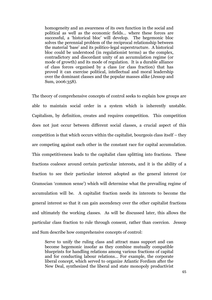homogeneity and an awareness of its own function in the social and political as well as the economic fields… where these forces are successful, a "historical bloc" will develop. The hegemonic bloc solves the perennial problem of the reciprocal relationship between the material "base" and its politico-legal superstructure. A historical bloc could be understood (in regulationist terms) as the complex, contradictory and discordant unity of an accumulation regime (or mode of growth) and its mode of regulation. It is a durable alliance of class forces organised by a class (or class fraction) that has proved it can exercise political, intellectual and moral leadership over the dominant classes and the popular masses alike (Jessop and Sum, 2006:358).

The theory of comprehensive concepts of control seeks to explain how groups are able to maintain social order in a system which is inherently unstable. Capitalism, by definition, creates and requires competition. This competition does not just occur between different social classes, a crucial aspect of this competition is that which occurs within the capitalist, bourgeois class itself – they are competing against each other in the constant race for capital accumulation. This competitiveness leads to the capitalist class splitting into fractions. These fractions coalesce around certain particular interests, and it is the ability of a fraction to see their particular interest adopted as the general interest (or Gramscian "common sense") which will determine what the prevailing regime of accumulation will be. A capitalist fraction needs its interests to become the general interest so that it can gain ascendency over the other capitalist fractions and ultimately the working classes. As will be discussed later, this allows the particular class fraction to rule through consent, rather than coercion. Jessop and Sum describe how comprehensive concepts of control:

Serve to unify the ruling class and attract mass support and can become hegemonic insofar as they combine mutually compatible blueprints for handling relations among various fractions of capital and for conducting labour relations… For example, the corporate liberal concept, which served to organize Atlantic Fordism after the New Deal, synthesized the liberal and state monopoly productivist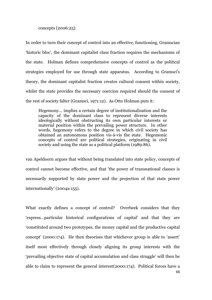concepts (2006:25).

In order to turn their concept of control into an effective, functioning, Gramscian 'historic bloc', the dominant capitalist class fraction requires the mechanisms of the state. Holman defines comprehensive concepts of control as the political strategies employed for use through state apparatus. According to Gramsci's theory, the dominant capitalist fraction creates cultural consent within society, whilst the state provides the necessary coercion required should the consent of the rest of society falter (Gramsci, 1971:12). As Otto Holman puts it:

Hegemony... implies a certain degree of institutionalization and the capacity of the dominant class to represent diverse interests ideologically without obstructing its own particular interests or material position within the prevailing power structure. In other words, hegemony refers to the degree in which civil society has obtained an autonomous position vis-à-vis the state. Hegemonic concepts of control are political strategies, originating in civil society and using the state as a political platform (1989:86).

van Apeldoorn argues that without being translated into state policy, concepts of control cannot become effective, and that 'the power of transnational classes is necessarily supported by state power and the projection of that state power internationally' (2004a:155).

What exactly defines a concept of control? Overbeek considers that they "express…particular historical configurations of capital" and that they are "constituted around two prototypes, the money capital and the productive capital concept" (2000:174). He then theorises that whichever group is able to "assert" itself most effectively through closely aligning its group interests with the "prevailing objective state of capital accumulation and class struggle" will then be able to claim to represent the general interest(2000:174). Political forces have a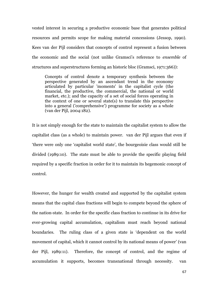vested interest in securing a productive economic base that generates political resources and permits scope for making material concessions (Jessop, 1990). Kees van der Pijl considers that concepts of control represent a fusion between the economic and the social (not unlike Gramsci"s reference to *ensemble* of structures and superstructures forming an historic bloc (Gramsci, 1971:366)):

Concepts of control denote a temporary synthesis between the perspective generated by an ascendant trend in the economy articulated by particular 'moments' in the capitalist cycle (the financial, the productive, the commercial, the national or world market, etc.); and the capacity of a set of social forces operating in the context of one or several state(s) to translate this perspective into a general ('comprehensive') programme for society as a whole (van der Pijl, 2004:182).

It is not simply enough for the state to maintain the capitalist system to allow the capitalist class (as a whole) to maintain power. van der Pijl argues that even if "there were only one "capitalist world state", the bourgeoisie class would still be divided (1989:10). The state must be able to provide the specific playing field required by a specific fraction in order for it to maintain its hegemonic concept of control.

However, the hunger for wealth created and supported by the capitalist system means that the capital class fractions will begin to compete beyond the sphere of the nation-state. In order for the specific class fraction to continue in its drive for ever-growing capital accumulation, capitalism must reach beyond national boundaries. The ruling class of a given state is "dependent on the world movement of capital, which it cannot control by its national means of power" (van der Pijl, 1989:11). Therefore, the concept of control, and the regime of accumulation it supports, becomes transnational through necessity. van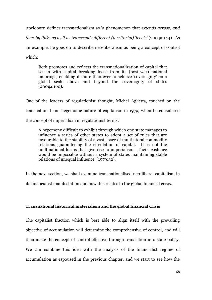Apeldoorn defines transnationalism as 'a phenomenon that *extends across, and thereby links as well as transcends different (territorial) 'levels'* (2004a:144). As an example, he goes on to describe neo-liberalism as being a concept of control which:

Both promotes and reflects the transnationalization of capital that set in with capital breaking loose from its (post-war) national moorings, enabling it more than ever to achieve 'sovereignty' on a global scale above and beyond the sovereignty of states (2004a:160).

One of the leaders of regulationist thought, Michel Aglietta, touched on the transnational and hegemonic nature of capitalism in 1979, when he considered the concept of imperialism in regulationist terms:

A hegemony difficult to exhibit through which one state manages to influence a series of other states to adopt a set of rules that are favourable to the stability of a vast space of multilateral commodity relations guaranteeing the circulation of capital. It is not the multinational forms that give rise to imperialism. Their existence would be impossible without a system of states maintaining stable relations of unequal influence' (1979:32).

In the next section, we shall examine transnationalised neo-liberal capitalism in

its financialist manifestation and how this relates to the global financial crisis.

### **Transnational historical materialism and the global financial crisis**

The capitalist fraction which is best able to align itself with the prevailing objective of accumulation will determine the comprehensive of control, and will then make the concept of control effective through translation into state policy. We can combine this idea with the analysis of the financialist regime of accumulation as espoused in the previous chapter, and we start to see how the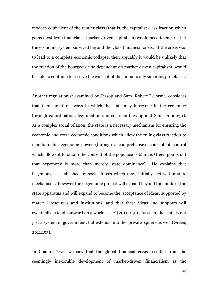modern equivalent of the rentier class (that is, the capitalist class fraction which gains most from financialist market-driven capitalism) would need to ensure that the economic system survived beyond the global financial crisis. If the crisis was to lead to a complete economic collapse, then arguably it would be unlikely that the fraction of the bourgeoisie so dependent on market driven capitalism, would be able to continue to receive the consent of the, numerically superior, proletariat.

Another regulationist examined by Jessop and Sum, Robert Delorme, considers that there are three ways in which the state may intervene in the economy: through co-ordination, legitimation and coercion (Jessop and Sum, 2006:231). As a complex social relation, the state is a necessary mechanism for ensuring the economic and extra-economic conditions which allow the ruling class fraction to maintain its hegemonic power (through a comprehensive concept of control which allows it to obtain the consent of the populace) - Marcus Green points out that hegemony is more than merely 'state dominance'. He explains that hegemony is established by social forces which may, initially, act within state mechanisms, however the hegemonic project will expand beyond the limits of the state apparatus and will expand to become the 'acceptance of ideas, supported by material resources and institutions' and that these ideas and supports will eventually extend 'outward on a world scale' (2011: 150). As such, the state is not just a system of government, but extends into the 'private' sphere as well (Green, 2011:153).

In Chapter Two, we saw that the global financial crisis resulted from the seemingly inexorable development of market-driven financialism as the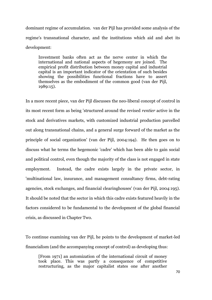dominant regime of accumulation. van der Pijl has provided some analysis of the regime's transnational character, and the institutions which aid and abet its development:

Investment banks often act as the nerve center in which the international and national aspects of hegemony are joined. The empirical profit distribution between money capital and industrial capital is an important indicator of the orientation of such besides showing the possibilities functional fractions have to assert themselves as the embodiment of the common good (van der Pijl, 1989:15).

In a more recent piece, van der Pijl discusses the neo-liberal concept of control in its most recent form as being 'structured around the revised *rentier* active in the stock and derivatives markets, with customized industrial production parcelled out along transnational chains, and a general surge forward of the market as the principle of social organization' (van der Pijl, 2004:194). He then goes on to discuss what he terms the hegemonic 'cadre' which has been able to gain social and political control, even though the majority of the class is not engaged in state employment. Instead, the cadre exists largely in the private sector, in 'multinational law, insurance, and management consultancy firms, debt-rating agencies, stock exchanges, and financial clearinghouses' (van der Pijl, 2004:195). It should be noted that the sector in which this cadre exists featured heavily in the factors considered to be fundamental to the development of the global financial crisis, as discussed in Chapter Two.

To continue examining van der Pijl, he points to the development of market-led financialism (and the accompanying concept of control) as developing thus:

[From 1971] an automization of the international circuit of money took place. This was partly a consequence of competitive restructuring, as the major capitalist states one after another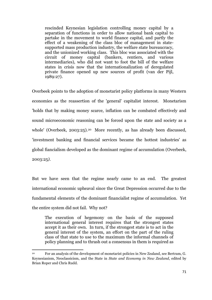rescinded Keynesian legislation controlling money capital by a separation of functions in order to allow national bank capital to partake in the movement to world finance capital, and partly the effect of a weakening of the class bloc of management in statesupported mass production industry, the welfare state bureaucracy, and the unionized working class. This bloc was associated with the circuit of money capital (bankers, rentiers, and various intermediaries), who did not want to foot the bill of the welfare states in crisis now that the internationalization of deregulated private finance opened up new sources of profit (van der Pijl, 1989:27).

Overbeek points to the adoption of monetarist policy platforms in many Western economies as the reassertion of the 'general' capitalist interest. Monetarism 'holds that by making money scarce, inflation can be combated effectively and sound microeconomic reasoning can be forced upon the state and society as a whole' (Overbeek, 2003:25).<sup>20</sup> More recently, as has already been discussed, 'investment banking and financial services became the hottest industries' as global fiancialism developed as the dominant regime of accumulation (Overbeek, 2003:25*)*.

But we have seen that the regime nearly came to an end. The greatest international economic upheaval since the Great Depression occurred due to the fundamental elements of the dominant financialist regime of accumulation. Yet the entire system did not fail. Why not?

The execution of hegemony on the basis of the supposed international general interest requires that the strongest states accept it as their own. In turn, if the strongest state is to act in the general interest of the system, an effort on the part of the ruling class of that state to use to the maximum the informal channels of policy planning and to thrash out a consensus in them is required as

**.** 

<sup>20</sup> For an analysis of the development of monetarist policies in New Zealand, see Bertram, G. Keynesianism, Neoclassicism, and the State in *State and Economy in New Zealand*, edited by Brian Roper and Chris Rudd.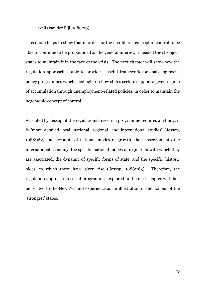well (van der Pijl, 1989:26).

This quote helps to show that in order for the neo-liberal concept of control to be able to continue to be propounded as the general interest, it needed the strongest states to maintain it in the face of the crisis. The next chapter will show how the regulation approach is able to provide a useful framework for analysing social policy programmes which shed light on how states seek to support a given regime of accumulation through unemployment-related policies, in order to maintain the hegemonic concept of control.

As stated by Jessop, if the regulationist research programme requires anything, it is 'more detailed local, national, regional, and international studies' (Jessop, 1988:162) and accounts of national modes of growth, their insertion into the international economy, the specific national modes of regulation with which they are associated, the dynamic of specific forms of state, and the specific "historic blocs" to which these have given rise (Jessop, 1988:163). Therefore, the regulation approach to social programmes explored in the next chapter will then be related to the New Zealand experience as an illustration of the actions of the 'strongest' states.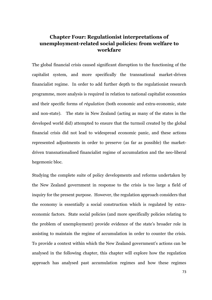# **Chapter Four: Regulationist interpretations of unemployment-related social policies: from welfare to workfare**

The global financial crisis caused significant disruption to the functioning of the capitalist system, and more specifically the transnational market-driven financialist regime. In order to add further depth to the regulationist research programme, more analysis is required in relation to national capitalist economies and their specific forms of *règulation* (both economic and extra-economic, state and non-state). The state in New Zealand (acting as many of the states in the developed world did) attempted to ensure that the turmoil created by the global financial crisis did not lead to widespread economic panic, and these actions represented adjustments in order to preserve (as far as possible) the marketdriven transnationalised financialist regime of accumulation and the neo-liberal hegemonic bloc.

Studying the complete suite of policy developments and reforms undertaken by the New Zealand government in response to the crisis is too large a field of inquiry for the present purpose. However, the regulation approach considers that the economy is essentially a social construction which is regulated by extraeconomic factors. State social policies (and more specifically policies relating to the problem of unemployment) provide evidence of the state"s broader role in assisting to maintain the regime of accumulation in order to counter the crisis. To provide a context within which the New Zealand government's actions can be analysed in the following chapter, this chapter will explore how the regulation approach has analysed past accumulation regimes and how these regimes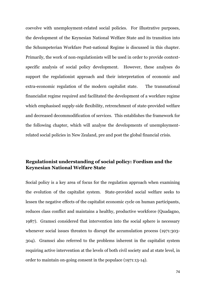coevolve with unemployment-related social policies. For illustrative purposes, the development of the Keynesian National Welfare State and its transition into the Schumpeterian Workfare Post-national Regime is discussed in this chapter. Primarily, the work of non-regulationists will be used in order to provide contextspecific analysis of social policy development. However, these analyses do support the regulationist approach and their interpretation of economic and extra-economic regulation of the modern capitalist state. The transnational financialist regime required and facilitated the development of a workfare regime which emphasised supply-side flexibility, retrenchment of state-provided welfare and decreased decommodification of services. This establishes the framework for the following chapter, which will analyse the developments of unemploymentrelated social policies in New Zealand, pre and post the global financial crisis.

## **Regulationist understanding of social policy: Fordism and the Keynesian National Welfare State**

Social policy is a key area of focus for the regulation approach when examining the evolution of the capitalist system. State-provided social welfare seeks to lessen the negative effects of the capitalist economic cycle on human participants, reduces class conflict and maintains a healthy, productive workforce (Quadagno, 1987). Gramsci considered that intervention into the social sphere is necessary whenever social issues threaten to disrupt the accumulation process (1971:303-304). Gramsci also referred to the problems inherent in the capitalist system requiring active intervention at the levels of both civil society and at state level, in order to maintain on-going consent in the populace (1971:13-14).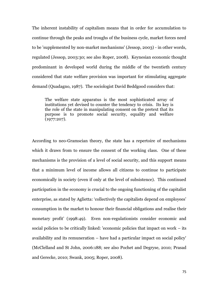The inherent instability of capitalism means that in order for accumulation to continue through the peaks and troughs of the business cycle, market forces need to be 'supplemented by non-market mechanisms' (Jessop, 2003) - in other words, regulated (Jessop, 2003:30; see also Roper, 2008). Keynesian economic thought predominant in developed world during the middle of the twentieth century considered that state welfare provision was important for stimulating aggregate demand (Quadagno, 1987). The sociologist David Beddgood considers that:

The welfare state apparatus is the most sophisticated array of institutions yet devised to counter the tendency to crisis. Its key is the role of the state in manipulating consent on the pretext that its purpose is to promote social security, equality and welfare (1977:207).

According to neo-Gramscian theory, the state has a repertoire of mechanisms which it draws from to ensure the consent of the working class. One of these mechanisms is the provision of a level of social security, and this support means that a minimum level of income allows all citizens to continue to participate economically in society (even if only at the level of subsistence). This continued participation in the economy is crucial to the ongoing functioning of the capitalist enterprise, as stated by Aglietta: 'collectively the capitalists depend on employees' consumption in the market to honour their financial obligations and realise their monetary profit' (1998:49). Even non-regulationists consider economic and social policies to be critically linked: 'economic policies that impact on work – its availability and its remuneration – have had a particular impact on social policy' (McClelland and St John, 2006:188; see also Pochet and Degryse, 2010; Prasad and Gerecke, 2010; Swank, 2005; Roper, 2008).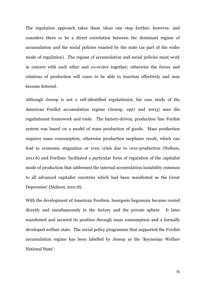The regulation approach takes these ideas one step further, however, and considers there to be a direct correlation between the dominant regime of accumulation and the social policies enacted by the state (as part of the wider mode of regulation). The regime of accumulation and social policies must work in concert with each other and co-evolve together; otherwise the forces and relations of production will cease to be able to function effectively and may become fettered.

Although Jessop is not a self-identified regulationist, his case study of the American Fordist accumulation regime (Jessop, 1997 and 2003) uses the regulationist framework and tools. The factory-driven, production line Fordist system was based on a model of mass production of goods. Mass production requires mass consumption, otherwise production surpluses result, which can lead to economic stagnation or even crisis due to over-production (Neilson, 2011:6) and Fordism "facilitated a particular form of regulation of the capitalist mode of production that addressed the internal accumulation instability common to all advanced capitalist countries which had been manifested as the Great Depression' (Neilson, 2011:8).

With the development of American Fordism, bourgeois hegemony became rooted directly and simultaneously in the factory and the private sphere. It later manifested and secured its position through mass consumption and a formally developed welfare state. The social policy programme that supported the Fordist accumulation regime has been labelled by Jessop as the "Keynesian Welfare National State':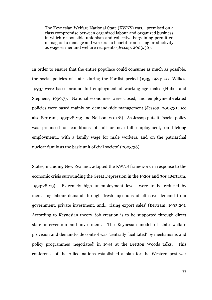The Keynesian Welfare National State (KWNS) was… premised on a class compromise between organized labour and organized business in which responsible unionism and collective bargaining permitted managers to manage and workers to benefit from rising productivity as wage earner and welfare recipients (Jessop, 2003:36).

In order to ensure that the entire populace could consume as much as possible, the social policies of states during the Fordist period (1935-1984; see Wilkes, 1993) were based around full employment of working-age males (Huber and Stephens, 1999:7). National economies were closed, and employment-related policies were based mainly on demand-side management (Jessop, 2003:31; see also Bertram, 1993:28-29; and Neilson, 2011:8). As Jessop puts it: "social policy was premised on conditions of full or near-full employment, on lifelong employment... with a family wage for male workers, and on the patriarchal nuclear family as the basic unit of civil society' (2003:36).

States, including New Zealand, adopted the KWNS framework in response to the economic crisis surrounding the Great Depression in the 1920s and 30s (Bertram, 1993:28-29). Extremely high unemployment levels were to be reduced by increasing labour demand through 'fresh injections of effective demand from government, private investment, and... rising export sales' (Bertram, 1993:29). According to Keynesian theory, job creation is to be supported through direct state intervention and investment. The Keynesian model of state welfare provision and demand-side control was "centrally facilitated" by mechanisms and policy programmes "negotiated" in 1944 at the Bretton Woods talks. This conference of the Allied nations established a plan for the Western post-war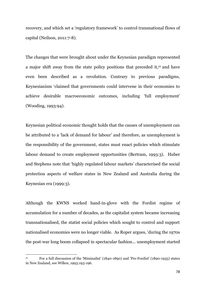recovery, and which set a "regulatory framework" to control transnational flows of capital (Neilson, 2011:7-8).

The changes that were brought about under the Keynesian paradigm represented a major shift away from the state policy positions that preceded it,<sup>21</sup> and have even been described as a revolution. Contrary to previous paradigms, Keynesianism "claimed that governments could intervene in their economies to achieve desirable macroeconomic outcomes, including 'full employment' (Wooding, 1993:94).

Keynesian political economic thought holds that the causes of unemployment can be attributed to a "lack of demand for labour" and therefore, as unemployment is the responsibility of the government, states must enact policies which stimulate labour demand to create employment opportunities (Bertram, 1993:3). Huber and Stephens note that 'highly regulated labour markets' characterised the social protection aspects of welfare states in New Zealand and Australia during the Keynesian era (1999:3).

Although the KWNS worked hand-in-glove with the Fordist regime of accumulation for a number of decades, as the capitalist system became increasing transnationalised, the statist social policies which sought to control and support nationalised economies were no longer viable. As Roper argues, "during the 1970s the post-war long boom collapsed in spectacular fashion... unemployment started

**.** 

<sup>21</sup> For a full discussion of the 'Minimalist' (1840-1890) and 'Pre-Fordist' (1890-1935) states in New Zealand, see Wilkes, 1993:193-196.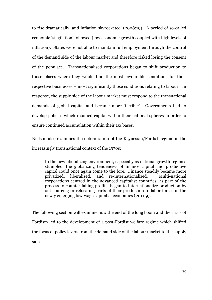to rise dramatically, and inflation skyrocketed' (2008:19). A period of so-called economic "stagflation" followed (low economic growth coupled with high levels of inflation). States were not able to maintain full employment through the control of the demand side of the labour market and therefore risked losing the consent of the populace. Transnationalised corporations began to shift production to those places where they would find the most favourable conditions for their respective businesses – most significantly those conditions relating to labour. In response, the supply side of the labour market must respond to the transnational demands of global capital and became more "flexible". Governments had to develop policies which retained capital within their national spheres in order to ensure continued accumulation within their tax bases.

Neilson also examines the deterioration of the Keynesian/Fordist regime in the increasingly transnational context of the 1970s:

In the new liberalizing environment, especially as national growth regimes stumbled, the globalizing tendencies of finance capital and productive capital could once again come to the fore. Finance steadily became more privatized, liberalized, and re-internationalized. Multi-national corporations centred in the advanced capitalist countries, as part of the process to counter falling profits, began to internationalize production by out-sourcing or relocating parts of their production to labor forces in the newly emerging low-wage capitalist economies (2011:9).

The following section will examine how the end of the long boom and the crisis of Fordism led to the development of a post-Fordist welfare regime which shifted the focus of policy levers from the demand side of the labour market to the supply side.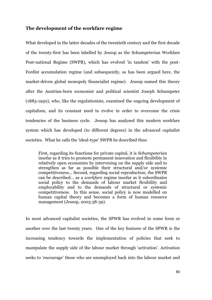### **The development of the workfare regime**

What developed in the latter decades of the twentieth century and the first decade of the twenty-first has been labelled by Jessop as the Schumpeterian Workfare Post-national Regime (SWPR), which has evolved 'in tandem' with the post-Fordist accumulation regime (and subsequently, as has been argued here, the market-driven global monopoly financialist regime). Jessop named this theory after the Austrian-born economist and political scientist Joseph Schumpeter (1883-1950), who, like the regulationists, examined the ongoing development of capitalism, and its constant need to evolve in order to overcome the crisis tendencies of the business cycle. Jessop has analysed this modern workfare system which has developed (to different degrees) in the advanced capitalist societies. What he calls the "ideal-type" SWPR he described thus:

First, regarding its functions for private capital, it is *Schumpeterian* insofar as it tries to promote permanent innovation and flexibility in relatively open economies by intervening on the supply side and to strengthen as far as possible their structural and/or systemic competitiveness... Second, regarding social reproduction, the SWPR can be described... as a *workfare* regime insofar as it subordinates social policy to the demands of labour market flexibility and employability and to the demands of structural or systemic competitiveness. In this sense, social policy is now modelled on human capital theory and becomes a form of human resource management (Jessop, 2003:38-39).

In most advanced capitalist societies, the SPWR has evolved in some form or another over the last twenty years. One of the key features of the SPWR is the increasing tendency towards the implementation of policies that seek to manipulate the supply side of the labour market through "activation". Activation seeks to 'encourage' those who are unemployed back into the labour market and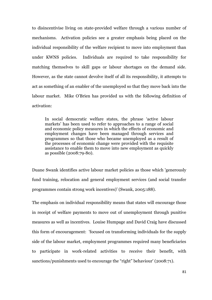to disincentivise living on state-provided welfare through a various number of mechanisms. Activation policies see a greater emphasis being placed on the individual responsibility of the welfare recipient to move into employment than under KWNS policies. Individuals are required to take responsibility for matching themselves to skill gaps or labour shortages on the demand side. However, as the state cannot devolve itself of all its responsibility, it attempts to act as something of an enabler of the unemployed so that they move back into the labour market. Mike O"Brien has provided us with the following definition of activation:

In social democratic welfare states, the phrase "active labour markets' has been used to refer to approaches to a range of social and economic policy measures in which the effects of economic and employment changes have been managed through services and programmes so that those who became unemployed as a result of the processes of economic change were provided with the requisite assistance to enable them to move into new employment as quickly as possible (2008:79-80).

Duane Swank identifies active labour market policies as those which 'generously fund training, relocation and general employment services (and social transfer programmes contain strong work incentives)" (Swank, 2005:188).

The emphasis on individual responsibility means that states will encourage those in receipt of welfare payments to move out of unemployment through punitive measures as well as incentives. Louise Humpage and David Craig have discussed this form of encouragement: 'focused on transforming individuals for the supply side of the labour market, employment programmes required many beneficiaries to participate in work-related activities to receive their benefit, with sanctions/punishments used to encourage the "right" behaviour' (2008:71).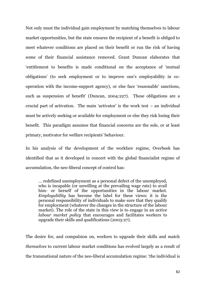Not only must the individual gain employment by matching themselves to labour market opportunities, but the state ensures the recipient of a benefit is obliged to meet whatever conditions are placed on their benefit or run the risk of having some of their financial assistance removed. Grant Duncan elaborates that "entitlement to benefits is made conditional on the acceptance of "mutual obligations" (to seek employment or to improve one"s employability in cooperation with the income-support agency), or else face "reasonable" sanctions, such as suspension of benefit' (Duncan, 2004:227). These obligations are a crucial part of activation. The main 'activator' is the work test  $-$  an individual must be actively seeking or available for employment or else they risk losing their benefit. This paradigm assumes that financial concerns are the sole, or at least primary, motivator for welfare recipients" behaviour.

In his analysis of the development of the workfare regime, Overbeek has identified that as it developed in concert with the global financialist regime of accumulation, the neo-liberal concept of control has:

… redefined unemployment as a personal defect of the unemployed, who is incapable (or unwilling at the prevailing wage rate) to avail him- or herself of the opportunities in the labour market. *Employability* has become the label for these views: it is the personal responsibility of individuals to make sure that they qualify for employment (whatever the changes in the structure of the labour market). The role of the state in this view is to engage in an *active labour market policy* that encourages and facilitates workers to upgrade their skills and qualifications (2003:27).

The desire for, and compulsion on, workers to upgrade their skills and match *themselves* to current labour market conditions has evolved largely as a result of the transnational nature of the neo-liberal accumulation regime: "the individual is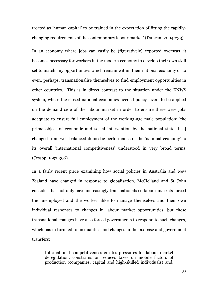treated as "human capital" to be trained in the expectation of fitting the rapidlychanging requirements of the contemporary labour market' (Duncan, 2004:233).

In an economy where jobs can easily be (figuratively) exported overseas, it becomes necessary for workers in the modern economy to develop their own skill set to match any opportunities which remain within their national economy or to even, perhaps, transnationalise themselves to find employment opportunities in other countries. This is in direct contrast to the situation under the KNWS system, where the closed national economies needed policy levers to be applied on the demand side of the labour market in order to ensure there were jobs adequate to ensure full employment of the working-age male population: 'the prime object of economic and social intervention by the national state [has] changed from well-balanced domestic performance of the 'national economy' to its overall 'international competitiveness' understood in very broad terms' (Jessop, 1997:306).

In a fairly recent piece examining how social policies in Australia and New Zealand have changed in response to globalisation, McClelland and St John consider that not only have increasingly transnationalised labour markets forced the unemployed and the worker alike to manage themselves and their own individual responses to changes in labour market opportunities, but these transnational changes have also forced governments to respond to such changes, which has in turn led to inequalities and changes in the tax base and government transfers:

International competitiveness creates pressures for labour market deregulation, constrains or reduces taxes on mobile factors of production (companies, capital and high-skilled individuals) and,

83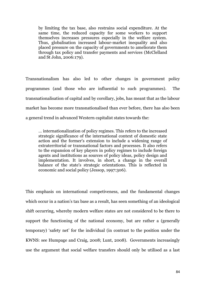by limiting the tax base, also restrains social expenditure. At the same time, the reduced capacity for some workers to support themselves increases pressures especially in the welfare system. Thus, globalisation increased labour-market inequality and also placed pressure on the capacity of governments to ameliorate them through tax policy and transfer payments and services (McClelland and St John, 2006:179).

Transnationalism has also led to other changes in government policy programmes (and those who are influential to such programmes). The transnationalisation of capital and by corollary, jobs, has meant that as the labour market has become more transnationalised than ever before, there has also been a general trend in advanced Western capitalist states towards the:

… internationalization of policy regimes. This refers to the increased strategic significance of the international context of domestic state action and the former's extension to include a widening range of extraterritorial or transnational factors and processes. It also refers to the expansion of key players in policy regimes to include foreign agents and institutions as sources of policy ideas, policy design and implementation. It involves, in short, a change in the overall balance of the state's strategic orientations. This is reflected in economic and social policy (Jessop, 1997:306).

This emphasis on international competiveness, and the fundamental changes which occur in a nation's tax base as a result, has seen something of an ideological shift occurring, whereby modern welfare states are not considered to be there to support the functioning of the national economy, but are rather a (generally temporary) "safety net" for the individual (in contrast to the position under the KWNS: see Humpage and Craig, 2008; Lunt, 2008). Governments increasingly use the argument that social welfare transfers should only be utilised as a last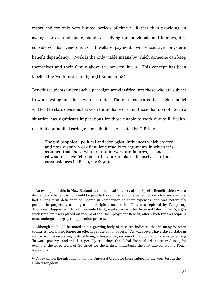resort and for only very limited periods of time. <sup>22</sup> Rather than providing an average, or even adequate, standard of living for individuals and families, it is considered that generous social welfare payments will encourage long-term benefit dependency. Work is the only viable means by which someone can keep themselves and their family above the poverty-line.23 This concept has been labelled the "work first" paradigm (O"Brien, 2008).

Benefit recipients under such a paradigm are classified into those who are subject to work testing and those who are not.<sup>24</sup> There are concerns that such a model will lead to class divisions between those that work and those that do not. Such a situation has significant implications for those unable to work due to ill health, disability or familial caring responsibilities. As stated by O"Brien:

The philosophical, political and ideological influences which created and now sustain "work first" lend readily to arguments in which it is assumed that those who are not in work are failures, second-class citizens or have "chosen" to be and/or place themselves in those circumstances (O"Brien, 2008:92).

1

<sup>22</sup> An example of this in New Zealand is the removal in 2005 of the Special Benefit which was a discretionary benefit which could be paid to those in receipt of a benefit or on a low income who had a long-term deficiency of income in comparison to their expenses, and was potentially payable in perpetuity as long as the recipient needed it. This was replaced by Temporary Additional Support which is time-limited to 13 weeks. As will be discussed later, in 2010, a 52 week time limit was placed on receipt of the Unemployment Benefit, after which time a recipient must undergo a lengthy re-application process.

<sup>23</sup> Although it should be noted that a growing body of research indicates that in many Western countries, work is no longer an effective route out of poverty. As wage levels have stayed static in comparison to escalating costs of living, a burgeoning section of the population are experiencing "in work poverty", and this is especially true since the global financial crisis occurred (see, for example, the 2010 work of Gottfried for the British think-tank, the Institute for Public Policy Research).

<sup>24</sup> For example, the introduction of the Universal Credit for those subject to the work test in the United Kingdom.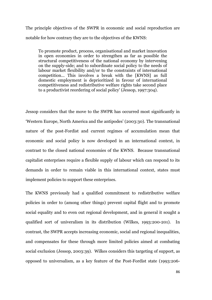The principle objectives of the SWPR in economic and social reproduction are notable for how contrary they are to the objectives of the KWNS:

To promote product, process, organisational and market innovation in open economies in order to strengthen as far as possible the structural competitiveness of the national economy by intervening on the supply-side; and to subordinate social policy to the needs of labour market flexibility and/or to the constraints of international competition... This involves a break with the [KWNS] as full domestic employment is deprioritized in favour of international competitiveness and redistributive welfare rights take second place to a productivist reordering of social policy' (Jessop, 1997:304).

Jessop considers that the move to the SWPR has occurred most significantly in "Western Europe, North America and the antipodes" (2003:30). The transnational nature of the post-Fordist and current regimes of accumulation mean that economic and social policy is now developed in an international context, in contrast to the closed national economies of the KWNS. Because transnational capitalist enterprises require a flexible supply of labour which can respond to its demands in order to remain viable in this international context, states must implement policies to support these enterprises.

The KWNS previously had a qualified commitment to redistributive welfare policies in order to (among other things) prevent capital flight and to promote social equality and to even out regional development, and in general it sought a qualified sort of univeralism in its distribution (Wilkes, 1993:200-201). In contrast, the SWPR accepts increasing economic, social and regional inequalities, and compensates for these through more limited policies aimed at combating social exclusion (Jessop, 2003:39). Wilkes considers this targeting of support, as opposed to universalism, as a key feature of the Post-Fordist state (1993:206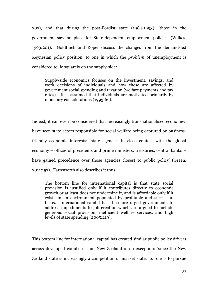207), and that during the post-Fordist state (1984-1993), 'those in the government saw no place for State-dependent employment policies' (Wilkes, 1993:201). Goldfinch and Roper discuss the changes from the demand-led Keynesian policy position, to one in which the *problem* of unemployment is considered to lie squarely on the supply-side:

Supply-side economics focuses on the investment, savings, and work decisions of individuals and how these are affected by government social spending and taxation (welfare payments and tax rates). It is assumed that individuals are motivated primarily by monetary considerations (1993:62).

Indeed, it can even be considered that increasingly transnationalised economies have seen state actors responsible for social welfare being captured by businessfriendly economic interests: "state agencies in close contact with the global economy – offices of presidents and prime ministers, treasuries, central banks – have gained precedence over those agencies closest to public policy' (Green, 2011:157). Farnsworth also describes it thus:

The bottom line for international capital is that state social provision is justified only if it contributes directly to economic growth or at least does not undermine it, and is affordable only if it exists in an environment populated by profitable and successful firms. International capital has therefore urged governments to address impediments to job creation which are argued to include generous social provision, inefficient welfare services, and high levels of state spending (2005:219).

This bottom line for international capital has created similar public policy drivers across developed countries, and New Zealand is no exception: 'since the New Zealand state is increasingly a competition or market state, its role is to pursue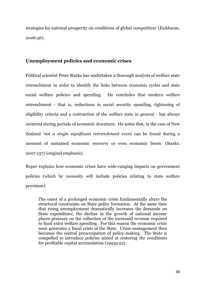strategies for national prosperity on conditions of global competition' (Eichbaum, 2006:56).

### **Unemployment policies and economic crises**

Political scientist Peter Starke has undertaken a thorough analysis of welfare state retrenchment in order to identify the links between economic cycles and state social welfare policies and spending. He concludes that modern welfare retrenchment - that is, reductions in social security spending, tightening of eligibility criteria and a contraction of the welfare state in general - has always occurred during periods of economic downturn. He notes that, in the case of New Zealand '*not a single significant retrenchment event* can be found during a moment of sustained economic recovery or even economic boom' (Starke, 2007:137) (original emphasis).

Roper explains how economic crises have wide-ranging impacts on government policies (which by necessity will include policies relating to state welfare provision):

The onset of a prolonged economic crisis fundamentally alters the structural constraints on State policy formation. At the same time that rising unemployment dramatically increases the demands on State expenditure, the decline in the growth of national income places pressure on the collection of the increased revenue required to fund extra welfare spending. For this reason the economic crisis soon generates a fiscal crisis of the State. Crisis-management then becomes the central preoccupation of policy-making. The State is compelled to introduce policies aimed at restoring the conditions for profitable capital accumulation (1993a:22).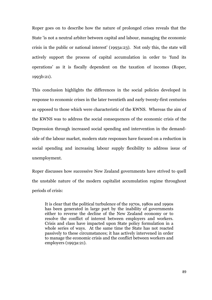Roper goes on to describe how the nature of prolonged crises reveals that the State 'is not a neutral arbiter between capital and labour, managing the economic crisis in the public or national interest' (1993a:23). Not only this, the state will actively support the process of capital accumulation in order to "fund its operations" as it is fiscally dependent on the taxation of incomes (Roper, 1993b:21).

This conclusion highlights the differences in the social policies developed in response to economic crises in the later twentieth and early twenty-first centuries as opposed to those which were characteristic of the KWNS. Whereas the aim of the KWNS was to address the social consequences of the economic crisis of the Depression through increased social spending and intervention in the demandside of the labour market, modern state responses have focused on a reduction in social spending and increasing labour supply flexibility to address issue of unemployment.

Roper discusses how successive New Zealand governments have strived to quell the unstable nature of the modern capitalist accumulation regime throughout periods of crisis:

It is clear that the political turbulence of the 1970s, 1980s and 1990s has been generated in large part by the inability of governments either to reverse the decline of the New Zealand economy or to resolve the conflict of interest between employers and workers. Crisis and class have impacted upon State policy formulation in a whole series of ways. At the same time the State has not reacted passively to these circumstances; it has actively intervened in order to manage the economic crisis and the conflict between workers and employers (1993a:21).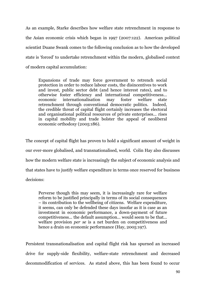As an example, Starke describes how welfare state retrenchment in response to the Asian economic crisis which began in 1997 (2007:122). American political scientist Duane Swank comes to the following conclusion as to how the developed state is "forced" to undertake retrenchment within the modern, globalised context of modern capital accumulation:

Expansions of trade may force government to retrench social protection in order to reduce labour costs, the disincentives to work and invest, public sector debt (and hence interest rates), and to otherwise foster efficiency and international competitiveness... economic internationalisation may foster welfare state retrenchment through conventional democratic politics. Indeed, the credible threat of capital flight certainly increases the electoral and organisational political resources of private enterprises... rises in capital mobility and trade bolster the appeal of neoliberal economic orthodoxy (2005:186).

The concept of capital flight has proven to hold a significant amount of weight in our ever-more globalised, and transnationalised, world. Colin Hay also discusses how the modern welfare state is increasingly the subject of economic analysis and that states have to justify welfare expenditure in terms once reserved for business decisions:

Perverse though this may seem, it is increasingly rare for welfare reform to be justified principally in terms of its social consequences – its contribution to the wellbeing of citizens. Welfare expenditure, it seems, can only be defended these days insofar as it is case as an investment in economic performance, a down-payment of future competitiveness... the default assumption... would seem to be that... welfare provision *per se* is a net burden on competitiveness and hence a drain on economic performance (Hay, 2005:197).

Persistent transnationalisation and capital flight risk has spurned an increased drive for supply-side flexibility, welfare-state retrenchment and decreased decommodification of services. As stated above, this has been found to occur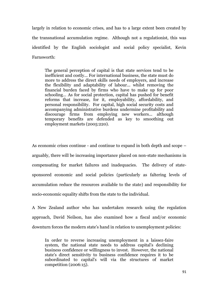largely in relation to economic crises, and has to a large extent been created by the transnational accumulation regime. Although not a regulationist, this was identified by the English sociologist and social policy specialist, Kevin Farnsworth:

The general perception of capital is that state services tend to be inefficient and costly... For international business, the state must do more to address the direct skills needs of employers, and increase the flexibility and adaptability of labour... whilst removing the financial burden faced by firms who have to make up for poor schooling… As for social protection, capital has pushed for benefit reforms that increase, for it, employability, affordability, and personal responsibility. For capital, high social security costs and accompanying administrative burdens undermine profitability and discourage firms from employing new workers... although temporary benefits are defended as key to smoothing out employment markets (2005:220).

As economic crises continue - and continue to expand in both depth and scope – arguably, there will be increasing importance placed on non-state mechanisms in compensating for market failures and inadequacies. The delivery of statesponsored economic and social policies (particularly as faltering levels of accumulation reduce the resources available to the state) and responsibility for socio-economic equality shifts from the state to the individual.

A New Zealand author who has undertaken research using the regulation approach, David Neilson, has also examined how a fiscal and/or economic downturn forces the modern state"s hand in relation to unemployment policies:

In order to reverse increasing unemployment in a laissez-faire system, the national state needs to address capital's declining business confidence or willingness to invest. However, the national state's direct sensitivity to business confidence requires it to be subordinated to capital's will via the structures of market competition (2006:15).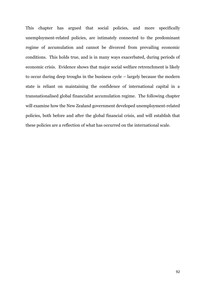This chapter has argued that social policies, and more specifically unemployment-related policies, are intimately connected to the predominant regime of accumulation and cannot be divorced from prevailing economic conditions. This holds true, and is in many ways exacerbated, during periods of economic crisis. Evidence shows that major social welfare retrenchment is likely to occur during deep troughs in the business cycle – largely because the modern state is reliant on maintaining the confidence of international capital in a transnationalised global financialist accumulation regime. The following chapter will examine how the New Zealand government developed unemployment-related policies, both before and after the global financial crisis, and will establish that these policies are a reflection of what has occurred on the international scale.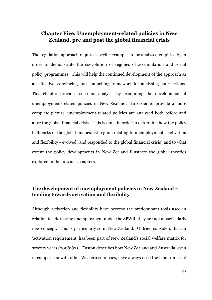## **Chapter Five: Unemployment-related policies in New Zealand, pre and post the global financial crisis**

The regulation approach requires specific examples to be analysed empirically, in order to demonstrate the coevolution of regimes of accumulation and social policy programmes. This will help the continued development of the approach as an effective, convincing and compelling framework for analysing state actions. This chapter provides such an analysis by examining the development of unemployment-related policies in New Zealand. In order to provide a more complete picture, unemployment-related policies are analysed both before and after the global financial crisis. This is done in order to determine how the policy hallmarks of the global financialist regime relating to unemployment - activation and flexibility - evolved (and responded to the global financial crisis) and to what extent the policy developments in New Zealand illustrate the global theories explored in the previous chapters.

## **The development of unemployment policies in New Zealand – tending towards activation and flexibility**

Although activation and flexibility have become the predominant tools used in relation to addressing unemployment under the SPWR, they are not a particularly new concept. This is particularly so in New Zealand. O"Brien considers that an "activation requirement" has been part of New Zealand"s social welfare matrix for seventy years (2008:82). Easton describes how New Zealand and Australia, even in comparison with other Western countries, have always used the labour market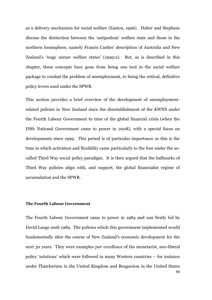as a delivery mechanism for social welfare (Easton, 1996). Huber and Stephens discuss the distinction between the "antipodean" welfare state and those in the northern hemisphere, namely Francis Castles" description of Australia and New Zealand's 'wage earner welfare states' (1999:2). But, as is described in this chapter, these concepts have gone from being one tool in the social welfare package to combat the problem of unemployment, to being the critical, definitive policy levers used under the SPWR.

This section provides a brief overview of the development of unemploymentrelated policies in New Zealand since the disestablishment of the KWNS under the Fourth Labour Government to time of the global financial crisis (when the Fifth National Government came to power in 2008), with a special focus on developments since 1999. This period is of particular importance as this is the time in which activation and flexibility came particularly to the fore under the socalled Third Way social policy paradigm. It is then argued that the hallmarks of Third Way policies align with, and support, the global financialist regime of accumulation and the SPWR.

#### **The Fourth Labour Government**

94 The Fourth Labour Government came to power in 1984 and was firstly led by David Lange until 1989. The policies which this government implemented would fundamentally alter the course of New Zealand"s economic development for the next 30 years. They were examples *par excellence* of the monetarist, neo-liberal policy "solutions" which were followed in many Western countries – for instance under Thatcherism in the United Kingdom and Reaganism in the United States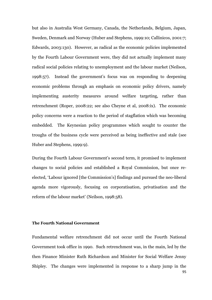but also in Australia West Germany, Canada, the Netherlands, Belgium, Japan, Sweden, Denmark and Norway (Huber and Stephens, 1999:10; Callinicos, 2001:7; Edwards, 2003:130). However, as radical as the economic policies implemented by the Fourth Labour Government were, they did not actually implement many radical social policies relating to unemployment and the labour market (Neilson, 1998:57). Instead the government"s focus was on responding to deepening economic problems through an emphasis on economic policy drivers, namely implementing austerity measures around welfare targeting, rather than retrenchment (Roper, 2008:22; see also Cheyne et al, 2008:ix). The economic policy concerns were a reaction to the period of stagflation which was becoming embedded. The Keynesian policy programmes which sought to counter the troughs of the business cycle were perceived as being ineffective and stale (see Huber and Stephens, 1999:9).

During the Fourth Labour Government's second term, it promised to implement changes to social policies and established a Royal Commission, but once reelected, "Labour ignored [the Commission"s] findings and pursued the neo-liberal agenda more vigorously, focusing on corporatisation, privatisation and the reform of the labour market' (Neilson, 1998:58).

#### **The Fourth National Government**

95 Fundamental welfare retrenchment did not occur until the Fourth National Government took office in 1990. Such retrenchment was, in the main, led by the then Finance Minister Ruth Richardson and Minister for Social Welfare Jenny Shipley. The changes were implemented in response to a sharp jump in the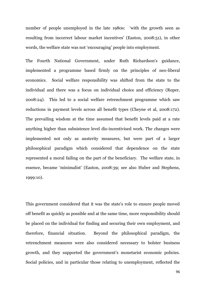number of people unemployed in the late 1980s: "with the growth seen as resulting from incorrect labour market incentives' (Easton, 2008:51), in other words, the welfare state was not "encouraging" people into employment.

The Fourth National Government, under Ruth Richardson's guidance, implemented a programme based firmly on the principles of neo-liberal economics. Social welfare responsibility was shifted from the state to the individual and there was a focus on individual choice and efficiency (Roper, 2008:24). This led to a social welfare retrenchment programme which saw reductions in payment levels across all benefit types (Cheyne et al, 2008:172). The prevailing wisdom at the time assumed that benefit levels paid at a rate anything higher than subsistence level dis-incentivised work. The changes were implemented not only as austerity measures, but were part of a larger philosophical paradigm which considered that dependence on the state represented a moral failing on the part of the beneficiary. The welfare state, in essence, became "minimalist" (Easton, 2008:39; see also Huber and Stephens, 1999:10).

This government considered that it was the state's role to ensure people moved off benefit as quickly as possible and at the same time, more responsibility should be placed on the individual for finding and securing their own employment, and therefore, financial situation. Beyond the philosophical paradigm, the retrenchment measures were also considered necessary to bolster business growth, and they supported the government's monetarist economic policies. Social policies, and in particular those relating to unemployment, reflected the

96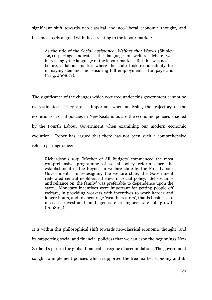significant shift towards neo-classical and neo-liberal economic thought, and became closely aligned with those relating to the labour market:

As the title of the *Social Assistance: Welfare that Works* (Shipley 1991) package indicates, the language of welfare debate was increasingly the language of the labour market. But this was not, as before, a labour market where the state took responsibility for managing demand and ensuring full employment' (Humpage and Craig, 2008:71).

The significance of the changes which occurred under this government cannot be overestimated. They are as important when analysing the trajectory of the evolution of social policies in New Zealand as are the economic policies enacted by the Fourth Labour Government when examining our modern economic evolution. Roper has argued that there has not been such a comprehensive reform package since:

Richardson's 1991 'Mother of All Budgets' commenced the most comprehensive programme of social policy reform since the establishment of the Keynesian welfare state by the First Labour Government. In redesigning the welfare state, the Government reiterated central neoliberal themes in social policy. Self-reliance and reliance on 'the family' was preferable to dependence upon the state. Monetary incentives were important for getting people off welfare, in providing workers with incentives to work harder and longer hours, and to encourage 'wealth creators', that is business, to increase investment and generate a higher rate of growth (2008:25).

It is within this philosophical shift towards neo-classical economic thought (and its supporting social and financial policies) that we can espy the beginnings New Zealand"s part in the global financialist regime of accumulation. The government sought to implement policies which supported the free market economy and its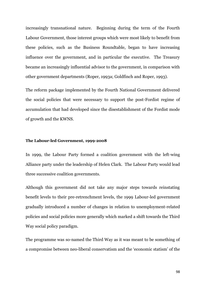increasingly transnational nature. Beginning during the term of the Fourth Labour Government, those interest groups which were most likely to benefit from these policies, such as the Business Roundtable, began to have increasing influence over the government, and in particular the executive. The Treasury became an increasingly influential advisor to the government, in comparison with other government departments (Roper, 1993a; Goldfinch and Roper, 1993).

The reform package implemented by the Fourth National Government delivered the social policies that were necessary to support the post-Fordist regime of accumulation that had developed since the disestablishment of the Fordist mode of growth and the KWNS.

#### **The Labour-led Government, 1999-2008**

In 1999, the Labour Party formed a coalition government with the left-wing Alliance party under the leadership of Helen Clark. The Labour Party would lead three successive coalition governments.

Although this government did not take any major steps towards reinstating benefit levels to their pre-retrenchment levels, the 1999 Labour-led government gradually introduced a number of changes in relation to unemployment-related policies and social policies more generally which marked a shift towards the Third Way social policy paradigm.

The programme was so-named the Third Way as it was meant to be something of a compromise between neo-liberal conservatism and the "economic statism" of the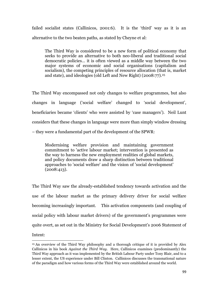failed socialist states (Callinicos, 2001:6). It is the "third" way as it is an alternative to the two beaten paths, as stated by Cheyne et al:

The Third Way is considered to be a new form of political economy that seeks to provide an alternative to both neo-liberal and traditional social democratic policies… it is often viewed as a middle way between the two major systems of economic and social organisations (capitalism and socialism), the competing principles of resource allocation (that is, market and state), and ideologies (old Left and New Right) (2008:77).<sup>25</sup>

The Third Way encompassed not only changes to welfare programmes, but also changes in language ("social welfare" changed to "social development", beneficiaries became "clients" who were assisted by "case managers"). Neil Lunt considers that these changes in language were more than simply window dressing – they were a fundamental part of the development of the SPWR:

Modernising welfare provision and maintaining government commitment to 'active labour market; intervention is presented as the way to harness the new employment realities of global markets, and policy documents draw a sharp distinction between traditional approaches to 'social welfare' and the vision of 'social development' (2008:413).

The Third Way saw the already-established tendency towards activation and the use of the labour market as the primary delivery driver for social welfare becoming increasingly important. This activation components (and coupling of social policy with labour market drivers) of the government's programmes were quite overt, as set out in the Ministry for Social Development"s 2006 Statement of

Intent:

<sup>1</sup> <sup>25</sup> An overview of the Third Way philosophy and a thorough critique of it is provided by Alex Callinicos in his book *Against the Third Way*. Here, Callinicos examines (predominantly) the Third Way approach as it was implemented by the British Labour Party under Tony Blair, and to a lesser extent, the US experience under Bill Clinton. Callinicos discusses the transnational nature of the paradigm and how various forms of the Third Way were established around the world.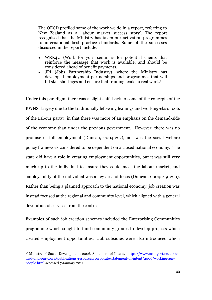The OECD profiled some of the work we do in a report, referring to New Zealand as a 'labour market success story'. The report recognised that the Ministry has taken our activation programmes to international best practice standards. Some of the successes discussed in the report include:

- WRK4U (Work for you) seminars for potential clients that reinforce the message that work is available, and should be considered ahead of benefit payments.
- JPI (Jobs Partnership Industry), where the Ministry has developed employment partnerships and programmes that will fill skill shortages and ensure that training leads to real work.<sup>26</sup>

Under this paradigm, there was a slight shift back to some of the concepts of the KWNS (largely due to the traditionally left-wing leanings and working-class roots of the Labour party), in that there was more of an emphasis on the demand-side of the economy than under the previous government. However, there was no promise of full employment (Duncan, 2004:227), nor was the social welfare policy framework considered to be dependent on a closed national economy. The state did have a role in creating employment opportunities, but it was still very much up to the individual to ensure they could meet the labour market, and employability of the individual was a key area of focus (Duncan, 2004:219-220). Rather than being a planned approach to the national economy, job creation was instead focused at the regional and community level, which aligned with a general devolution of services from the centre.

Examples of such job creation schemes included the Enterprising Communities programme which sought to fund community groups to develop projects which created employment opportunities. Job subsidies were also introduced which

**.** 

<sup>26</sup> Ministry of Social Development, 2006, Statement of Intent. [https://www.msd.govt.nz/about](https://www.msd.govt.nz/about-msd-and-our-work/publications-resources/corporate/statement-of-intent/2006/working-age-people.html)[msd-and-our-work/publications-resources/corporate/statement-of-intent/2006/working-age](https://www.msd.govt.nz/about-msd-and-our-work/publications-resources/corporate/statement-of-intent/2006/working-age-people.html)[people.html](https://www.msd.govt.nz/about-msd-and-our-work/publications-resources/corporate/statement-of-intent/2006/working-age-people.html) accessed 7 January 2012.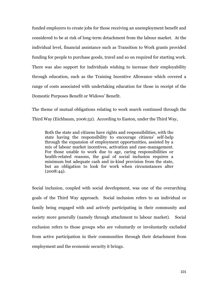funded employers to create jobs for those receiving an unemployment benefit and considered to be at risk of long-term detachment from the labour market. At the individual level, financial assistance such as Transition to Work grants provided funding for people to purchase goods, travel and so on required for starting work. There was also support for individuals wishing to increase their employability through education, such as the Training Incentive Allowance which covered a range of costs associated with undertaking education for those in receipt of the Domestic Purposes Benefit or Widows" Benefit.

The theme of mutual obligations relating to work search continued through the Third Way (Eichbaum, 2006:52). According to Easton, under the Third Way,

Both the state and citizens have rights and responsibilities, with the state having the responsibility to encourage citizens' self-help through the expansion of employment opportunities, assisted by a mix of labour market incentives, activation and case-management. For those unable to work due to age, caring responsibilities or health-related reasons, the goal of social inclusion requires a minimum but adequate cash and in-kind provision from the state, but an obligation to look for work when circumstances alter (2008:44).

Social inclusion, coupled with social development, was one of the overarching goals of the Third Way approach. Social inclusion refers to an individual or family being engaged with and actively participating in their community and society more generally (namely through attachment to labour market). Social exclusion refers to those groups who are voluntarily or involuntarily excluded from active participation in their communities through their detachment from employment and the economic security it brings.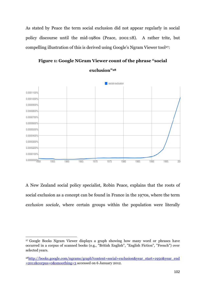As stated by Peace the term social exclusion did not appear regularly in social policy discourse until the mid-1980s (Peace, 2001:18). A rather trite, but compelling illustration of this is derived using Google's Ngram Viewer tool<sup>27</sup>:

**Figure 1: Google NGram Viewer count of the phrase "social** 



**exclusion"<sup>28</sup>**

A New Zealand social policy specialist, Robin Peace, explains that the roots of social exclusion as a concept can be found in France in the 1970s, where the term *exclusion sociale*, where certain groups within the population were literally

<sup>27</sup> Google Books Ngram Viewer displays a graph showing how many word or phrases have occurred in a corpus of scanned books (e.g., "British English", "English Fiction", "French") over selected years.

<sup>&</sup>lt;sup>28</sup>[http://books.google.com/ngrams/graph?content=social+exclusion&year\\_start=1950&year\\_end](http://books.google.com/ngrams/graph?content=social+exclusion&year_start=1950&year_end=2011&corpus=0&smoothing=3) [=2011&corpus=0&smoothing=3](http://books.google.com/ngrams/graph?content=social+exclusion&year_start=1950&year_end=2011&corpus=0&smoothing=3) accessed on 6 January 2012.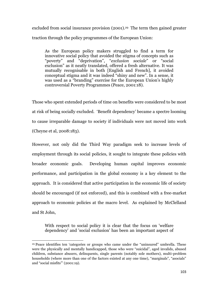excluded from social insurance provision (2001).<sup>29</sup> The term then gained greater traction through the policy programmes of the European Union:

As the European policy makers struggled to find a term for innovative social policy that avoided the stigma of concepts such as "poverty" and "deprivation", "*exclusion sociale*" or "social exclusion" as it neatly translated, offered a fresh alternative. It was mutually recognisable in both [English and French], it avoided conceptual stigma and it was indeed "shiny and new". In a sense, it was used as a "branding" exercise for the European Union's highly controversial Poverty Programmes (Peace, 2001:18).

Those who spent extended periods of time on benefits were considered to be most at risk of being socially excluded. "Benefit dependency" became a spectre looming to cause irreparable damage to society if individuals were not moved into work (Cheyne et al, 2008:183).

However, not only did the Third Way paradigm seek to increase levels of employment through its social policies, it sought to integrate these policies with broader economic goals. Developing human capital improves economic performance, and participation in the global economy is a key element to the approach. It is considered that active participation in the economic life of society should be encouraged (if not enforced), and this is combined with a free-market approach to economic policies at the macro level. As explained by McClelland and St John,

With respect to social policy it is clear that the focus on 'welfare dependency' and 'social exclusion' has been an important aspect of

<sup>1</sup> <sup>29</sup> Peace identifies ten "categories or groups who came under the "uninsured" umbrella. These were the physically and mentally handicapped, those who were "suicidal", aged invalids, abused children, substance abusers, delinquents, single parents (notably sole mothers), multi-problem households (where more than one of the factors existed at any one time), "marginals", "asocials" and "social misfits"" (2001:19).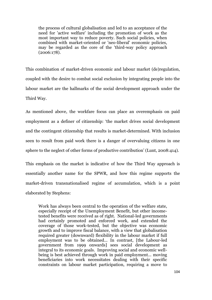the process of cultural globalisation and led to an acceptance of the need for 'active welfare' including the promotion of work as the most important way to reduce poverty. Such social policies, when combined with market-oriented or 'neo-liberal' economic policies, may be regarded as the core of the 'third-way policy approach (2006:178).

This combination of market-driven economic and labour market (de)regulation, coupled with the desire to combat social exclusion by integrating people into the labour market are the hallmarks of the social development approach under the Third Way.

As mentioned above, the workfare focus can place an overemphasis on paid employment as a definer of citizenship: "the market drives social development and the contingent citizenship that results is market-determined. With inclusion seen to result from paid work there is a danger of overvaluing citizens in one sphere to the neglect of other forms of productive contribution' (Lunt, 2008:414).

This emphasis on the market is indicative of how the Third Way approach is essentially another name for the SPWR, and how this regime supports the market-driven transnationalised regime of accumulation, which is a point elaborated by Stephens:

Work has always been central to the operation of the welfare state, especially receipt of the Unemployment Benefit, but other incometested benefits were received as of right. National-led governments had certainly promoted and enforced work, and extended the coverage of those work-tested, but the objective was economic growth and to improve fiscal balance, with a view that globalisation required greater (downward) flexibility in the labour market if full employment was to be obtained... In contrast, [the Labour-led government from 1999 onwards] sees social development as integral to its economic goals. Improving social and economic wellbeing is best achieved through work in paid employment... moving beneficiaries into work necessitates dealing with their specific constraints on labour market participation, requiring a move to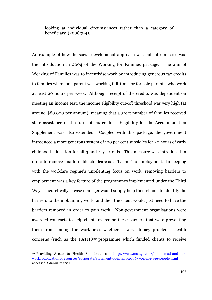looking at individual circumstances rather than a category of beneficiary (2008:3-4).

An example of how the social development approach was put into practice was the introduction in 2004 of the Working for Families package. The aim of Working of Families was to incentivise work by introducing generous tax credits to families where one parent was working full-time, or for sole parents, who work at least 20 hours per week. Although receipt of the credits was dependent on meeting an income test, the income eligibility cut-off threshold was very high (at around \$80,000 per annum), meaning that a great number of families received state assistance in the form of tax credits. Eligibility for the Accommodation Supplement was also extended. Coupled with this package, the government introduced a more generous system of 100 per cent subsidies for 20 hours of early childhood education for all 3 and 4-year-olds. This measure was introduced in order to remove unaffordable childcare as a "barrier" to employment. In keeping with the workfare regime's unrelenting focus on work, removing barriers to employment was a key feature of the programmes implemented under the Third Way. Theoretically, a case manager would simply help their clients to identify the barriers to them obtaining work, and then the client would just need to have the barriers removed in order to gain work. Non-government organisations were awarded contracts to help clients overcome these barriers that were preventing them from joining the workforce, whether it was literacy problems, health concerns (such as the PATHS<sup>30</sup> programme which funded clients to receive

<sup>30</sup> Providing Access to Health Solutions, see [http://www.msd.govt.nz/about-msd-and-our](http://www.msd.govt.nz/about-msd-and-our-work/publications-resources/corporate/statement-of-intent/2006/working-age-people.html)[work/publications-resources/corporate/statement-of-intent/2006/working-age-people.html](http://www.msd.govt.nz/about-msd-and-our-work/publications-resources/corporate/statement-of-intent/2006/working-age-people.html) accessed 7 January 2011.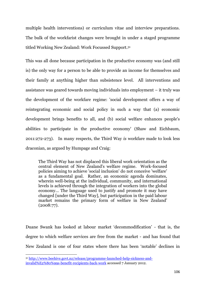multiple health interventions) or curriculum vitae and interview preparations. The bulk of the workfarist changes were brought in under a staged programme titled Working New Zealand: Work Focussed Support.<sup>31</sup>

This was all done because participation in the productive economy was (and still is) the only way for a person to be able to provide an income for themselves and their family at anything higher than subsistence level. All interventions and assistance was geared towards moving individuals into employment – it truly was the development of the workfare regime: 'social development offers a way of reintegrating economic and social policy in such a way that (a) economic development brings benefits to all, and (b) social welfare enhances people's abilities to participate in the productive economy' (Shaw and Eichbaum, 2011:272-273). In many respects, the Third Way *is* workfare made to look less draconian, as argued by Humpage and Craig:

The Third Way has not displaced this liberal work orientation as the central element of New Zealand's welfare regime. Work-focused policies aiming to achieve 'social inclusion' do not conceive 'welfare' as a fundamental goal. Rather, an economic agenda dominates, wherein well-being at the individual, community, and international levels is achieved through the integration of workers into the global economy… The language used to justify and promote it may have changed [under the Third Way], but participation in the paid labour market remains the primary form of welfare in New Zealand" (2008:77).

Duane Swank has looked at labour market "decommodification" - that is, the degree to which welfare services are free from the market - and has found that New Zealand is one of four states where there has been "notable" declines in

<sup>31</sup> [http://www.beehive.govt.nz/release/programme-launched-help-sickness-and](http://www.beehive.govt.nz/release/programme-launched-help-sickness-and-invalid%E2%80%99s-benefit-recipients-back-work)[invalid%E2%80%99s-benefit-recipients-back-work](http://www.beehive.govt.nz/release/programme-launched-help-sickness-and-invalid%E2%80%99s-benefit-recipients-back-work) accessed 7 January 2012.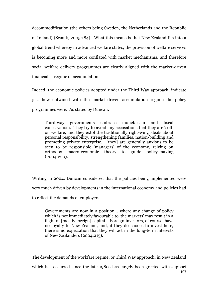decommodification (the others being Sweden, the Netherlands and the Republic of Ireland) (Swank, 2005:184). What this means is that New Zealand fits into a global trend whereby in advanced welfare states, the provision of welfare services is becoming more and more conflated with market mechanisms, and therefore social welfare delivery programmes are clearly aligned with the market-driven financialist regime of accumulation.

Indeed, the economic policies adopted under the Third Way approach, indicate just how entwined with the market-driven accumulation regime the policy programmes were. As stated by Duncan:

Third-way governments embrace monetarism and fiscal conservatism. They try to avoid any accusations that they are "soft" on welfare, and they extol the traditionally right-wing ideals about personal responsibility, strengthening families, nation-building and promoting private enterprise… [they] are generally anxious to be seen to be responsible 'managers' of the economy, relying on orthodox macro-economic theory to guide policy-making (2004:220).

Writing in 2004, Duncan considered that the policies being implemented were very much driven by developments in the international economy and policies had to reflect the demands of employers:

Governments are now in a position… where any change of policy which is not immediately favourable to 'the markets' may result in a flight of [mostly foreign] capital… Foreign investors, of course, have no loyalty to New Zealand, and, if they do choose to invest here, there is no expectation that they will act in the long-term interests of New Zealanders (2004:215).

The development of the workfare regime, or Third Way approach, in New Zealand

107 which has occurred since the late 1980s has largely been greeted with support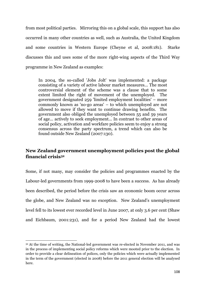from most political parties. Mirroring this on a global scale, this support has also occurred in many other countries as well, such as Australia, the United Kingdom and some countries in Western Europe (Cheyne et al, 2008:181). Starke discusses this and uses some of the more right-wing aspects of the Third Way programme in New Zealand as examples:

In 2004, the so-called 'Jobs Jolt' was implemented: a package consisting of a variety of active labour market measures... The most controversial element of the scheme was a clause that to some extent limited the right of movement of the unemployed. The government designated 259 'limited employment localities' – more commonly known as 'no-go areas' – to which unemployed are not allowed to move if they want to continue drawing benefits. The government also obliged the unemployed between 55 and 59 years of age... actively to seek employment... In contrast to other areas of social policy, activation and workfare policies seem to enjoy a strong consensus across the party spectrum, a trend which can also be found outside New Zealand (2007:130).

## **New Zealand government unemployment policies post the global financial crisis<sup>32</sup>**

Some, if not many, may consider the policies and programmes enacted by the Labour-led governments from 1999-2008 to have been a success. As has already been described, the period before the crisis saw an economic boom occur across the globe, and New Zealand was no exception. New Zealand"s unemployment level fell to its lowest ever recorded level in June 2007, at only 3.6 per cent (Shaw and Eichbaum, 2001:231), and for a period New Zealand had the lowest

1

<sup>32</sup> At the time of writing, the National-led government was re-elected in November 2011, and was in the process of implementing social policy reforms which were mooted prior to the election. In order to provide a clear delineation of polices, only the policies which were actually implemented in the term of the government (elected in 2008) before the 2011 general election will be analysed here.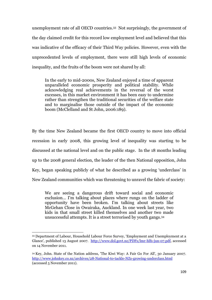unemployment rate of all OECD countries. <sup>33</sup> Not surprisingly, the government of the day claimed credit for this record low employment level and believed that this was indicative of the efficacy of their Third Way policies. However, even with the unprecedented levels of employment, there were still high levels of economic inequality, and the fruits of the boom were not shared by all:

In the early to mid-2000s, New Zealand enjoyed a time of apparent unparalleled economic prosperity and political stability. While acknowledging real achievements in the reversal of the worst excesses, in this market environment it has been easy to undermine rather than strengthen the traditional securities of the welfare state and to marginalise those outside of the impact of the economic boom (McClelland and St John, 2006:189).

By the time New Zealand became the first OECD country to move into official recession in early 2008, this growing level of inequality was starting to be discussed at the national level and on the public stage. In the 18 months leading up to the 2008 general election, the leader of the then National opposition, John Key, began speaking publicly of what he described as a growing "underclass" in New Zealand communities which was threatening to unravel the fabric of society:

We are seeing a dangerous drift toward social and economic exclusion… I'm talking about places where rungs on the ladder of opportunity have been broken. I'm talking about streets like McGehan Close in Owairaka, Auckland. In one week last year, two kids in that small street killed themselves and another two made unsuccessful attempts. It is a street terrorised by youth gangs.<sup>34</sup>

<sup>33</sup> Department of Labour, Household Labour Force Survey, "Employment and Unemployment at a Glance", published 13 August 2007. [http://www.dol.govt.nz/PDFs/lmr-hlfs-jun-07.pdf,](http://www.dol.govt.nz/PDFs/lmr-hlfs-jun-07.pdf) accessed on 14 November 2011.

<sup>34</sup> Key, John. State of the Nation address, 'The Kiwi Way: A Fair Go For All', 30 January 2007. <http://www.johnkey.co.nz/archives/28-National-to-tackle-NZs-growing-underclass.html> (accessed 5 November 2011).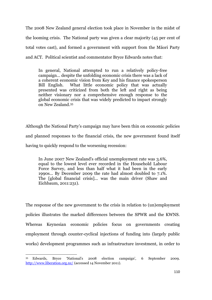The 2008 New Zealand general election took place in November in the midst of the looming crisis. The National party was given a clear majority (45 per cent of total votes cast), and formed a government with support from the Māori Party and ACT. Political scientist and commentator Bryce Edwards notes that:

In general, National attempted to run a relatively policy-free campaign… despite the unfolding economic crisis there was a lack of a coherent economic vision from Key and his finance spokesperson Bill English. What little economic policy that was actually presented was criticized from both the left and right as being neither visionary nor a comprehensive enough response to the global economic crisis that was widely predicted to impact strongly on New Zealand.<sup>35</sup>

Although the National Party"s campaign may have been thin on economic policies and planned responses to the financial crisis, the new government found itself having to quickly respond to the worsening recession:

In June 2007 New Zealand's official unemployment rate was 3.6%, equal to the lowest level ever recorded in the Household Labour Force Survey, and less than half what it had been in the early 1990s... By December 2009 the rate had almost doubled to 7.1%. The [global financial crisis]... was the main driver (Shaw and Eichbaum, 2011:231).

The response of the new government to the crisis in relation to (un)employment policies illustrates the marked differences between the SPWR and the KWNS. Whereas Keynesian economic policies focus on governments creating employment through counter-cyclical injections of funding into (largely public works) development programmes such as infrastructure investment, in order to

**<sup>.</sup>** <sup>35</sup> Edwards, Bryce "National"s 2008 election campaign", 6 September 2009. <http://www.liberation.org.nz/> (accessed 14 November 2011).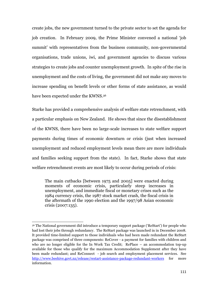create jobs, the new government turned to the private sector to set the agenda for job creation. In February 2009, the Prime Minister convened a national "job summit' with representatives from the business community, non-governmental organisations, trade unions, iwi, and government agencies to discuss various strategies to create jobs and counter unemployment growth. In spite of the rise in unemployment and the costs of living, the government did not make any moves to increase spending on benefit levels or other forms of state assistance, as would have been expected under the KWNS.<sup>36</sup>

Starke has provided a comprehensive analysis of welfare state retrenchment, with a particular emphasis on New Zealand. He shows that since the disestablishment of the KWNS, there have been no large-scale increases to state welfare support payments during times of economic downturn or crisis (just when increased unemployment and reduced employment levels mean there are more individuals and families seeking support from the state). In fact, Starke shows that state welfare retrenchment events are most likely to occur during periods of crisis:

The main cutbacks [between 1975 and 2005] were enacted during moments of economic crisis, particularly steep increases in unemployment, and immediate fiscal or monetary crises such as the 1984 currency crisis, the 1987 stock market crash, the fiscal crisis in the aftermath of the 1990 election and the 1997/98 Asian economic crisis (2007:135).

<sup>36</sup> The National government did introduce a temporary support package ("ReStart") for people who had lost their jobs through redundancy. The ReStart package was launched in in December 2008. It provided time-limited support to those individuals who had been made redundant the ReStart package was comprised of three components: ReCover - a payment for families with children and who are no longer eligible for the In Work Tax Credit; RePlace – an accommodation top-up available for those who qualify for the maximum Accommodation Supplement after they have been made redundant; and ReConnect - job search and employment placement services. See <http://www.beehive.govt.nz/release/restart-assistance-package-redundant-workers> for more information.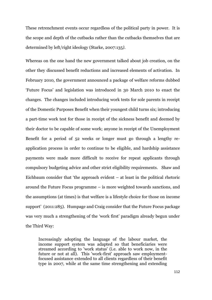These retrenchment events occur regardless of the political party in power. It is the scope and depth of the cutbacks rather than the cutbacks themselves that are determined by left/right ideology (Starke, 2007:135*)*.

Whereas on the one hand the new government talked about job creation, on the other they discussed benefit reductions and increased elements of activation. In February 2010, the government announced a package of welfare reforms dubbed "Future Focus" and legislation was introduced in 30 March 2010 to enact the changes. The changes included introducing work tests for sole parents in receipt of the Domestic Purposes Benefit when their youngest child turns six; introducing a part-time work test for those in receipt of the sickness benefit and deemed by their doctor to be capable of some work; anyone in receipt of the Unemployment Benefit for a period of 52 weeks or longer must go through a lengthy reapplication process in order to continue to be eligible, and hardship assistance payments were made more difficult to receive for repeat applicants through compulsory budgeting advice and other strict eligibility requirements. Shaw and Eichbaum consider that "the approach evident – at least in the political rhetoric around the Future Focus programme – is more weighted towards sanctions, and the assumptions (at times) is that welfare is a lifestyle choice for those on income support' (2011:285). Humpage and Craig consider that the Future Focus package was very much a strengthening of the 'work first' paradigm already begun under the Third Way:

Increasingly adopting the language of the labour market, the income support system was adapted so that beneficiaries were streamed according to 'work status' (i.e. able to work now, in the future or not at all). This 'work-first' approach saw employmentfocused assistance extended to all clients regardless of their benefit type in 2007, while at the same time strengthening and extending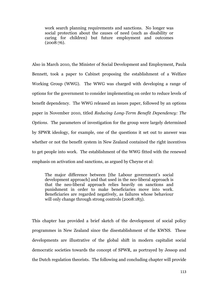work search planning requirements and sanctions. No longer was social protection about the causes of need (such as disability or caring for children) but future employment and outcomes (2008:76).

Also in March 2010, the Minister of Social Development and Employment, Paula Bennett, took a paper to Cabinet proposing the establishment of a Welfare Working Group (WWG). The WWG was charged with developing a range of options for the government to consider implementing on order to reduce levels of benefit dependency. The WWG released an issues paper, followed by an options paper in November 2010, titled *Reducing Long-Term Benefit Dependency: The Options*. The parameters of investigation for the group were largely determined by SPWR ideology, for example, one of the questions it set out to answer was whether or not the benefit system in New Zealand contained the right incentives to get people into work. The establishment of the WWG fitted with the renewed emphasis on activation and sanctions, as argued by Cheyne et al:

The major difference between [the Labour government's social development approach] and that used in the neo-liberal approach is that the neo-liberal approach relies heavily on sanctions and punishment in order to make beneficiaries move into work. Beneficiaries are regarded negatively, as failures whose behaviour will only change through strong controls (2008:183).

This chapter has provided a brief sketch of the development of social policy programmes in New Zealand since the disestablishment of the KWNS. These developments are illustrative of the global shift in modern capitalist social democratic societies towards the concept of SPWR, as portrayed by Jessop and the Dutch regulation theorists. The following and concluding chapter will provide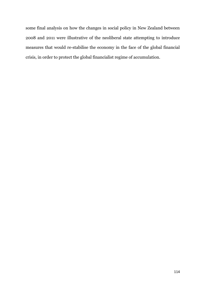some final analysis on how the changes in social policy in New Zealand between 2008 and 2011 were illustrative of the neoliberal state attempting to introduce measures that would re-stabilise the economy in the face of the global financial crisis, in order to protect the global financialist regime of accumulation.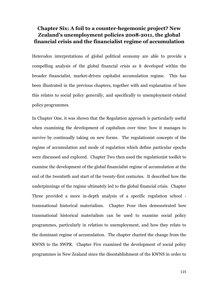# **Chapter Six: A foil to a counter-hegemonic project? New Zealand's unemployment policies 2008-2011, the global financial crisis and the financialist regime of accumulation**

Heterodox interpretations of global political economy are able to provide a compelling analysis of the global financial crisis as it developed within the broader financialist, market-driven capitalist accumulation regime. This has been illustrated in the previous chapters, together with and explanation of how this relates to social policy generally, and specifically to unemployment-related policy programmes.

In Chapter One, it was shown that the Regulation approach is particularly useful when examining the development of capitalism over time: how it manages to survive by continually taking on new forms. The regulationist concepts of the regime of accumulation and mode of regulation which define particular epochs were discussed and explored. Chapter Two then used the regulationist toolkit to examine the development of the global financialist regime of accumulation at the end of the twentieth and start of the twenty-first centuries. It described how the underpinnings of the regime ultimately led to the global financial crisis. Chapter Three provided a more in-depth analysis of a specific regulation school transnational historical materialism. Chapter Four then demonstrated how transnational historical materialism can be used to examine social policy programmes, particularly in relation to unemployment, and how they relate to the dominant regime of accumulation. The chapter charted the change from the KWNS to the SWPR. Chapter Five examined the development of social policy programmes in New Zealand since the disestablishment of the KWNS in order to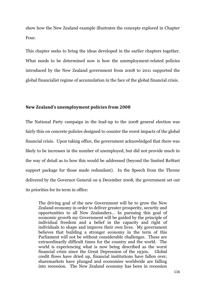show how the New Zealand example illustrates the concepts explored in Chapter Four.

This chapter seeks to bring the ideas developed in the earlier chapters together. What needs to be determined now is how the unemployment-related policies introduced by the New Zealand government from 2008 to 2011 supported the global financialist regime of accumulation in the face of the global financial crisis.

#### **New Zealand's unemployment policies from 2008**

The National Party campaign in the lead-up to the 2008 general election was fairly thin on concrete policies designed to counter the worst impacts of the global financial crisis. Upon taking office, the government acknowledged that there was likely to be increases in the number of unemployed, but did not provide much in the way of detail as to how this would be addressed (beyond the limited ReStart support package for those made redundant). In the Speech from the Throne delivered by the Governor General on 9 December 2008, the government set out its priorities for its term in office:

The driving goal of the new Government will be to grow the New Zealand economy in order to deliver greater prosperity, security and opportunities to all New Zealanders… In pursuing this goal of economic growth my Government will be guided by the principle of individual freedom and a belief in the capacity and right of individuals to shape and improve their own lives. My government believes that building a stronger economy in the term of this Parliament will not be without considerable challenges. These are extraordinarily difficult times for the country and the world. The world is experiencing what is now being described as the worst financial crisis since the Great Depression of the 1930s. Global credit flows have dried up, financial institutions have fallen over, sharemarkets have plunged and economies worldwide are falling into recession. The New Zealand economy has been in recession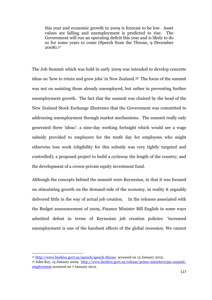this year and economic growth in 2009 is forecast to be low. Asset values are falling and unemployment is predicted to rise. The Government will run an operating deficit this year and is likely to do so for some years to come (Speech from the Throne, 9 December 2008).<sup>37</sup>

The Job Summit which was held in early 2009 was intended to develop concrete ideas on 'how to retain and grow jobs' in New Zealand.<sup>38</sup> The focus of the summit was not on assisting those already unemployed, but rather in preventing further unemployment growth. The fact that the summit was chaired by the head of the New Zealand Stock Exchange illustrates that the Government was committed to addressing unemployment through market mechanisms. The summit really only generated three "ideas": a nine-day working fortnight which would see a wage subsidy provided to employers for the tenth day for employees who might otherwise lose work (eligibility for this subsidy was very tightly targeted and controlled); a proposed project to build a cycleway the length of the country; and the development of a crown-private equity investment fund.

Although the concepts behind the summit were Keynesian, in that it was focused on stimulating growth on the demand-side of the economy, in reality it arguably delivered little in the way of actual job creation. In the releases associated with the Budget announcement of 2009, Finance Minister Bill English in some ways admitted defeat in terms of Keynesian job creation policies: "increased unemployment is one of the harshest effects of the global recession. We cannot

<sup>37</sup> <http://www.beehive.govt.nz/speech/speech-throne>accessed on 13 January 2012.

<sup>38</sup> John Key, 15 January 2009. [http://www.beehive.govt.nz/release/prime-minister039s-summit](http://www.beehive.govt.nz/release/prime-minister039s-summit-employment)[employment](http://www.beehive.govt.nz/release/prime-minister039s-summit-employment) accessed on 7 January 2012.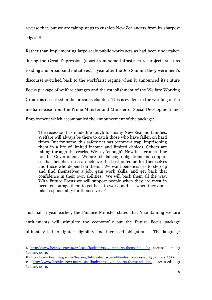reverse that, but we are taking steps to cushion New Zealanders from its sharpest edges'.39

Rather than implementing large-scale public works acts as had been undertaken during the Great Depression (apart from some infrastructure projects such as roading and broadband initiatives), a year after the Job Summit the government"s discourse switched back to the workfarist regime when it announced its Future Focus package of welfare changes and the establishment of the Welfare Working Group, as described in the previous chapter. This is evident in the wording of the media release from the Prime Minister and Minister of Social Development and Employment which accompanied the announcement of the package:

The recession has made life tough for many New Zealand families. Welfare will always be there to catch those who have fallen on hard times. But for some, this safety net has become a trap, imprisoning them in a life of limited income and limited choices. Others are falling through the cracks. We say "enough'. Now it is crunch time for this Government. We are rebalancing obligations and support so that beneficiaries can achieve the best outcome for themselves and those who depend on them… We want beneficiaries to step up and find themselves a job, gain work skills, and get back that confidence in their own abilities. We will back them all the way. With Future Focus we will support people when they are most in need, encourage them to get back to work, and act when they don't take responsibility for themselves.<sup>40</sup>

Just half a year earlier, the Finance Minister stated that "maintaining welfare entitlements will stimulate the economy'<sup>41</sup> but the Future Focus package ultimately led to tighter eligibility and increased obligations. The language

<sup>40</sup> <http://www.beehive.govt.nz/feature/future-focus-benefit-reforms> accessed 13 January 2012.

<sup>39</sup> <http://www.beehive.govt.nz/release/budget-2009-supports-thousands-jobs> accessed on 13 January 2012.

<sup>41</sup> <http://www.beehive.govt.nz/release/budget-2009-supports-thousands-jobs> accessed 13 January 2012.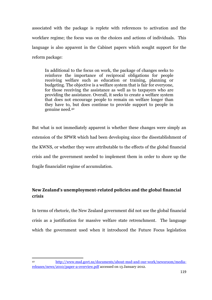associated with the package is replete with references to activation and the workfare regime; the focus was on the choices and actions of individuals. This language is also apparent in the Cabinet papers which sought support for the reform package:

In additional to the focus on work, the package of changes seeks to reinforce the importance of reciprocal obligations for people receiving welfare such as education or training, planning or budgeting. The objective is a welfare system that is fair for everyone, for those receiving the assistance as well as to taxpayers who are providing the assistance. Overall, it seeks to create a welfare system that does not encourage people to remain on welfare longer than they have to, but does continue to provide support to people in genuine need.<sup>42</sup>

But what is not immediately apparent is whether these changes were simply an extension of the SPWR which had been developing since the disestablishment of the KWNS, or whether they were attributable to the effects of the global financial crisis and the government needed to implement them in order to shore up the fragile financialist regime of accumulation.

## **New Zealand's unemployment-related policies and the global financial crisis**

In terms of rhetoric, the New Zealand government did not use the global financial crisis as a justification for massive welfare state retrenchment. The language which the government used when it introduced the Future Focus legislation

 $\overline{\phantom{a}}$ 

<sup>42</sup> [http://www.msd.govt.nz/documents/about-msd-and-our-work/newsroom/media](http://www.msd.govt.nz/documents/about-msd-and-our-work/newsroom/media-releases/news/2010/paper-a-overview.pdf)[releases/news/2010/paper-a-overview.pdf](http://www.msd.govt.nz/documents/about-msd-and-our-work/newsroom/media-releases/news/2010/paper-a-overview.pdf) accessed on 13 January 2012.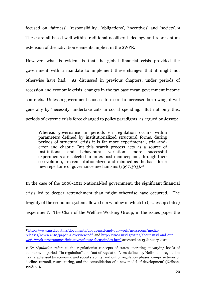focused on 'fairness', 'responsibility', 'obligations', 'incentives' and 'society'.<sup>43</sup> These are all based well within traditional neoliberal ideology and represent an extension of the activation elements implicit in the SWPR.

However, what is evident is that the global financial crisis provided the government with a mandate to implement these changes that it might not otherwise have had. As discussed in previous chapters, under periods of recession and economic crisis, changes in the tax base mean government income contracts. Unless a government chooses to resort to increased borrowing, it will generally by "necessity" undertake cuts in social spending. But not only this, periods of extreme crisis force changed to policy paradigms, as argued by Jessop:

Whereas governance in periods en régulation occurs within parameters defined by institutionalized structural forms, during periods of structural crisis it is far more experimental, trial-anderror and chaotic. But this search process acts as a source of institutional and behavioural variation; more successful experiments are selected in an ex post manner; and, through their co-evolution, are reinstitutionalized and retained as the basis for a new repertoire of governance mechanisms (1997:303).<sup>44</sup>

In the case of the 2008-2011 National-led government, the significant financial crisis led to deeper retrenchment than might otherwise have occurred. The fragility of the economic system allowed it a window in which to (as Jessop states) "experiment". The Chair of the Welfare Working Group, in the issues paper the

 $\overline{\phantom{a}}$ 43[http://www.msd.govt.nz/documents/about-msd-and-our-work/newsroom/media](http://www.msd.govt.nz/documents/about-msd-and-our-work/newsroom/media-releases/news/2010/paper-a-overview.pdf)[releases/news/2010/paper-a-overview.pdf](http://www.msd.govt.nz/documents/about-msd-and-our-work/newsroom/media-releases/news/2010/paper-a-overview.pdf) and [http://www.msd.govt.nz/about-msd-and-our](http://www.msd.govt.nz/about-msd-and-our-work/work-programmes/initiatives/future-focus/index.html)[work/work-programmes/initiatives/future-focus/index.html](http://www.msd.govt.nz/about-msd-and-our-work/work-programmes/initiatives/future-focus/index.html) accessed on 13 January 2012.

<sup>44</sup> *En règulation* refers to the regulationist concepts of states operating at varying levels of autonomy in periods "in regulation" and "out of regulation". As defined by Neilson, in regulation 'is characterised by economic and social stability' and out of regulation phases 'comprise times of decline, turmoil, restructuring, and the consolidation of a new model of development' (Neilson, 1998: 51).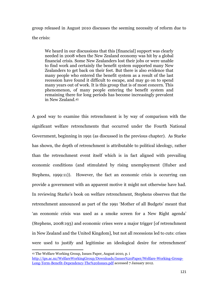group released in August 2010 discusses the seeming necessity of reform due to the crisis:

We heard in our discussions that this [financial] support was clearly needed in 2008 when the New Zealand economy was hit by a global financial crisis. Some New Zealanders lost their jobs or were unable to find work and certainly the benefit system supported many New Zealanders to get back on their feet. But there is also evidence that many people who entered the benefit system as a result of the last recession have found it difficult to escape, and may go on to spend many years out of work. It is this group that is of most concern. This phenomenon, of many people entering the benefit system and remaining there for long periods has become increasingly prevalent in New Zealand.<sup>45</sup>

A good way to examine this retrenchment is by way of comparison with the significant welfare retrenchments that occurred under the Fourth National Government, beginning in 1991 (as discussed in the previous chapter). As Starke has shown, the depth of retrenchment is attributable to political ideology, rather than the retrenchment event itself which is in fact aligned with prevailing economic conditions (and stimulated by rising unemployment (Huber and Stephens, 1999:11)). However, the fact an economic crisis is occurring can provide a government with an apparent motive it might not otherwise have had. In reviewing Starke"s book on welfare retrenchment, Stephens observes that the retrenchment announced as part of the 1991 'Mother of all Budgets' meant that 'an economic crisis was used as a smoke screen for a New Right agenda' (Stephens, 2008:193) and economic crises were a major trigger [of retrenchment in New Zealand and the United Kingdom], but not all recessions led to cuts: crises were used to justify and legitimise an ideological desire for retrenchment"

<sup>45</sup> The Welfare Working Group, Issues Paper, August 2010, p. i

[http://ips.ac.nz/WelfareWorkingGroup/Downloads/Issues%20Paper/Welfare-Working-Group-](http://ips.ac.nz/WelfareWorkingGroup/Downloads/Issues%20Paper/Welfare-Working-Group-Long-Term-Benefit-Dependency-The%20Issues.pdf)[Long-Term-Benefit-Dependency-The%20Issues.pdf](http://ips.ac.nz/WelfareWorkingGroup/Downloads/Issues%20Paper/Welfare-Working-Group-Long-Term-Benefit-Dependency-The%20Issues.pdf) accessed 7 January 2012.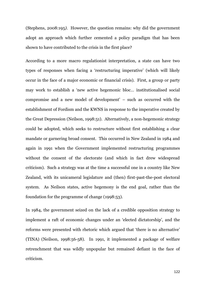(Stephens, 2008:195*)*. However, the question remains: why did the government adopt an approach which further cemented a policy paradigm that has been shown to have contributed to the crisis in the first place?

According to a more macro regulationist interpretation, a state can have two types of responses when facing a "restructuring imperative" (which will likely occur in the face of a major economic or financial crisis). First, a group or party may work to establish a "new active hegemonic bloc… institutionalised social compromise and a new model of development" – such as occurred with the establishment of Fordism and the KWNS in response to the imperative created by the Great Depression (Neilson, 1998:51). Alternatively, a non-hegemonic strategy could be adopted, which seeks to restructure without first establishing a clear mandate or garnering broad consent. This occurred in New Zealand in 1984 and again in 1991 when the Government implemented restructuring programmes without the consent of the electorate (and which in fact drew widespread criticism). Such a strategy was at the time a successful one in a country like New Zealand, with its unicameral legislature and (then) first-past-the-post electoral system. As Neilson states, active hegemony is the end goal, rather than the foundation for the programme of change (1998:53).

In 1984, the government seized on the lack of a credible opposition strategy to implement a raft of economic changes under an "elected dictatorship", and the reforms were presented with rhetoric which argued that "there is no alternative" (TINA) (Neilson, 1998:56-58). In 1991, it implemented a package of welfare retrenchment that was wildly unpopular but remained defiant in the face of criticism.

122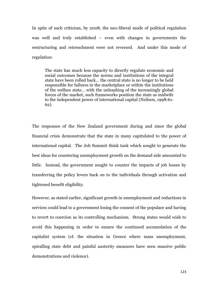In spite of such criticism, by 2008, the neo-liberal mode of political regulation was well and truly established – even with changes in governments the restructuring and retrenchment were not reversed. And under this mode of regulation:

The state has much less capacity to directly regulate economic and social outcomes because the norms and institutions of the integral state have been rolled back… the central state is no longer to be held responsible for failures in the marketplace or within the institutions of the welfare state… with the unleashing of the increasingly global forces of the market, such frameworks position the state as midwife to the independent power of international capital (Neilson, 1998:61- 62).

The responses of the New Zealand government during and since the global financial crisis demonstrate that the state in many capitulated to the power of international capital. The Job Summit think tank which sought to generate the best ideas for countering unemployment growth on the demand side amounted to little. Instead, the government sought to counter the impacts of job losses by transferring the policy levers back on to the individuals through activation and tightened benefit eligibility.

However, as stated earlier, significant growth in unemployment and reductions in services could lead to a government losing the consent of the populace and having to revert to coercion as its controlling mechanism. Strong states would wish to avoid this happening in order to ensure the continued accumulation of the capitalist system (cf. the situation in Greece where mass unemployment, spiralling state debt and painful austerity measures have seen massive public demonstrations and violence).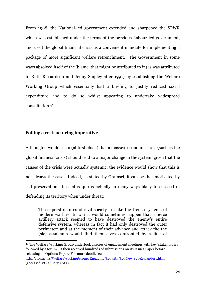From 1998, the National-led government extended and sharpened the SPWR which was established under the terms of the previous Labour-led government, and used the global financial crisis as a convenient mandate for implementing a package of more significant welfare retrenchment. The Government in some ways absolved itself of the "blame" that might be attributed to it (as was attributed to Ruth Richardson and Jenny Shipley after 1991) by establishing the Welfare Working Group which essentially had a briefing to justify reduced social expenditure and to do so whilst appearing to undertake widespread consultation. 46

### **Foiling a restructuring imperative**

1

Although it would seem (at first blush) that a massive economic crisis (such as the global financial crisis) should lead to a major change in the system, given that the causes of the crisis were actually systemic, the evidence would show that this is not always the case. Indeed, as stated by Gramsci, it can be that motivated by self-preservation, the status quo is actually in many ways likely to succeed in defending its territory when under threat:

The superstructures of civil society are like the trench-systems of modern warfare. In war it would sometimes happen that a fierce artillery attack seemed to have destroyed the enemy's entire defensive system, whereas in fact it had only destroyed the outer perimeter; and at the moment of their advance and attack the the (sic) assailants would find themselves confronted by a line of

<sup>46</sup> The Welfare Working Group undertook a series of engagement meetings with key "stakeholders" followed by a forum. It then received hundreds of submissions on its Issues Paper before releasing its Options Paper. For more detail, see

<http://ips.ac.nz/WelfareWorkingGroup/Engaging%20with%20New%20Zealanders.html> (accessed 27 January 2012).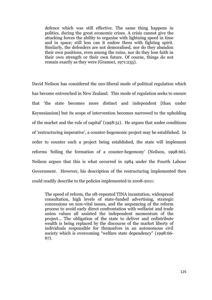defence which was still effective. The same thing happens in politics, during the great economic crises. A crisis cannot give the attacking forces the ability to organise with lightning speed in time and in space; still less can it endow them with fighting spirit. Similarly, the defenders are not demoralised, nor do they abandon their own positions, even among the ruins, nor do they lose faith in their own strength or their own future. Of course, things do not remain exactly as they were (Gramsci, 1971:235).

David Neilson has considered the neo-liberal mode of political regulation which has become entrenched in New Zealand. This mode of regulation seeks to ensure that "the state becomes more distinct and independent [than under Keynesianism] but its scope of intervention becomes narrowed to the upholding of the market and the rule of capital" (1998:51). He argues that under conditions of "restructuring imperative", a counter-hegemonic project may be established. In order to counter such a project being established, the state will implement reforms 'foiling the formation of a counter-hegemony' (Neilson, 1998:66). Neilson argues that this is what occurred in 1984 under the Fourth Labour Government. However, his description of the restructuring implemented then could readily describe to the policies implemented in 2008-2011:

The speed of reform, the oft-repeated TINA incantation, widespread consultation, high levels of state-funded advertising, strategic concessions on non-vital issues, and the sequencing of the reform process to avoid early direct confrontation with welfarist and trade union values all assisted the independent momentum of the project… The obligation of the state to deliver and redistribute wealth is being replaced by the discourse of the market liberty of individuals responsible for themselves in an autonomous civil society which is overcoming "welfare state dependency" (1998:66- 67).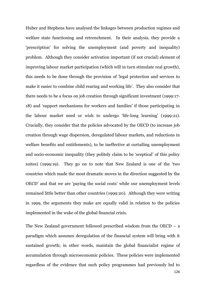Huber and Stephens have analysed the linkages between production regimes and welfare state functioning and retrenchment. In their analysis, they provide a "prescription" for solving the unemployment (and poverty and inequality) problem. Although they consider activation important (if not crucial) element of improving labour market participation (which will in turn stimulate real growth), this needs to be done through the provision of "legal protection and services to make it easier to combine child rearing and working life'. They also consider that there needs to be a focus on job creation through significant investment (1999:17- 18) and "support mechanisms for workers and families" if those participating in the labour market need or wish to undergo "life-long learning" (1999:21). Crucially, they consider that the policies advocated by the OECD (to increase job creation through wage dispersion, deregulated labour markets, and reductions in welfare benefits and entitlements), to be ineffective at curtailing unemployment and socio-economic inequality (they politely claim to be "sceptical" of this policy suites) (1999:19). They go on to note that New Zealand is one of the "two countries which made the most dramatic moves in the direction suggested by the OECD" and that we are "paying the social costs" while our unemployment levels remained little better than other countries (1999:20). Although they were writing in 1999, the arguments they make are equally valid in relation to the policies implemented in the wake of the global financial crisis.

126 The New Zealand government followed prescribed wisdom from the OECD – a paradigm which assumes deregulation of the financial system will bring with it sustained growth; in other words, maintain the global financialist regime of accumulation through microeconomic policies. These policies were implemented regardless of the evidence that such policy programmes had previously led to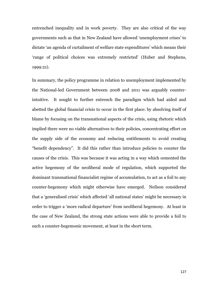entrenched inequality and in work poverty. They are also critical of the way governments such as that in New Zealand have allowed "unemployment crises" to dictate "an agenda of curtailment of welfare state expenditures" which means their "range of political choices was extremely restricted" (Huber and Stephens, 1999:21).

In summary, the policy programme in relation to unemployment implemented by the National-led Government between 2008 and 2011 was arguably counterintuitive. It sought to further entrench the paradigm which had aided and abetted the global financial crisis to occur in the first place: by absolving itself of blame by focusing on the transnational aspects of the crisis, using rhetoric which implied there were no viable alternatives to their policies, concentrating effort on the supply side of the economy and reducing entitlements to avoid creating "benefit dependency". It did this rather than introduce policies to counter the causes of the crisis. This was because it was acting in a way which cemented the active hegemony of the neoliberal mode of regulation, which supported the dominant transnational financialist regime of accumulation, to act as a foil to any counter-hegemony which might otherwise have emerged. Neilson considered that a "generalised crisis" which affected "all national states" might be necessary in order to trigger a "more radical departure" from neoliberal hegemony. At least in the case of New Zealand, the strong state actions were able to provide a foil to such a counter-hegemonic movement, at least in the short term.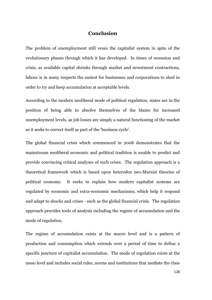### **Conclusion**

The problem of unemployment still vexes the capitalist system in spite of the evolutionary phases through which it has developed. In times of recession and crisis, as available capital shrinks through market and investment contractions, labour is in many respects the easiest for businesses and corporations to shed in order to try and keep accumulation at acceptable levels.

According to the modern neoliberal mode of political regulation, states are in the position of being able to absolve themselves of the blame for increased unemployment levels, as job losses are simply a natural functioning of the market as it seeks to correct itself as part of the "business cycle".

The global financial crisis which commenced in 2008 demonstrates that the mainstream neoliberal economic and political tradition is unable to predict and provide convincing critical analyses of such crises. The regulation approach is a theoretical framework which is based upon heterodox neo-Marxist theories of political economy. It seeks to explain how modern capitalist systems are regulated by economic and extra-economic mechanisms, which help it respond and adapt to shocks and crises - such as the global financial crisis. The regulation approach provides tools of analysis including the regime of accumulation and the mode of regulation.

The regime of accumulation exists at the macro level and is a pattern of production and consumption which extends over a period of time to define a specific juncture of capitalist accumulation. The mode of regulation exists at the meso level and includes social rules, norms and institutions that mediate the class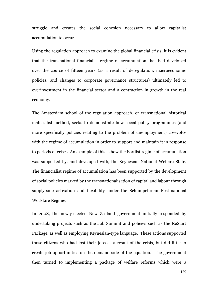struggle and creates the social cohesion necessary to allow capitalist accumulation to occur.

Using the regulation approach to examine the global financial crisis, it is evident that the transnational financialist regime of accumulation that had developed over the course of fifteen years (as a result of deregulation, macroeconomic policies, and changes to corporate governance structures) ultimately led to overinvestment in the financial sector and a contraction in growth in the real economy.

The Amsterdam school of the regulation approach, or transnational historical materialist method, seeks to demonstrate how social policy programmes (and more specifically policies relating to the problem of unemployment) co-evolve with the regime of accumulation in order to support and maintain it in response to periods of crises. An example of this is how the Fordist regime of accumulation was supported by, and developed with, the Keynesian National Welfare State. The financialist regime of accumulation has been supported by the development of social policies marked by the transnationalisation of capital and labour through supply-side activation and flexibility under the Schumpeterian Post-national Workfare Regime.

In 2008, the newly-elected New Zealand government initially responded by undertaking projects such as the Job Summit and policies such as the ReStart Package, as well as employing Keynesian-type language. These actions supported those citizens who had lost their jobs as a result of the crisis, but did little to create job opportunities on the demand-side of the equation. The government then turned to implementing a package of welfare reforms which were a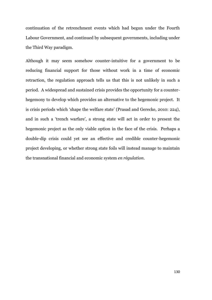continuation of the retrenchment events which had begun under the Fourth Labour Government, and continued by subsequent governments, including under the Third Way paradigm.

Although it may seem somehow counter-intuitive for a government to be reducing financial support for those without work in a time of economic retraction, the regulation approach tells us that this is not unlikely in such a period. A widespread and sustained crisis provides the opportunity for a counterhegemony to develop which provides an alternative to the hegemonic project. It is crisis periods which "shape the welfare state" (Prasad and Gerecke, 2010: 224), and in such a 'trench warfare', a strong state will act in order to present the hegemonic project as the only viable option in the face of the crisis. Perhaps a double-dip crisis could yet see an effective and credible counter-hegemonic project developing, or whether strong state foils will instead manage to maintain the transnational financial and economic system *en règulation*.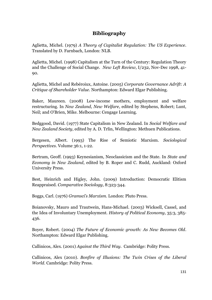# **Bibliography**

Aglietta, Michel. (1979) *A Theory of Capitalist Regulation: The US Experience*. Translated by D. Farnbach, London: NLB.

Aglietta, Michel. (1998) Capitalism at the Turn of the Century: Regulation Theory and the Challenge of Social Change. *New Left Review*, I/232, Nov-Dec 1998, 41- 90.

Aglietta, Michel and Rebéroiux, Antoine. (2005) *Corporate Governance Adrift: A Critique of Shareholder Value*. Northampton: Edward Elgar Publishing.

Baker, Maureen. (2008) Low-income mothers, employment and welfare restructuring. In *New Zealand, New Welfare*, edited by Stephens, Robert; Lunt, Neil; and O'Brien, Mike. Melbourne: Cengage Learning.

Bedggood, David. (1977) State Capitalism in New Zealand. In *Social Welfare and New Zealand Society*, edited by A. D. Trlin, Wellington: Methuen Publications.

Bergesen, Albert. (1993) The Rise of Semiotic Marxism. *Sociological Perspectives*. Volume 36:1, 1-22.

Bertram, Geoff. (1993) Keynesianism, Neoclassicism and the State. In *State and Economy in New Zealand*, edited by B. Roper and C. Rudd, Auckland: Oxford University Press.

Best, Heinrich and Higley, John. (2009) Introduction: Democratic Elitism Reappraised. *Comparative Sociology*, 8:323-344.

Boggs, Carl. (1976) *Gramsci's Marxism*. London: Pluto Press.

Boianovsky, Mauro and Trautwein, Hans-Michael. (2003) Wicksell, Cassel, and the Idea of Involuntary Unemployment. *History of Political Economy*, 35:3, 385- 436.

Boyer, Robert. (2004) *The Future of Economic growth: As New Becomes Old*. Northampton: Edward Elgar Publishing.

Callinicos, Alex. (2001) *Against the Third Way*. Cambridge: Polity Press.

Callinicos, Alex (2010). *Bonfire of Illusions: The Twin Crises of the Liberal World.* Cambridge: Polity Press.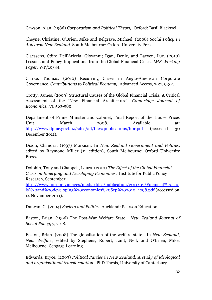Cawson, Alan. (1986) *Corporatism and Political Theory*. Oxford: Basil Blackwell.

Cheyne, Christine; O"Brien, Mike and Belgrave, Michael. (2008) *Social Policy In Aotearoa New Zealand*. South Melbourne: Oxford University Press.

Claessens, Stijn; Dell"Ariccia, Giovanni; Igan, Deniz, and Laeven, Luc. (2010) Lessons and Policy Implications from the Global Financial Crisis. *IMF Working Paper*. WP/10/44.

Clarke, Thomas. (2010) Recurring Crises in Anglo-American Corporate Governance. *Contributions to Political Economy,* Advanced Access, 29:1, 9-32.

Crotty, James. (2009) Structural Causes of the Global Financial Crisis: A Critical Assessment of the 'New Financial Architecture'. *Cambridge Journal of Economics*, 33, 563-580.

Department of Prime Minister and Cabinet, Final Report of the House Prices Unit, March 2008. Available at: <http://www.dpmc.govt.nz/sites/all/files/publications/hpr.pdf> (accessed 30 December 2011).

Dixon, Chandra. (1997) Marxism. In *New Zealand Government and Politics*, edited by Raymond Miller (1st edition), South Melbourne: Oxford University Press.

Dolphin, Tony and Chappell, Laura. (2010) *The Effect of the Global Financial Crisis on Emerging and Developing Economies.* Institute for Public Policy Research, September.

[http://www.ippr.org/images/media/files/publication/2011/05/Financial%20cris](http://www.ippr.org/images/media/files/publication/2011/05/Financial%20crisis%20and%20developing%20economies%20Sep%202010_1798.pdf) [is%20and%20developing%20economies%20Sep%202010\\_1798.pdf](http://www.ippr.org/images/media/files/publication/2011/05/Financial%20crisis%20and%20developing%20economies%20Sep%202010_1798.pdf) (accessed on 14 November 2011).

Duncan, G. (2004) *Society and Politics*. Auckland: Pearson Education.

Easton, Brian. (1996) The Post-War Welfare State. *New Zealand Journal of Social Policy*, 7, 7-28.

Easton, Brian. (2008) The globalisation of the welfare state. In *New Zealand, New Welfare*, edited by Stephens, Robert; Lunt, Neil; and O'Brien, Mike. Melbourne: Cengage Learning.

Edwards, Bryce. (2003) *Political Parties in New Zealand: A study of ideological and organisational transformation*. PhD Thesis, University of Canterbury.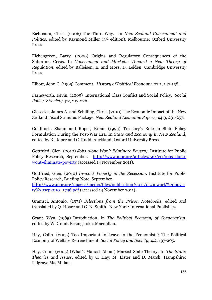Eichbaum, Chris. (2006) The Third Way. In *New Zealand Government and Politics*, edited by Raymond Miller (3<sup>rd</sup> edition), Melbourne: Oxford University Press.

Eichengreen, Barry. (2009) Origins and Regulatory Consequences of the Subprime Crisis. In *Government and Markets: Toward a New Theory of Regulation*, edited by Balleisen, E. and Moss, D. Leiden: Cambridge University Press.

Elliott, John C. (1995) Comment. *History of Political Economy*. 27:1, 147-158.

Farnsworth, Kevin. (2005) International Class Conflict and Social Policy. *Social Policy & Society* 4:2, 217-226.

Giesecke, James A. and Schilling, Chris. (2010) The Economic Impact of the New Zealand Fiscal Stimulus Package. *New Zealand Economic Papers*, 44:3, 231-257.

Goldfinch, Shaun and Roper, Brian. (1993) Treasury's Role in State Policy Formulation During the Post-War Era. In *State and Economy in New Zealand*, edited by B. Roper and C. Rudd. Auckland: Oxford University Press.

Gottfried, Glen. (2010) *Jobs Alone Won't Eliminate Poverty*. Institute for Public Policy Research, September. [http://www.ippr.org/articles/56/631/jobs-alone](http://www.ippr.org/articles/56/631/jobs-alone-wont-eliminate-poverty)[wont-eliminate-poverty](http://www.ippr.org/articles/56/631/jobs-alone-wont-eliminate-poverty) (accessed 14 November 2011).

Gottfried, Glen. (2010) *In-work Poverty in the Recession*. Institute for Public Policy Research, Briefing Note, September.

[http://www.ippr.org/images/media/files/publication/2011/05/inwork%20pover](http://www.ippr.org/images/media/files/publication/2011/05/inwork%20poverty%20sep2010_1796.pdf) [ty%20sep2010\\_1796.pdf](http://www.ippr.org/images/media/files/publication/2011/05/inwork%20poverty%20sep2010_1796.pdf) (accessed 14 November 2011).

Gramsci, Antonio. (1971) *Selections from the Prison Notebooks*, edited and translated by Q. Hoare and G. N. Smith. New York: International Publishers.

Grant, Wyn. (1985) Introduction. In *The Political Economy of Corporatism*, edited by W. Grant. Basingstoke: Macmillan.

Hay, Colin. (2005) Too Important to Leave to the Economists? The Political Economy of Welfare Retrenchment. *Social Policy and Society*, 4:2, 197-205.

Hay, Colin. (2005) (What"s Marxist About) Marxist State Theory. In *The State: Theories and Issues*, edited by C. Hay; M. Lister and D. Marsh. Hampshire: Palgrave MacMillan.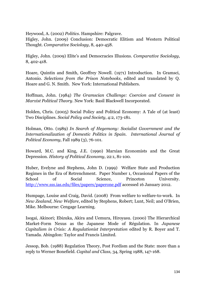Heywood, A. (2002) *Politics*. Hampshire: Palgrave.

Higley, John. (2009) Conclusion: Democratic Elitism and Western Political Thought. *Comparative Sociology*, 8, 440-458.

Higley, John. (2009) Elite's and Democracies Illusions. *Comparative Sociology*, 8, 402-418.

Hoare, Quintin and Smith, Geoffrey Nowell. (1971) Introduction. In Gramsci, Antonio. *Selections from the Prison Notebooks*, edited and translated by Q. Hoare and G. N. Smith. New York: International Publishers.

Hoffman, John. (1984) *The Gramscian Challenge: Coercion and Consent in Marxist Political Theory*. New York: Basil Blackwell Incorporated.

Holden, Chris. (2005) Social Policy and Political Economy: A Tale of (at least) Two Disciplines. *Social Policy and Society*, 4:2, 173-181.

Holman, Otto. (1989) *In Search of Hegemony: Socialist Government and the Internationalization of Domestic Politics in Spain. International Journal of Political Economy*, Fall 1989 (3), 76-101.

Howard, M.C. and King, J.E. (1990) Marxian Economists and the Great Depression. *History of Political Economy*, 22:1, 81-100.

Huber, Evelyne and Stephens, John D. (1999) Welfare State and Production Regimes in the Era of Retrenchment. Paper Number 1, Occasional Papers of the School of Social Science. Princeton University. <http://www.sss.ias.edu/files/papers/paperone.pdf> accessed 16 January 2012.

Humpage, Louise and Craig, David. (2008) From welfare to welfare-to-work. In *New Zealand, New Welfare*, edited by Stephens, Robert; Lunt, Neil; and O'Brien, Mike. Melbourne: Cengage Learning.

Isogai, Akinori; Ebizuka, Akira and Uemura, Hiroyasu. (2000) The Hierarchical Market-Form Nexus as the Japanese Mode of Régulation. In *Japanese Capitalism in Crisis: A Regulationist Interpretation* edited by R. Boyer and T. Yamada. Abingdon: Taylor and Francis Limited.

Jessop, Bob. (1988) Regulation Theory, Post Fordism and the State: more than a reply to Werner Bonefield. *Capital and Class,* 34, Spring 1988, 147-168.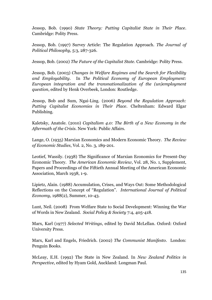Jessop, Bob. (1990) *State Theory: Putting Capitalist State in Their Place*. Cambridge: Polity Press.

Jessop, Bob. (1997) Survey Article: The Regulation Approach. *The Journal of Political Philosophy,* 5:3, 287-326.

Jessop, Bob. (2002) *The Future of the Capitalist State*. Cambridge: Polity Press.

Jessop, Bob. (2003) *Changes in Welfare Regimes and the Search for Flexibility and Employability*. In *The Political Economy of European Employment: European integration and the transnationalization of the (un)employment question*, edited by Henk Overbeek, London: Routledge.

Jessop, Bob and Sum, Ngai-Ling. (2006) *Beyond the Regulation Approach: Putting Capitalist Economies in Their Place*. Cheltenham: Edward Elgar Publishing.

Kaletsky, Anatole. (2010) *Capitalism 4.0: The Birth of a New Economy in the Aftermath of the Crisis.* New York: Public Affairs.

Lange, O. (1935) Marxian Economics and Modern Economic Theory. *The Review of Economic Studies*, Vol. 2, No. 3, 189-201.

Leotief, Wassily. (1938) The Significance of Marxian Economics for Present-Day Economic Theory. *The American Economic Review*, Vol. 28, No. 1, Supplement, Papers and Proceedings of the Fiftieth Annual Meeting of the American Economic Association, March 1938, 1-9.

Lipietz, Alain. (1988) Accumulation, Crises, and Ways Out: Some Methodological Reflections on the Concept of "Regulation". *International Journal of Political Economy*, 1988(2), Summer, 10-43.

Lunt, Neil. (2008) From Welfare State to Social Development: Winning the War of Words in New Zealand. *Social Policy & Society* 7:4, 405-418.

Marx, Karl (1977) *Selected Writings*, edited by David McLellan. Oxford: Oxford University Press.

Marx, Karl and Engels, Friedrich. (2002) *The Communist Manifesto*. London: Penguin Books.

McLeay, E.H. (1992) The State in New Zealand. In *New Zealand Politics in Perspective*, edited by Hyam Gold, Auckland: Longman Paul.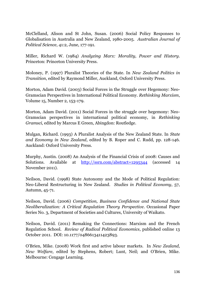McClelland, Alison and St John, Susan. (2006) Social Policy Responses to Globalisation in Australia and New Zealand, 1980-2005. *Australian Journal of Political Science*, 41:2, June, 177-191.

Miller, Richard W. (1984) *Analyzing Marx: Morality, Power and History*. Princeton: Princeton University Press.

Moloney, P. (1997) Pluralist Theories of the State. In *New Zealand Politics in Transition*, edited by Raymond Miller, Auckland, Oxford University Press.

Morton, Adam David. (2003) Social Forces in the Struggle over Hegemony: Neo-Gramscian Perspectives in International Political Economy. *Rethinking Marxism*, Volume 15, Number 2, 153-179.

Morton, Adam David. (2011) Social Forces in the struggle over hegemony: Neo-Gramscian perspectives in international political economy, in *Rethinking Gramsci*, edited by Marcus E Green, Abingdon: Routledge.

Mulgan, Richard. (1993) A Pluralist Analysis of the New Zealand State. In *State and Economy in New Zealand*, edited by B. Roper and C. Rudd, pp. 128-146. Auckland: Oxford University Press.

Murphy, Austin. (2008) An Analysis of the Financial Crisis of 2008: Causes and Solutions. Available at <http://ssrn.com/abstract=1295344> (accessed 14 November 2011).

Neilson, David. (1998) State Autonomy and the Mode of Political Regulation: Neo-Liberal Restructuring in New Zealand. *Studies in Political Economy*, 57, Autumn, 45-71.

Neilson, David. (2006) *Competition, Business Confidence and National State Neoliberalization: A Critical Regulation Theory Perspective*. Occasional Paper Series No. 3, Department of Societies and Cultures, University of Waikato.

Neilson, David. (2011) Remaking the Connections: Marxism and the French Regulation School. *Review of Radical Political Economics*, published online 13 October 2011. DOI: 10.1177/0486613411423893.

O"Brien, Mike. (2008) Work first and active labour markets. In *New Zealand, New Welfare*, edited by Stephens, Robert; Lunt, Neil; and O'Brien, Mike. Melbourne: Cengage Learning.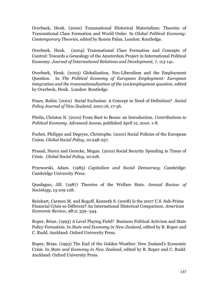Overbeek, Henk. (2000) Transnational Historical Materialism: Theories of Transnational Class Formation and World Order. In *Global Political Economy: Contemporary Theories,* edited by Ronen Palan. London: Routledge.

Overbeek, Henk. (2004) Transnational Class Formation and Concepts of Control: Towards a Genealogy of the Amsterdam Project in International Political Economy. *Journal of International Relations and Development,* 7, 113-141.

Overbeek, Henk. (2003) Globalization, Neo-Liberalism and the Employment Question. In *The Political Economy of European Employment: European integration and the transnationalization of the (un)employment question*, edited by Overbeek, Henk. London: Routledge.

Peace, Robin. (2001) Social Exclusion: A Concept in Need of Definition? *Social Policy Journal of New Zealand*, 2001:16, 17-36.

Pitelis, Christos N. (2010) From Bust to Boom: an Introduction. *Contributions to Political Economy.* Advanced Access, published April 12, 2010. 1-8.

Pochet, Philippe and Degryse, Christophe. (2010) Social Policies of the European Union. *Global Social Policy*, 10:248-257.

Prasad, Naren and Gerecke, Megan. (2010) Social Security Spending in Times of Crisis. *Global Social Policy*, 10:218.

Przeworski, Adam. (1985) *Capitalism and Social Democracy*. Cambridge: Cambridge University Press.

Quadagno, Jill. (1987) Theories of the Welfare State. *Annual Review of Sociology*, 13:109-128.

Reinhart, Carmen M. and Rogoff, Kenneth S. (2008) Is the 2007 U.S. Sub-Prime Financial Crisis so Different? An International Historical Comparison. *American Economic Review*, 98:2; 339–344.

Roper, Brian. (1993) A Level Playing Field? Business Political Activism and State Policy Formation. In *State and Economy in New Zealand*, edited by B. Roper and C. Rudd. Auckland: Oxford University Press.

Roper, Brian. (1993) The End of the Golden Weather: New Zealand"s Economic Crisis. In *State and Economy in New Zealand*, edited by B. Roper and C. Rudd. Auckland: Oxford University Press.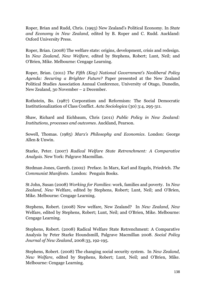Roper, Brian and Rudd, Chris. (1993) New Zealand"s Political Economy. In *State and Economy in New Zealand*, edited by B. Roper and C. Rudd. Auckland: Oxford University Press.

Roper, Brian. (2008) The welfare state: origins, development, crisis and redesign. In *New Zealand, New Welfare*, edited by Stephens, Robert; Lunt, Neil; and O'Brien, Mike. Melbourne: Cengage Learning.

Roper, Brian. (2011) *The Fifth (Key) National Government's Neoliberal Policy Agenda: Securing a Brighter Future?* Paper presented at the New Zealand Political Studies Association Annual Conference, University of Otago, Dunedin, New Zealand, 30 November – 2 December.

Rothstein, Bo. (1987) Corporatism and Reformism: The Social Democratic Institutionalization of Class Conflict. *Acta Sociologica* (30) 3:4, 295-311.

Shaw, Richard and Eichbaum, Chris (2011) *Public Policy in New Zealand: Institutions, processes and outcomes*. Auckland, Pearson.

Sowell, Thomas. (1985) *Marx's Philosophy and Economics*. London: George Allen & Unwin.

Starke, Peter. (2007) *Radical Welfare State Retrenchment: A Comparative Analysis*. New York: Palgrave Macmillan.

Stedman Jones, Gareth. (2002) Preface. In Marx, Karl and Engels, Friedrich. *The Communist Manifesto.* London: Penguin Books.

St John, Susan (2008) *Working for Families*: work, families and poverty. In *New Zealand, New* Welfare, edited by Stephens, Robert; Lunt, Neil; and O'Brien, Mike. Melbourne: Cengage Learning.

Stephens, Robert. (2008) New welfare, New Zealand? In *New Zealand, New*  Welfare, edited by Stephens, Robert; Lunt, Neil; and O'Brien, Mike. Melbourne: Cengage Learning.

Stephens, Robert. (2008) Radical Welfare State Retrenchment: A Comparative Analysis by Peter Starke Houndsmill, Palgrave Macmillan 2008. *Social Policy Journal of New Zealand*, 2008:33, 192-195.

Stephens, Robert. (2008) The changing social security system. In *New Zealand, New Welfare*, edited by Stephens, Robert; Lunt, Neil; and O'Brien, Mike. Melbourne: Cengage Learning.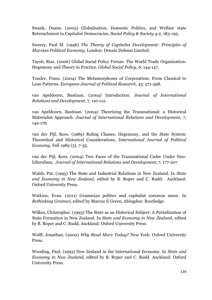Swank, Duane. (2005) Globalisation, Domestic Politics, and Welfare state Retrenchment in Capitalist Democracies, *Social Policy & Society* 4:2, 183-195.

Sweezy, Paul M. (1946) *The Theory of Capitalist Development: Principles of Marxian Political Economy*. London: Dennis Dobson Limited.

Tayob, Riaz. (2006) Global Social Policy Forum: The World Trade Organisation: Hegemony and Theory in Practice. *Global Social Policy*, 6: 144-147.

Traxler, Franz. (2004) The Metamorphoses of Corporatism: From Classical to Lean Patterns. *European Journal of Political Research*, 43: 571-598.

van Apeldoorn, Bastiaan. (2004) Introduction. *Journal of International Relations and Development,* 7, 110-112.

van Apeldoorn, Bastiaan. (2004) Theorizing the Transnational: a Historical Materialist Approach. *Journal of International Relations and Development,* 7, 142-176.

van der Pijl, Kees. (1989) Ruling Classes, Hegemony, and the State System: Theoretical and Historical Considerations. *International Journal of Political Economy*, Fall 1989 (3), 7-35.

van der Pijl, Kees. (2004) Two Faces of the Transnational Cadre Under Neo-Liberalism. *Journal of International Relations and Development,* 7, 177-207

Walsh, Pat. (1993) The State and Industrial Relations in New Zealand. In *State and Economy in New Zealand*, edited by B. Roper and C. Rudd. Auckland: Oxford University Press.

Watkins, Evan. (2011) Gramscian politics and capitalist common sense. In *Rethinking Gramsci*, edited by Marcus E Green, Abingdon: Routledge.

Wilkes, Christopher. (1993) The State as an Historical Subject: A Periodization of State Formation in New Zealand. In *State and Economy in New Zealand*, edited by B. Roper and C. Rudd, Auckland: Oxford University Press.

Wolff, Jonathan. (2002) *Why Read Marx Today?* New York: Oxford University Press.

Wooding, Paul. (1993) New Zealand in the International Economy. In *State and Economy in New Zealand*, edited by B. Roper and C. Rudd. Auckland: Oxford University Press.